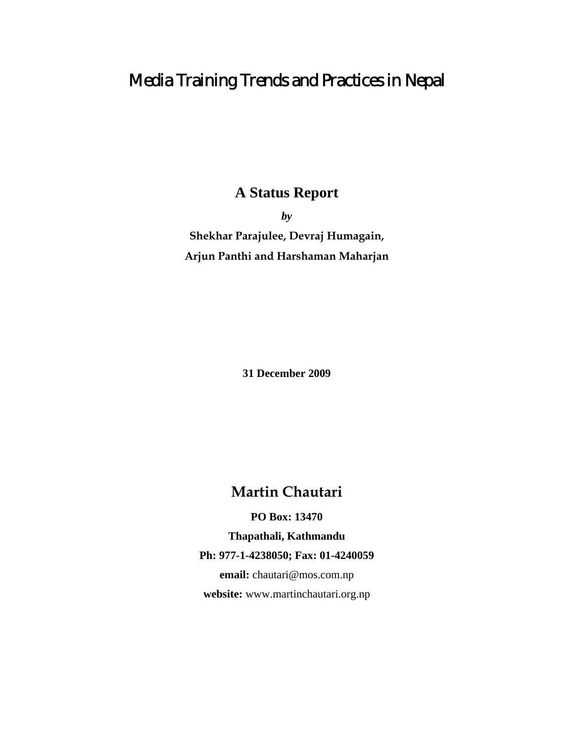# Media Training Trends and Practices in Nepal

# **A Status Report**

*by*  **Shekhar Parajulee, Devraj Humagain, Arjun Panthi and Harshaman Maharjan** 

**31 December 2009** 

**Martin Chautari** 

**PO Box: 13470** 

**Thapathali, Kathmandu** 

**Ph: 977-1-4238050; Fax: 01-4240059** 

**email:** chautari@mos.com.np **website:** www.martinchautari.org.np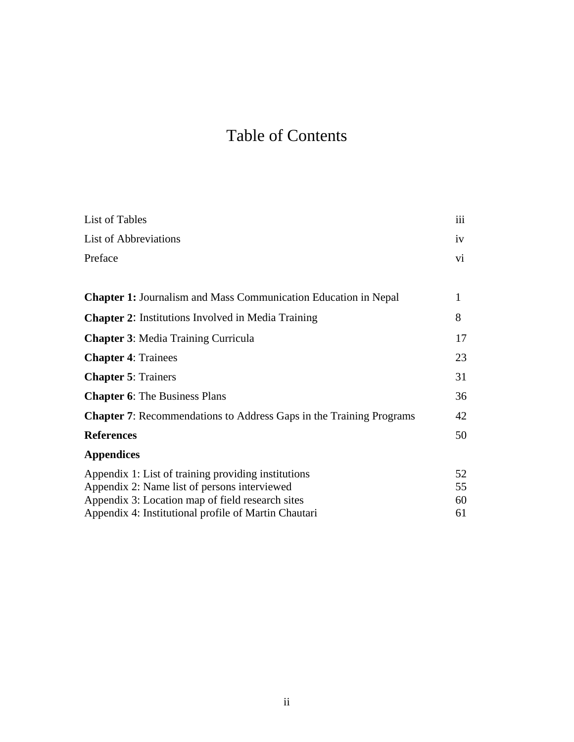# Table of Contents

| List of Tables                                                                                      | iii      |
|-----------------------------------------------------------------------------------------------------|----------|
| <b>List of Abbreviations</b>                                                                        | iv       |
| Preface                                                                                             | Vİ.      |
|                                                                                                     |          |
| <b>Chapter 1:</b> Journalism and Mass Communication Education in Nepal                              | 1        |
| <b>Chapter 2:</b> Institutions Involved in Media Training                                           | 8        |
| <b>Chapter 3: Media Training Curricula</b>                                                          | 17       |
| <b>Chapter 4: Trainees</b>                                                                          | 23       |
| <b>Chapter 5: Trainers</b>                                                                          | 31       |
| <b>Chapter 6:</b> The Business Plans                                                                | 36       |
| <b>Chapter 7:</b> Recommendations to Address Gaps in the Training Programs                          | 42       |
| <b>References</b>                                                                                   | 50       |
| <b>Appendices</b>                                                                                   |          |
| Appendix 1: List of training providing institutions<br>Appendix 2: Name list of persons interviewed | 52<br>55 |
| Appendix 3: Location map of field research sites                                                    | 60       |
| Appendix 4: Institutional profile of Martin Chautari                                                | 61       |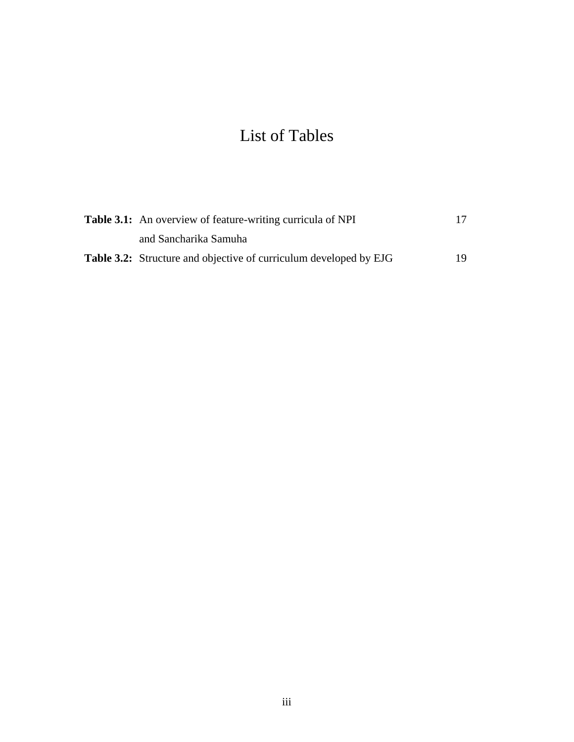# List of Tables

| <b>Table 3.1:</b> An overview of feature-writing curricula of NPI        | 17  |
|--------------------------------------------------------------------------|-----|
| and Sancharika Samuha                                                    |     |
| <b>Table 3.2:</b> Structure and objective of curriculum developed by EJG | 19. |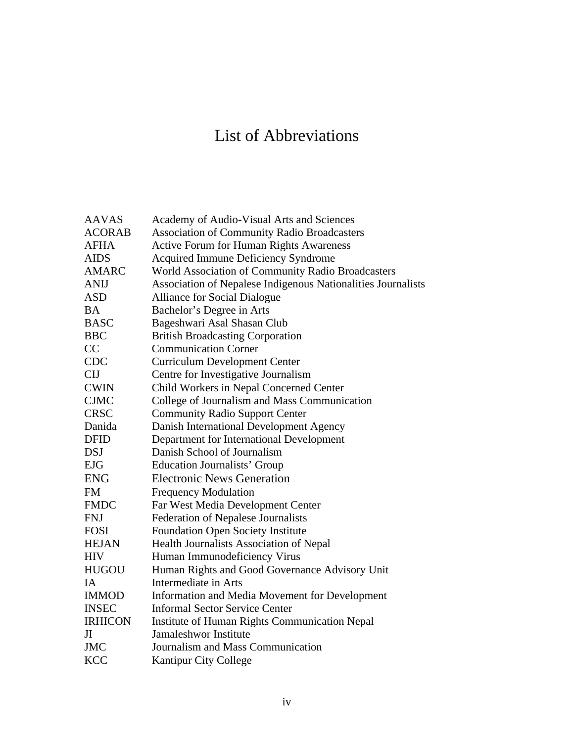# List of Abbreviations

| <b>AAVAS</b>   | Academy of Audio-Visual Arts and Sciences                    |
|----------------|--------------------------------------------------------------|
| <b>ACORAB</b>  | <b>Association of Community Radio Broadcasters</b>           |
| <b>AFHA</b>    | <b>Active Forum for Human Rights Awareness</b>               |
| <b>AIDS</b>    | Acquired Immune Deficiency Syndrome                          |
| <b>AMARC</b>   | World Association of Community Radio Broadcasters            |
| <b>ANIJ</b>    | Association of Nepalese Indigenous Nationalities Journalists |
| <b>ASD</b>     | <b>Alliance for Social Dialogue</b>                          |
| <b>BA</b>      | Bachelor's Degree in Arts                                    |
| <b>BASC</b>    | Bageshwari Asal Shasan Club                                  |
| <b>BBC</b>     | <b>British Broadcasting Corporation</b>                      |
| CC             | <b>Communication Corner</b>                                  |
| <b>CDC</b>     | <b>Curriculum Development Center</b>                         |
| <b>CIJ</b>     | Centre for Investigative Journalism                          |
| <b>CWIN</b>    | Child Workers in Nepal Concerned Center                      |
| <b>CJMC</b>    | College of Journalism and Mass Communication                 |
| <b>CRSC</b>    | <b>Community Radio Support Center</b>                        |
| Danida         | Danish International Development Agency                      |
| <b>DFID</b>    | Department for International Development                     |
| <b>DSJ</b>     | Danish School of Journalism                                  |
| <b>EJG</b>     | <b>Education Journalists' Group</b>                          |
| <b>ENG</b>     | <b>Electronic News Generation</b>                            |
| <b>FM</b>      | <b>Frequency Modulation</b>                                  |
| <b>FMDC</b>    | Far West Media Development Center                            |
| <b>FNJ</b>     | <b>Federation of Nepalese Journalists</b>                    |
| <b>FOSI</b>    | <b>Foundation Open Society Institute</b>                     |
| <b>HEJAN</b>   | Health Journalists Association of Nepal                      |
| <b>HIV</b>     | Human Immunodeficiency Virus                                 |
| <b>HUGOU</b>   | Human Rights and Good Governance Advisory Unit               |
| <b>IA</b>      | Intermediate in Arts                                         |
| <b>IMMOD</b>   | Information and Media Movement for Development               |
| <b>INSEC</b>   | <b>Informal Sector Service Center</b>                        |
| <b>IRHICON</b> | Institute of Human Rights Communication Nepal                |
| JI             | Jamaleshwor Institute                                        |
| <b>JMC</b>     | Journalism and Mass Communication                            |
| <b>KCC</b>     | <b>Kantipur City College</b>                                 |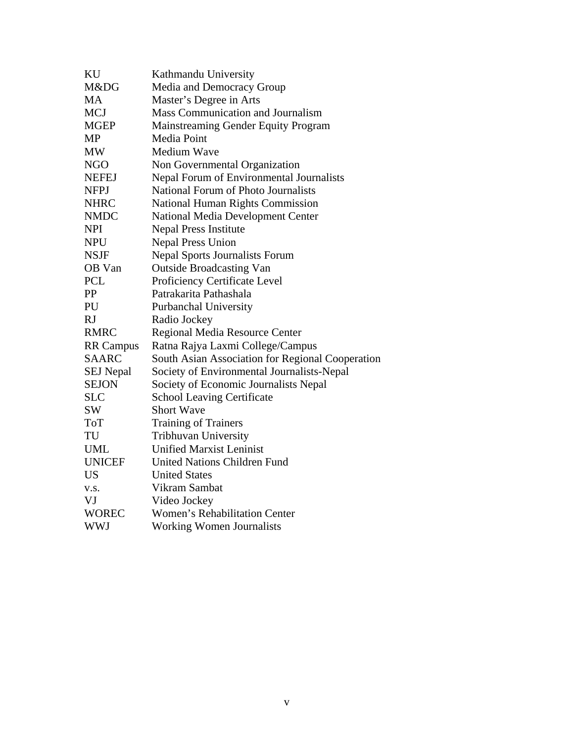| KU               | Kathmandu University                             |
|------------------|--------------------------------------------------|
| M&DG             | Media and Democracy Group                        |
| MA               | Master's Degree in Arts                          |
| <b>MCJ</b>       | Mass Communication and Journalism                |
| MGEP             | Mainstreaming Gender Equity Program              |
| MP               | Media Point                                      |
| MW               | Medium Wave                                      |
| <b>NGO</b>       | Non Governmental Organization                    |
| <b>NEFEJ</b>     | Nepal Forum of Environmental Journalists         |
| <b>NFPJ</b>      | <b>National Forum of Photo Journalists</b>       |
| <b>NHRC</b>      | National Human Rights Commission                 |
| <b>NMDC</b>      | <b>National Media Development Center</b>         |
| <b>NPI</b>       | <b>Nepal Press Institute</b>                     |
| <b>NPU</b>       | <b>Nepal Press Union</b>                         |
| <b>NSJF</b>      | <b>Nepal Sports Journalists Forum</b>            |
| OB Van           | <b>Outside Broadcasting Van</b>                  |
| <b>PCL</b>       | Proficiency Certificate Level                    |
| PP               | Patrakarita Pathashala                           |
| PU               | Purbanchal University                            |
| RJ               | Radio Jockey                                     |
| <b>RMRC</b>      | Regional Media Resource Center                   |
| <b>RR Campus</b> | Ratna Rajya Laxmi College/Campus                 |
| <b>SAARC</b>     | South Asian Association for Regional Cooperation |
| <b>SEJ</b> Nepal | Society of Environmental Journalists-Nepal       |
| <b>SEJON</b>     | Society of Economic Journalists Nepal            |
| <b>SLC</b>       | <b>School Leaving Certificate</b>                |
| SW               | <b>Short Wave</b>                                |
| <b>ToT</b>       | <b>Training of Trainers</b>                      |
| TU               | Tribhuvan University                             |
| <b>UML</b>       | <b>Unified Marxist Leninist</b>                  |
| <b>UNICEF</b>    | <b>United Nations Children Fund</b>              |
| <b>US</b>        | <b>United States</b>                             |
| V.S.             | Vikram Sambat                                    |
| VJ               | Video Jockey                                     |
| <b>WOREC</b>     | <b>Women's Rehabilitation Center</b>             |
| WWJ              | <b>Working Women Journalists</b>                 |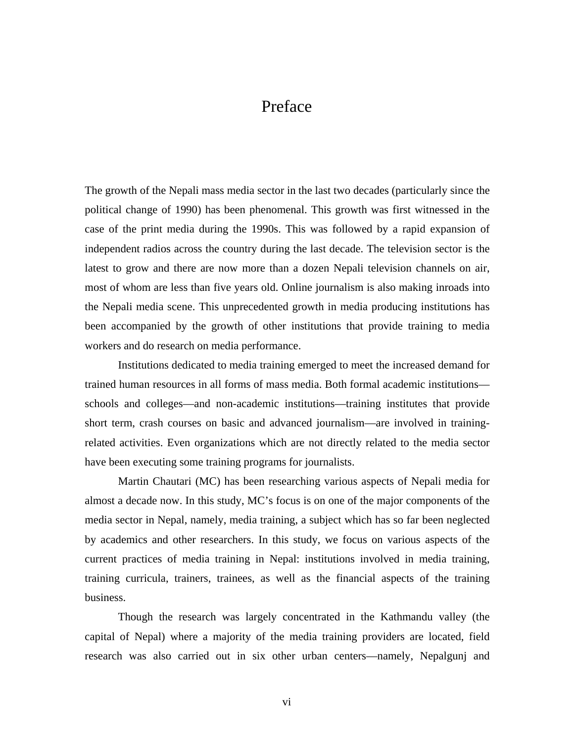# Preface

The growth of the Nepali mass media sector in the last two decades (particularly since the political change of 1990) has been phenomenal. This growth was first witnessed in the case of the print media during the 1990s. This was followed by a rapid expansion of independent radios across the country during the last decade. The television sector is the latest to grow and there are now more than a dozen Nepali television channels on air, most of whom are less than five years old. Online journalism is also making inroads into the Nepali media scene. This unprecedented growth in media producing institutions has been accompanied by the growth of other institutions that provide training to media workers and do research on media performance.

 Institutions dedicated to media training emerged to meet the increased demand for trained human resources in all forms of mass media. Both formal academic institutions schools and colleges—and non-academic institutions—training institutes that provide short term, crash courses on basic and advanced journalism—are involved in trainingrelated activities. Even organizations which are not directly related to the media sector have been executing some training programs for journalists.

 Martin Chautari (MC) has been researching various aspects of Nepali media for almost a decade now. In this study, MC's focus is on one of the major components of the media sector in Nepal, namely, media training, a subject which has so far been neglected by academics and other researchers. In this study, we focus on various aspects of the current practices of media training in Nepal: institutions involved in media training, training curricula, trainers, trainees, as well as the financial aspects of the training business.

 Though the research was largely concentrated in the Kathmandu valley (the capital of Nepal) where a majority of the media training providers are located, field research was also carried out in six other urban centers—namely, Nepalgunj and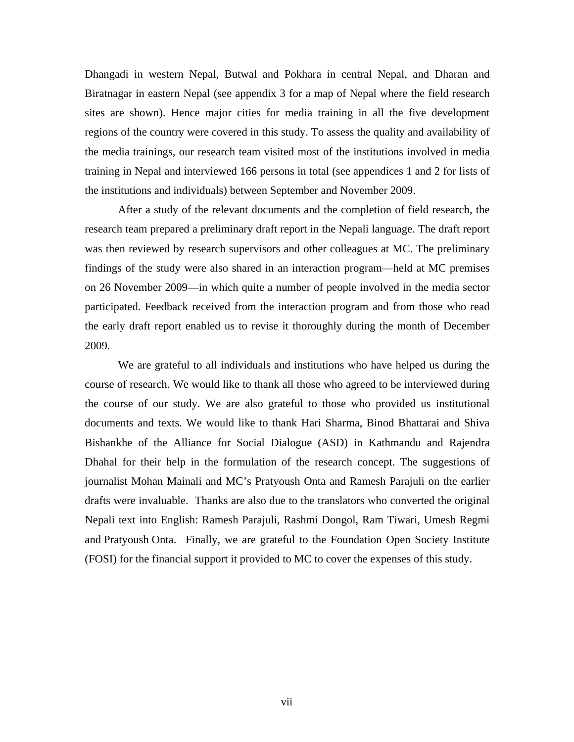Dhangadi in western Nepal, Butwal and Pokhara in central Nepal, and Dharan and Biratnagar in eastern Nepal (see appendix 3 for a map of Nepal where the field research sites are shown). Hence major cities for media training in all the five development regions of the country were covered in this study. To assess the quality and availability of the media trainings, our research team visited most of the institutions involved in media training in Nepal and interviewed 166 persons in total (see appendices 1 and 2 for lists of the institutions and individuals) between September and November 2009.

 After a study of the relevant documents and the completion of field research, the research team prepared a preliminary draft report in the Nepali language. The draft report was then reviewed by research supervisors and other colleagues at MC. The preliminary findings of the study were also shared in an interaction program—held at MC premises on 26 November 2009—in which quite a number of people involved in the media sector participated. Feedback received from the interaction program and from those who read the early draft report enabled us to revise it thoroughly during the month of December 2009.

 We are grateful to all individuals and institutions who have helped us during the course of research. We would like to thank all those who agreed to be interviewed during the course of our study. We are also grateful to those who provided us institutional documents and texts. We would like to thank Hari Sharma, Binod Bhattarai and Shiva Bishankhe of the Alliance for Social Dialogue (ASD) in Kathmandu and Rajendra Dhahal for their help in the formulation of the research concept. The suggestions of journalist Mohan Mainali and MC's Pratyoush Onta and Ramesh Parajuli on the earlier drafts were invaluable. Thanks are also due to the translators who converted the original Nepali text into English: Ramesh Parajuli, Rashmi Dongol, Ram Tiwari, Umesh Regmi and Pratyoush Onta. Finally, we are grateful to the Foundation Open Society Institute (FOSI) for the financial support it provided to MC to cover the expenses of this study.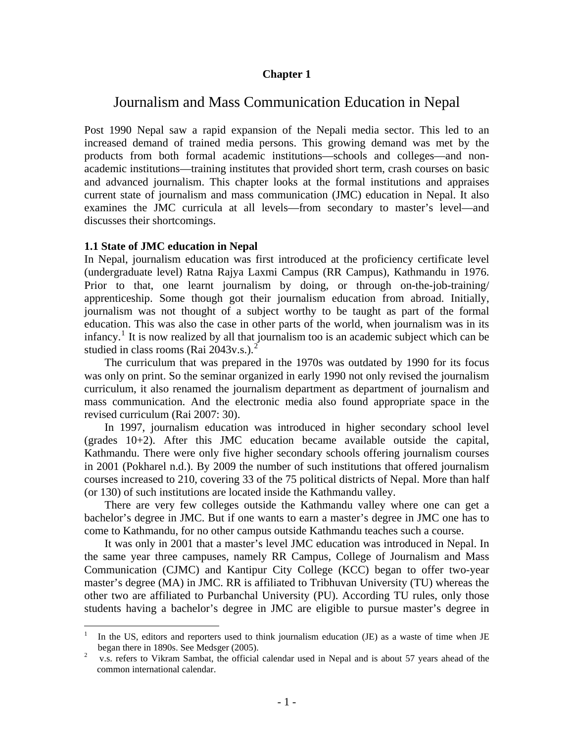#### **Chapter 1**

# Journalism and Mass Communication Education in Nepal

Post 1990 Nepal saw a rapid expansion of the Nepali media sector. This led to an increased demand of trained media persons. This growing demand was met by the products from both formal academic institutions—schools and colleges—and nonacademic institutions—training institutes that provided short term, crash courses on basic and advanced journalism. This chapter looks at the formal institutions and appraises current state of journalism and mass communication (JMC) education in Nepal. It also examines the JMC curricula at all levels—from secondary to master's level—and discusses their shortcomings.

#### **1.1 State of JMC education in Nepal**

In Nepal, journalism education was first introduced at the proficiency certificate level (undergraduate level) Ratna Rajya Laxmi Campus (RR Campus), Kathmandu in 1976. Prior to that, one learnt journalism by doing, or through on-the-job-training/ apprenticeship. Some though got their journalism education from abroad. Initially, journalism was not thought of a subject worthy to be taught as part of the formal education. This was also the case in other parts of the world, when journalism was in its infancy.<sup>[1](#page-7-0)</sup> It is now realized by all that journalism too is an academic subject which can be studied in class rooms (Rai [2](#page-7-1)043v.s.).<sup>2</sup>

The curriculum that was prepared in the 1970s was outdated by 1990 for its focus was only on print. So the seminar organized in early 1990 not only revised the journalism curriculum, it also renamed the journalism department as department of journalism and mass communication. And the electronic media also found appropriate space in the revised curriculum (Rai 2007: 30).

In 1997, journalism education was introduced in higher secondary school level (grades 10+2). After this JMC education became available outside the capital, Kathmandu. There were only five higher secondary schools offering journalism courses in 2001 (Pokharel n.d.). By 2009 the number of such institutions that offered journalism courses increased to 210, covering 33 of the 75 political districts of Nepal. More than half (or 130) of such institutions are located inside the Kathmandu valley.

There are very few colleges outside the Kathmandu valley where one can get a bachelor's degree in JMC. But if one wants to earn a master's degree in JMC one has to come to Kathmandu, for no other campus outside Kathmandu teaches such a course.

It was only in 2001 that a master's level JMC education was introduced in Nepal. In the same year three campuses, namely RR Campus, College of Journalism and Mass Communication (CJMC) and Kantipur City College (KCC) began to offer two-year master's degree (MA) in JMC. RR is affiliated to Tribhuvan University (TU) whereas the other two are affiliated to Purbanchal University (PU). According TU rules, only those students having a bachelor's degree in JMC are eligible to pursue master's degree in

<span id="page-7-0"></span> $\frac{1}{1}$  In the US, editors and reporters used to think journalism education (JE) as a waste of time when JE began there in 1890s. See Medsger (2005). 2

<span id="page-7-1"></span>v.s. refers to Vikram Sambat, the official calendar used in Nepal and is about 57 years ahead of the common international calendar.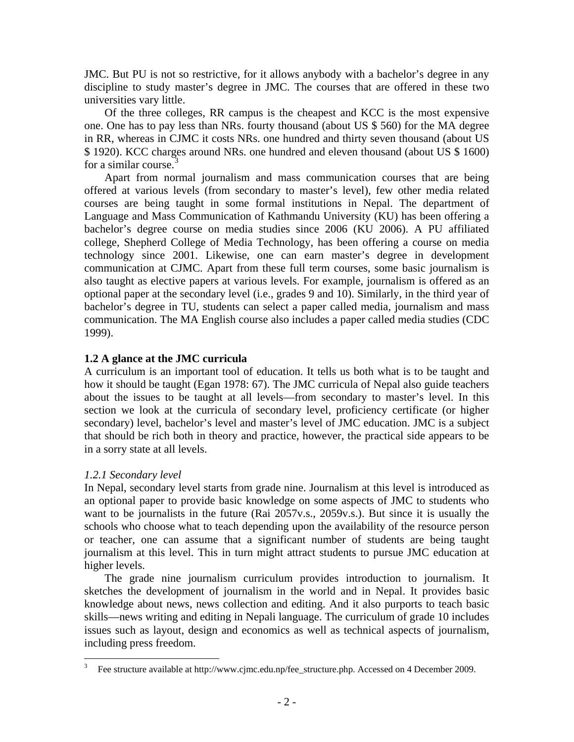JMC. But PU is not so restrictive, for it allows anybody with a bachelor's degree in any discipline to study master's degree in JMC. The courses that are offered in these two universities vary little.

Of the three colleges, RR campus is the cheapest and KCC is the most expensive one. One has to pay less than NRs. fourty thousand (about US \$ 560) for the MA degree in RR, whereas in CJMC it costs NRs. one hundred and thirty seven thousand (about US \$ 1920). KCC charges around NRs. one hundred and eleven thousand (about US \$ 1600) for a similar course. $3$ 

Apart from normal journalism and mass communication courses that are being offered at various levels (from secondary to master's level), few other media related courses are being taught in some formal institutions in Nepal. The department of Language and Mass Communication of Kathmandu University (KU) has been offering a bachelor's degree course on media studies since 2006 (KU 2006). A PU affiliated college, Shepherd College of Media Technology, has been offering a course on media technology since 2001. Likewise, one can earn master's degree in development communication at CJMC. Apart from these full term courses, some basic journalism is also taught as elective papers at various levels. For example, journalism is offered as an optional paper at the secondary level (i.e., grades 9 and 10). Similarly, in the third year of bachelor's degree in TU, students can select a paper called media, journalism and mass communication. The MA English course also includes a paper called media studies (CDC 1999).

### **1.2 A glance at the JMC curricula**

A curriculum is an important tool of education. It tells us both what is to be taught and how it should be taught (Egan 1978: 67). The JMC curricula of Nepal also guide teachers about the issues to be taught at all levels—from secondary to master's level. In this section we look at the curricula of secondary level, proficiency certificate (or higher secondary) level, bachelor's level and master's level of JMC education. JMC is a subject that should be rich both in theory and practice, however, the practical side appears to be in a sorry state at all levels.

# *1.2.1 Secondary level*

 $\overline{a}$ 

In Nepal, secondary level starts from grade nine. Journalism at this level is introduced as an optional paper to provide basic knowledge on some aspects of JMC to students who want to be journalists in the future (Rai 2057v.s., 2059v.s.). But since it is usually the schools who choose what to teach depending upon the availability of the resource person or teacher, one can assume that a significant number of students are being taught journalism at this level. This in turn might attract students to pursue JMC education at higher levels.

The grade nine journalism curriculum provides introduction to journalism. It sketches the development of journalism in the world and in Nepal. It provides basic knowledge about news, news collection and editing. And it also purports to teach basic skills—news writing and editing in Nepali language. The curriculum of grade 10 includes issues such as layout, design and economics as well as technical aspects of journalism, including press freedom.

<span id="page-8-0"></span><sup>3</sup> Fee structure available at http://www.cjmc.edu.np/fee\_structure.php. Accessed on 4 December 2009.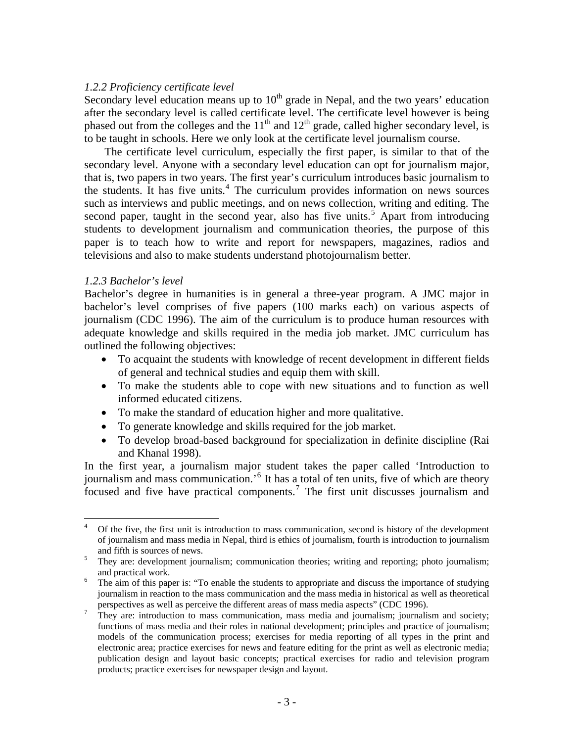#### *1.2.2 Proficiency certificate level*

Secondary level education means up to  $10<sup>th</sup>$  grade in Nepal, and the two years' education after the secondary level is called certificate level. The certificate level however is being phased out from the colleges and the  $11<sup>th</sup>$  and  $12<sup>th</sup>$  grade, called higher secondary level, is to be taught in schools. Here we only look at the certificate level journalism course.

The certificate level curriculum, especially the first paper, is similar to that of the secondary level. Anyone with a secondary level education can opt for journalism major, that is, two papers in two years. The first year's curriculum introduces basic journalism to the students. It has five units.<sup>[4](#page-9-0)</sup> The curriculum provides information on news sources such as interviews and public meetings, and on news collection, writing and editing. The second paper, taught in the second year, also has five units.<sup>[5](#page-9-1)</sup> Apart from introducing students to development journalism and communication theories, the purpose of this paper is to teach how to write and report for newspapers, magazines, radios and televisions and also to make students understand photojournalism better.

#### *1.2.3 Bachelor's level*

Bachelor's degree in humanities is in general a three-year program. A JMC major in bachelor's level comprises of five papers (100 marks each) on various aspects of journalism (CDC 1996). The aim of the curriculum is to produce human resources with adequate knowledge and skills required in the media job market. JMC curriculum has outlined the following objectives:

- To acquaint the students with knowledge of recent development in different fields of general and technical studies and equip them with skill.
- To make the students able to cope with new situations and to function as well informed educated citizens.
- To make the standard of education higher and more qualitative.
- To generate knowledge and skills required for the job market.
- To develop broad-based background for specialization in definite discipline (Rai and Khanal 1998).

In the first year, a journalism major student takes the paper called 'Introduction to journalism and mass communication.<sup>5</sup> It has a total of ten units, five of which are theory focused and five have practical components.<sup>[7](#page-9-3)</sup> The first unit discusses journalism and

<span id="page-9-0"></span> $\frac{1}{4}$  Of the five, the first unit is introduction to mass communication, second is history of the development of journalism and mass media in Nepal, third is ethics of journalism, fourth is introduction to journalism and fifth is sources of news.<br> $\frac{5}{\text{2}}$  They are development journal

<span id="page-9-1"></span>They are: development journalism; communication theories; writing and reporting; photo journalism; and practical work.

<span id="page-9-2"></span>The aim of this paper is: "To enable the students to appropriate and discuss the importance of studying journalism in reaction to the mass communication and the mass media in historical as well as theoretical perspectives as well as perceive the different areas of mass media aspects" (CDC 1996).

<span id="page-9-3"></span>They are: introduction to mass communication, mass media and journalism; journalism and society; functions of mass media and their roles in national development; principles and practice of journalism; models of the communication process; exercises for media reporting of all types in the print and electronic area; practice exercises for news and feature editing for the print as well as electronic media; publication design and layout basic concepts; practical exercises for radio and television program products; practice exercises for newspaper design and layout.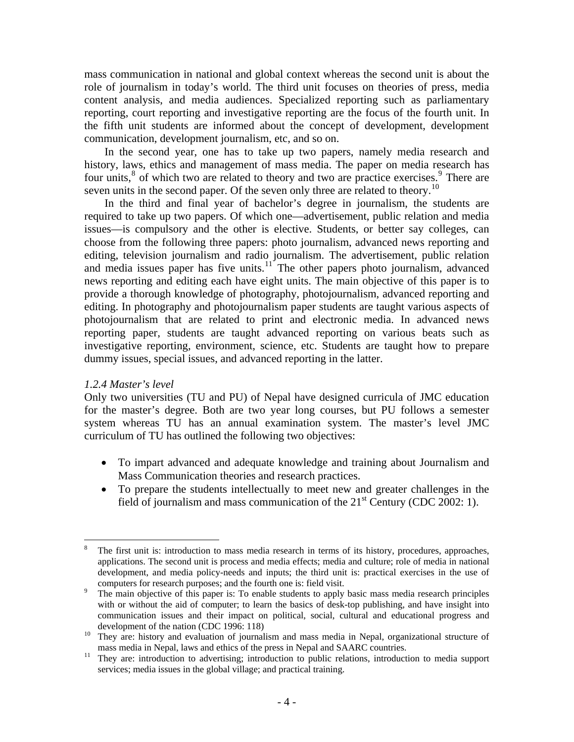mass communication in national and global context whereas the second unit is about the role of journalism in today's world. The third unit focuses on theories of press, media content analysis, and media audiences. Specialized reporting such as parliamentary reporting, court reporting and investigative reporting are the focus of the fourth unit. In the fifth unit students are informed about the concept of development, development communication, development journalism, etc, and so on.

In the second year, one has to take up two papers, namely media research and history, laws, ethics and management of mass media. The paper on media research has four units,<sup>[8](#page-10-0)</sup> of which two are related to theory and two are practice exercises.<sup>[9](#page-10-1)</sup> There are seven units in the second paper. Of the seven only three are related to theory.<sup>[10](#page-10-2)</sup>

In the third and final year of bachelor's degree in journalism, the students are required to take up two papers. Of which one—advertisement, public relation and media issues—is compulsory and the other is elective. Students, or better say colleges, can choose from the following three papers: photo journalism, advanced news reporting and editing, television journalism and radio journalism. The advertisement, public relation and media issues paper has five units. $11^{\circ}$  $11^{\circ}$  The other papers photo journalism, advanced news reporting and editing each have eight units. The main objective of this paper is to provide a thorough knowledge of photography, photojournalism, advanced reporting and editing. In photography and photojournalism paper students are taught various aspects of photojournalism that are related to print and electronic media. In advanced news reporting paper, students are taught advanced reporting on various beats such as investigative reporting, environment, science, etc. Students are taught how to prepare dummy issues, special issues, and advanced reporting in the latter.

#### *1.2.4 Master's level*

Only two universities (TU and PU) of Nepal have designed curricula of JMC education for the master's degree. Both are two year long courses, but PU follows a semester system whereas TU has an annual examination system. The master's level JMC curriculum of TU has outlined the following two objectives:

- To impart advanced and adequate knowledge and training about Journalism and Mass Communication theories and research practices.
- To prepare the students intellectually to meet new and greater challenges in the field of journalism and mass communication of the  $21<sup>st</sup>$  Century (CDC 2002: 1).

<span id="page-10-0"></span> $\overline{a}$ 8 The first unit is: introduction to mass media research in terms of its history, procedures, approaches, applications. The second unit is process and media effects; media and culture; role of media in national development, and media policy-needs and inputs; the third unit is: practical exercises in the use of computers for research purposes; and the fourth one is: field visit.

<span id="page-10-1"></span>The main objective of this paper is: To enable students to apply basic mass media research principles with or without the aid of computer; to learn the basics of desk-top publishing, and have insight into communication issues and their impact on political, social, cultural and educational progress and

<span id="page-10-2"></span>development of the nation (CDC 1996: 118)<br><sup>10</sup> They are: history and evaluation of journalism and mass media in Nepal, organizational structure of

<span id="page-10-3"></span>mass media in Nepal, laws and ethics of the press in Nepal and SAARC countries.<br><sup>11</sup> They are: introduction to advertising; introduction to public relations, introduction to media support services; media issues in the global village; and practical training.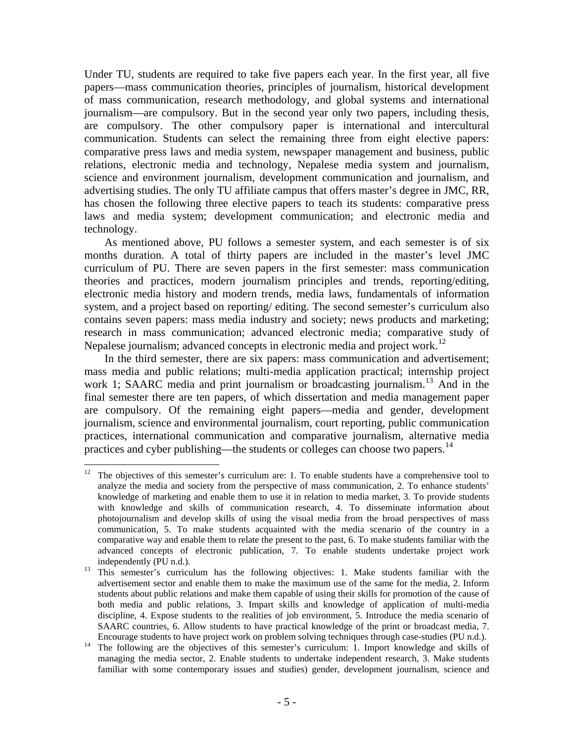Under TU, students are required to take five papers each year. In the first year, all five papers—mass communication theories, principles of journalism, historical development of mass communication, research methodology, and global systems and international journalism—are compulsory. But in the second year only two papers, including thesis, are compulsory. The other compulsory paper is international and intercultural communication. Students can select the remaining three from eight elective papers: comparative press laws and media system, newspaper management and business, public relations, electronic media and technology, Nepalese media system and journalism, science and environment journalism, development communication and journalism, and advertising studies. The only TU affiliate campus that offers master's degree in JMC, RR, has chosen the following three elective papers to teach its students: comparative press laws and media system; development communication; and electronic media and technology.

As mentioned above, PU follows a semester system, and each semester is of six months duration. A total of thirty papers are included in the master's level JMC curriculum of PU. There are seven papers in the first semester: mass communication theories and practices, modern journalism principles and trends, reporting/editing, electronic media history and modern trends, media laws, fundamentals of information system, and a project based on reporting/ editing. The second semester's curriculum also contains seven papers: mass media industry and society; news products and marketing; research in mass communication; advanced electronic media; comparative study of Nepalese journalism; advanced concepts in electronic media and project work.<sup>[12](#page-11-0)</sup>

In the third semester, there are six papers: mass communication and advertisement; mass media and public relations; multi-media application practical; internship project work 1; SAARC media and print journalism or broadcasting journalism.<sup>[13](#page-11-1)</sup> And in the final semester there are ten papers, of which dissertation and media management paper are compulsory. Of the remaining eight papers—media and gender, development journalism, science and environmental journalism, court reporting, public communication practices, international communication and comparative journalism, alternative media practices and cyber publishing—the students or colleges can choose two papers.<sup>[14](#page-11-2)</sup>

1

<span id="page-11-0"></span><sup>12</sup> The objectives of this semester's curriculum are: 1. To enable students have a comprehensive tool to analyze the media and society from the perspective of mass communication, 2. To enhance students' knowledge of marketing and enable them to use it in relation to media market, 3. To provide students with knowledge and skills of communication research, 4. To disseminate information about photojournalism and develop skills of using the visual media from the broad perspectives of mass communication, 5. To make students acquainted with the media scenario of the country in a comparative way and enable them to relate the present to the past, 6. To make students familiar with the advanced concepts of electronic publication, 7. To enable students undertake project work

<span id="page-11-1"></span>independently (PU n.d.).<br><sup>13</sup> This semester's curriculum has the following objectives: 1. Make students familiar with the advertisement sector and enable them to make the maximum use of the same for the media, 2. Inform students about public relations and make them capable of using their skills for promotion of the cause of both media and public relations, 3. Impart skills and knowledge of application of multi-media discipline, 4. Expose students to the realities of job environment, 5. Introduce the media scenario of SAARC countries, 6. Allow students to have practical knowledge of the print or broadcast media, 7.

<span id="page-11-2"></span>Encourage students to have project work on problem solving techniques through case-studies (PU n.d.). 14 The following are the objectives of this semester's curriculum: 1. Import knowledge and skills of managing the media sector, 2. Enable students to undertake independent research, 3. Make students familiar with some contemporary issues and studies) gender, development journalism, science and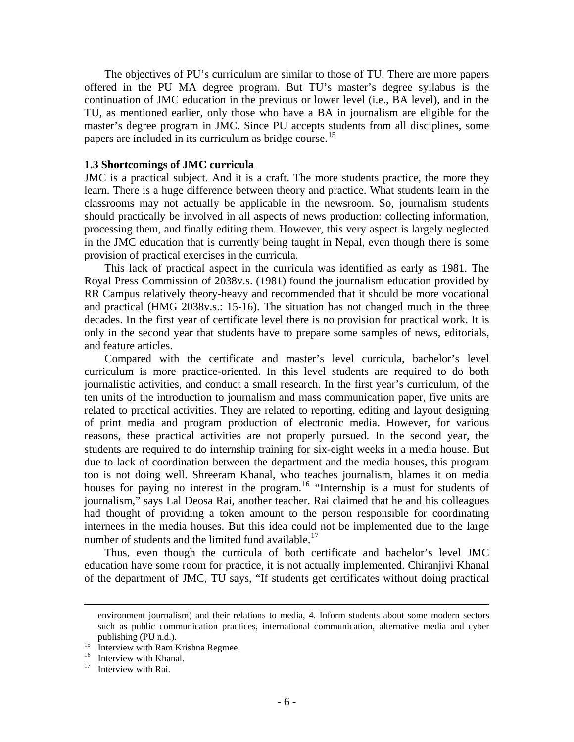The objectives of PU's curriculum are similar to those of TU. There are more papers offered in the PU MA degree program. But TU's master's degree syllabus is the continuation of JMC education in the previous or lower level (i.e., BA level), and in the TU, as mentioned earlier, only those who have a BA in journalism are eligible for the master's degree program in JMC. Since PU accepts students from all disciplines, some papers are included in its curriculum as bridge course.[15](#page-12-0)

#### **1.3 Shortcomings of JMC curricula**

JMC is a practical subject. And it is a craft. The more students practice, the more they learn. There is a huge difference between theory and practice. What students learn in the classrooms may not actually be applicable in the newsroom. So, journalism students should practically be involved in all aspects of news production: collecting information, processing them, and finally editing them. However, this very aspect is largely neglected in the JMC education that is currently being taught in Nepal, even though there is some provision of practical exercises in the curricula.

This lack of practical aspect in the curricula was identified as early as 1981. The Royal Press Commission of 2038v.s. (1981) found the journalism education provided by RR Campus relatively theory-heavy and recommended that it should be more vocational and practical (HMG 2038v.s.: 15-16). The situation has not changed much in the three decades. In the first year of certificate level there is no provision for practical work. It is only in the second year that students have to prepare some samples of news, editorials, and feature articles.

Compared with the certificate and master's level curricula, bachelor's level curriculum is more practice-oriented. In this level students are required to do both journalistic activities, and conduct a small research. In the first year's curriculum, of the ten units of the introduction to journalism and mass communication paper, five units are related to practical activities. They are related to reporting, editing and layout designing of print media and program production of electronic media. However, for various reasons, these practical activities are not properly pursued. In the second year, the students are required to do internship training for six-eight weeks in a media house. But due to lack of coordination between the department and the media houses, this program too is not doing well. Shreeram Khanal, who teaches journalism, blames it on media houses for paying no interest in the program.<sup>[16](#page-12-1)</sup> "Internship is a must for students of journalism," says Lal Deosa Rai, another teacher. Rai claimed that he and his colleagues had thought of providing a token amount to the person responsible for coordinating internees in the media houses. But this idea could not be implemented due to the large number of students and the limited fund available. $^{17}$  $^{17}$  $^{17}$ 

Thus, even though the curricula of both certificate and bachelor's level JMC education have some room for practice, it is not actually implemented. Chiranjivi Khanal of the department of JMC, TU says, "If students get certificates without doing practical

environment journalism) and their relations to media, 4. Inform students about some modern sectors such as public communication practices, international communication, alternative media and cyber

<span id="page-12-0"></span>publishing (PU n.d.).<br>
15 Interview with Ram Krishna Regmee.

<span id="page-12-2"></span><span id="page-12-1"></span><sup>&</sup>lt;sup>16</sup> Interview with Khanal.

Interview with Rai.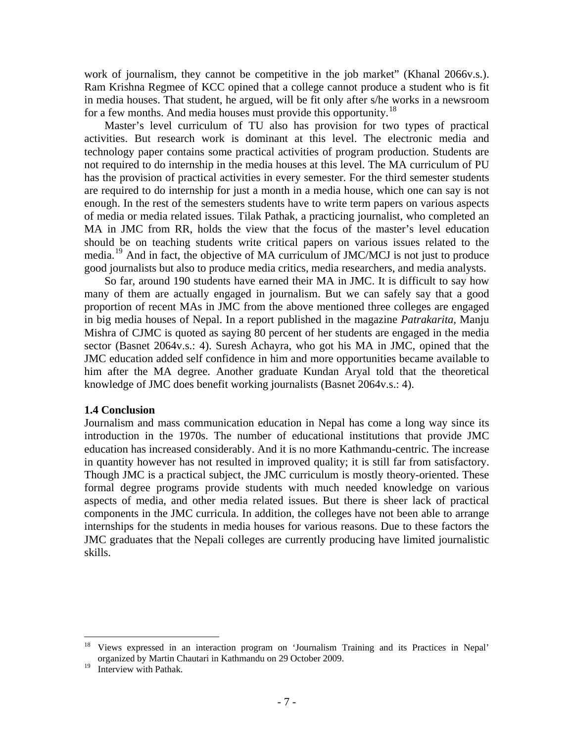work of journalism, they cannot be competitive in the job market" (Khanal 2066v.s.). Ram Krishna Regmee of KCC opined that a college cannot produce a student who is fit in media houses. That student, he argued, will be fit only after s/he works in a newsroom for a few months. And media houses must provide this opportunity.<sup>[18](#page-13-0)</sup>

Master's level curriculum of TU also has provision for two types of practical activities. But research work is dominant at this level. The electronic media and technology paper contains some practical activities of program production. Students are not required to do internship in the media houses at this level. The MA curriculum of PU has the provision of practical activities in every semester. For the third semester students are required to do internship for just a month in a media house, which one can say is not enough. In the rest of the semesters students have to write term papers on various aspects of media or media related issues. Tilak Pathak, a practicing journalist, who completed an MA in JMC from RR, holds the view that the focus of the master's level education should be on teaching students write critical papers on various issues related to the media.[19](#page-13-1) And in fact, the objective of MA curriculum of JMC/MCJ is not just to produce good journalists but also to produce media critics, media researchers, and media analysts.

So far, around 190 students have earned their MA in JMC. It is difficult to say how many of them are actually engaged in journalism. But we can safely say that a good proportion of recent MAs in JMC from the above mentioned three colleges are engaged in big media houses of Nepal. In a report published in the magazine *Patrakarita,* Manju Mishra of CJMC is quoted as saying 80 percent of her students are engaged in the media sector (Basnet 2064v.s.: 4). Suresh Achayra, who got his MA in JMC, opined that the JMC education added self confidence in him and more opportunities became available to him after the MA degree. Another graduate Kundan Aryal told that the theoretical knowledge of JMC does benefit working journalists (Basnet 2064v.s.: 4).

#### **1.4 Conclusion**

Journalism and mass communication education in Nepal has come a long way since its introduction in the 1970s. The number of educational institutions that provide JMC education has increased considerably. And it is no more Kathmandu-centric. The increase in quantity however has not resulted in improved quality; it is still far from satisfactory. Though JMC is a practical subject, the JMC curriculum is mostly theory-oriented. These formal degree programs provide students with much needed knowledge on various aspects of media, and other media related issues. But there is sheer lack of practical components in the JMC curricula. In addition, the colleges have not been able to arrange internships for the students in media houses for various reasons. Due to these factors the JMC graduates that the Nepali colleges are currently producing have limited journalistic skills.

 $\overline{a}$ 

<span id="page-13-0"></span><sup>18</sup> Views expressed in an interaction program on 'Journalism Training and its Practices in Nepal' organized by Martin Chautari in Kathmandu on 29 October 2009.

<span id="page-13-1"></span><sup>&</sup>lt;sup>19</sup> Interview with Pathak.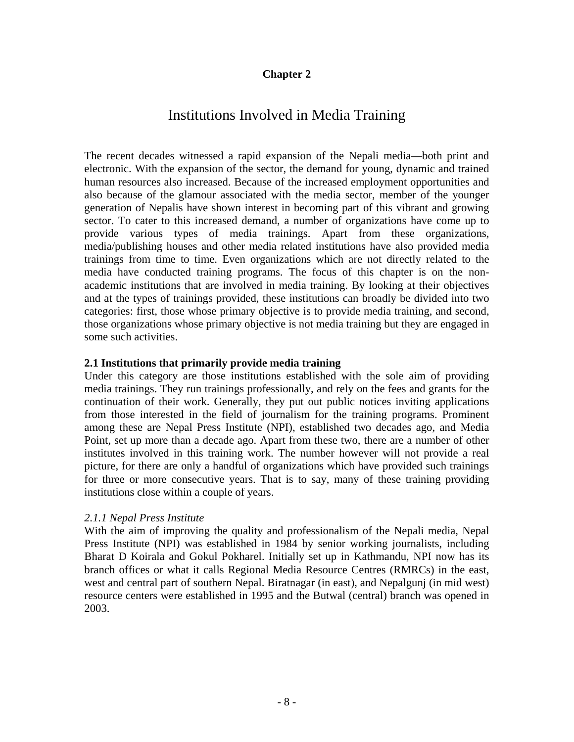# **Chapter 2**

# Institutions Involved in Media Training

The recent decades witnessed a rapid expansion of the Nepali media—both print and electronic. With the expansion of the sector, the demand for young, dynamic and trained human resources also increased. Because of the increased employment opportunities and also because of the glamour associated with the media sector, member of the younger generation of Nepalis have shown interest in becoming part of this vibrant and growing sector. To cater to this increased demand, a number of organizations have come up to provide various types of media trainings. Apart from these organizations, media/publishing houses and other media related institutions have also provided media trainings from time to time. Even organizations which are not directly related to the media have conducted training programs. The focus of this chapter is on the nonacademic institutions that are involved in media training. By looking at their objectives and at the types of trainings provided, these institutions can broadly be divided into two categories: first, those whose primary objective is to provide media training, and second, those organizations whose primary objective is not media training but they are engaged in some such activities.

#### **2.1 Institutions that primarily provide media training**

Under this category are those institutions established with the sole aim of providing media trainings. They run trainings professionally, and rely on the fees and grants for the continuation of their work. Generally, they put out public notices inviting applications from those interested in the field of journalism for the training programs. Prominent among these are Nepal Press Institute (NPI), established two decades ago, and Media Point, set up more than a decade ago. Apart from these two, there are a number of other institutes involved in this training work. The number however will not provide a real picture, for there are only a handful of organizations which have provided such trainings for three or more consecutive years. That is to say, many of these training providing institutions close within a couple of years.

#### *2.1.1 Nepal Press Institute*

With the aim of improving the quality and professionalism of the Nepali media, Nepal Press Institute (NPI) was established in 1984 by senior working journalists, including Bharat D Koirala and Gokul Pokharel. Initially set up in Kathmandu, NPI now has its branch offices or what it calls Regional Media Resource Centres (RMRCs) in the east, west and central part of southern Nepal. Biratnagar (in east), and Nepalgunj (in mid west) resource centers were established in 1995 and the Butwal (central) branch was opened in 2003.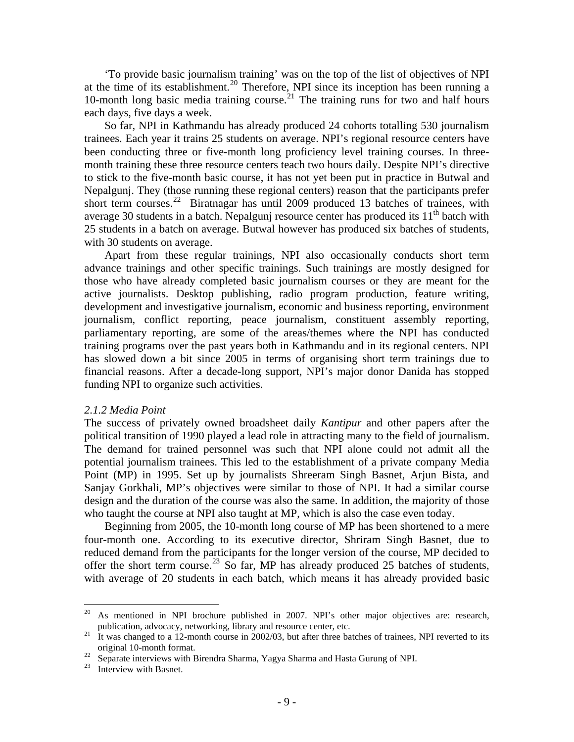'To provide basic journalism training' was on the top of the list of objectives of NPI at the time of its establishment.<sup>[20](#page-15-0)</sup> Therefore, NPI since its inception has been running a 10-month long basic media training course.<sup>[21](#page-15-1)</sup> The training runs for two and half hours each days, five days a week.

So far, NPI in Kathmandu has already produced 24 cohorts totalling 530 journalism trainees. Each year it trains 25 students on average. NPI's regional resource centers have been conducting three or five-month long proficiency level training courses. In threemonth training these three resource centers teach two hours daily. Despite NPI's directive to stick to the five-month basic course, it has not yet been put in practice in Butwal and Nepalgunj. They (those running these regional centers) reason that the participants prefer short term courses.<sup>[22](#page-15-2)</sup> Biratnagar has until 2009 produced 13 batches of trainees, with average 30 students in a batch. Nepalgunj resource center has produced its  $11<sup>th</sup>$  batch with 25 students in a batch on average. Butwal however has produced six batches of students, with 30 students on average.

Apart from these regular trainings, NPI also occasionally conducts short term advance trainings and other specific trainings. Such trainings are mostly designed for those who have already completed basic journalism courses or they are meant for the active journalists. Desktop publishing, radio program production, feature writing, development and investigative journalism, economic and business reporting, environment journalism, conflict reporting, peace journalism, constituent assembly reporting, parliamentary reporting, are some of the areas/themes where the NPI has conducted training programs over the past years both in Kathmandu and in its regional centers. NPI has slowed down a bit since 2005 in terms of organising short term trainings due to financial reasons. After a decade-long support, NPI's major donor Danida has stopped funding NPI to organize such activities.

#### *2.1.2 Media Point*

The success of privately owned broadsheet daily *Kantipur* and other papers after the political transition of 1990 played a lead role in attracting many to the field of journalism. The demand for trained personnel was such that NPI alone could not admit all the potential journalism trainees. This led to the establishment of a private company Media Point (MP) in 1995. Set up by journalists Shreeram Singh Basnet, Arjun Bista, and Sanjay Gorkhali, MP's objectives were similar to those of NPI. It had a similar course design and the duration of the course was also the same. In addition, the majority of those who taught the course at NPI also taught at MP, which is also the case even today.

Beginning from 2005, the 10-month long course of MP has been shortened to a mere four-month one. According to its executive director, Shriram Singh Basnet, due to reduced demand from the participants for the longer version of the course, MP decided to offer the short term course.<sup>[23](#page-15-3)</sup> So far, MP has already produced 25 batches of students, with average of 20 students in each batch, which means it has already provided basic

<span id="page-15-0"></span> $20\,$ 20 As mentioned in NPI brochure published in 2007. NPI's other major objectives are: research, publication, advocacy, networking, library and resource center, etc.<br><sup>21</sup> It was changed to a 12-month course in 2002/03, but after three batches of trainees, NPI reverted to its

<span id="page-15-1"></span>original 10-month format.<br><sup>22</sup> Separate interviews with Birendra Sharma, Yagya Sharma and Hasta Gurung of NPI.<br><sup>23</sup> Interview with Basnet.

<span id="page-15-3"></span><span id="page-15-2"></span>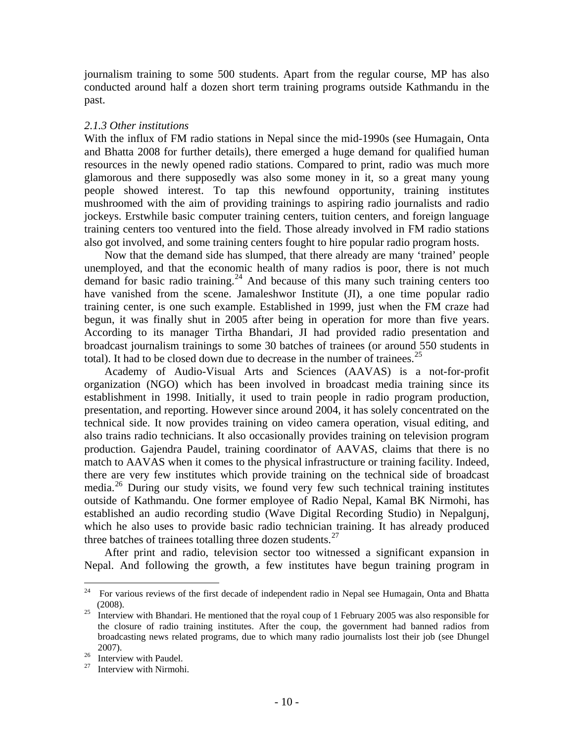journalism training to some 500 students. Apart from the regular course, MP has also conducted around half a dozen short term training programs outside Kathmandu in the past.

#### *2.1.3 Other institutions*

With the influx of FM radio stations in Nepal since the mid-1990s (see Humagain, Onta and Bhatta 2008 for further details), there emerged a huge demand for qualified human resources in the newly opened radio stations. Compared to print, radio was much more glamorous and there supposedly was also some money in it, so a great many young people showed interest. To tap this newfound opportunity, training institutes mushroomed with the aim of providing trainings to aspiring radio journalists and radio jockeys. Erstwhile basic computer training centers, tuition centers, and foreign language training centers too ventured into the field. Those already involved in FM radio stations also got involved, and some training centers fought to hire popular radio program hosts.

Now that the demand side has slumped, that there already are many 'trained' people unemployed, and that the economic health of many radios is poor, there is not much demand for basic radio training.<sup>[24](#page-16-0)</sup> And because of this many such training centers too have vanished from the scene. Jamaleshwor Institute (JI), a one time popular radio training center, is one such example. Established in 1999, just when the FM craze had begun, it was finally shut in 2005 after being in operation for more than five years. According to its manager Tirtha Bhandari, JI had provided radio presentation and broadcast journalism trainings to some 30 batches of trainees (or around 550 students in total). It had to be closed down due to decrease in the number of trainees.<sup>[25](#page-16-1)</sup>

Academy of Audio-Visual Arts and Sciences (AAVAS) is a not-for-profit organization (NGO) which has been involved in broadcast media training since its establishment in 1998. Initially, it used to train people in radio program production, presentation, and reporting. However since around 2004, it has solely concentrated on the technical side. It now provides training on video camera operation, visual editing, and also trains radio technicians. It also occasionally provides training on television program production. Gajendra Paudel, training coordinator of AAVAS, claims that there is no match to AAVAS when it comes to the physical infrastructure or training facility. Indeed, there are very few institutes which provide training on the technical side of broadcast media.[26](#page-16-2) During our study visits, we found very few such technical training institutes outside of Kathmandu. One former employee of Radio Nepal, Kamal BK Nirmohi, has established an audio recording studio (Wave Digital Recording Studio) in Nepalgunj, which he also uses to provide basic radio technician training. It has already produced three batches of trainees totalling three dozen students. $27$ 

After print and radio, television sector too witnessed a significant expansion in Nepal. And following the growth, a few institutes have begun training program in

<span id="page-16-0"></span><sup>24</sup> 24 For various reviews of the first decade of independent radio in Nepal see Humagain, Onta and Bhatta (2008).  $^{25}$  Interview with Bhandari. He mentioned that the royal coup of 1 February 2005 was also responsible for

<span id="page-16-1"></span>the closure of radio training institutes. After the coup, the government had banned radios from broadcasting news related programs, due to which many radio journalists lost their job (see Dhungel

<span id="page-16-2"></span><sup>2007).&</sup>lt;br><sup>26</sup> Interview with Paudel.<br><sup>27</sup> Interview with Nirmah

<span id="page-16-3"></span>Interview with Nirmohi.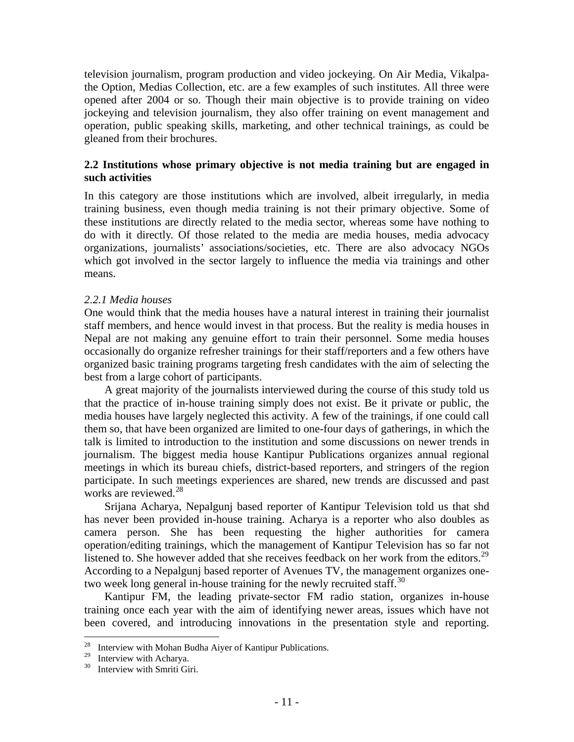television journalism, program production and video jockeying. On Air Media, Vikalpathe Option, Medias Collection, etc. are a few examples of such institutes. All three were opened after 2004 or so. Though their main objective is to provide training on video jockeying and television journalism, they also offer training on event management and operation, public speaking skills, marketing, and other technical trainings, as could be gleaned from their brochures.

#### **2.2 Institutions whose primary objective is not media training but are engaged in such activities**

In this category are those institutions which are involved, albeit irregularly, in media training business, even though media training is not their primary objective. Some of these institutions are directly related to the media sector, whereas some have nothing to do with it directly. Of those related to the media are media houses, media advocacy organizations, journalists' associations/societies, etc. There are also advocacy NGOs which got involved in the sector largely to influence the media via trainings and other means.

#### *2.2.1 Media houses*

One would think that the media houses have a natural interest in training their journalist staff members, and hence would invest in that process. But the reality is media houses in Nepal are not making any genuine effort to train their personnel. Some media houses occasionally do organize refresher trainings for their staff/reporters and a few others have organized basic training programs targeting fresh candidates with the aim of selecting the best from a large cohort of participants.

A great majority of the journalists interviewed during the course of this study told us that the practice of in-house training simply does not exist. Be it private or public, the media houses have largely neglected this activity. A few of the trainings, if one could call them so, that have been organized are limited to one-four days of gatherings, in which the talk is limited to introduction to the institution and some discussions on newer trends in journalism. The biggest media house Kantipur Publications organizes annual regional meetings in which its bureau chiefs, district-based reporters, and stringers of the region participate. In such meetings experiences are shared, new trends are discussed and past works are reviewed.<sup>[28](#page-17-0)</sup>

Srijana Acharya, Nepalgunj based reporter of Kantipur Television told us that shd has never been provided in-house training. Acharya is a reporter who also doubles as camera person. She has been requesting the higher authorities for camera operation/editing trainings, which the management of Kantipur Television has so far not listened to. She however added that she receives feedback on her work from the editors.<sup>[29](#page-17-1)</sup> According to a Nepalgunj based reporter of Avenues TV, the management organizes one-two week long general in-house training for the newly recruited staff.<sup>[30](#page-17-2)</sup>

Kantipur FM, the leading private-sector FM radio station, organizes in-house training once each year with the aim of identifying newer areas, issues which have not been covered, and introducing innovations in the presentation style and reporting.

<span id="page-17-0"></span><sup>28</sup> <sup>28</sup> Interview with Mohan Budha Aiyer of Kantipur Publications.<br><sup>29</sup> Interview with Asharya

<span id="page-17-2"></span><span id="page-17-1"></span><sup>&</sup>lt;sup>29</sup> Interview with Acharya.<br> $\frac{30}{2}$  Interview with Smrti Gi

Interview with Smriti Giri.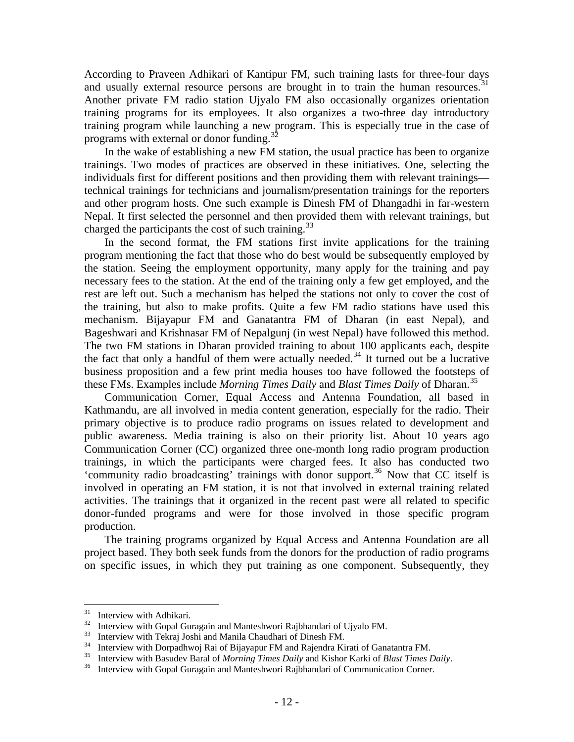According to Praveen Adhikari of Kantipur FM, such training lasts for three-four days and usually external resource persons are brought in to train the human resources.<sup>[31](#page-18-0)</sup> Another private FM radio station Ujyalo FM also occasionally organizes orientation training programs for its employees. It also organizes a two-three day introductory training program while launching a new program. This is especially true in the case of programs with external or donor funding.<sup>3</sup>

In the wake of establishing a new FM station, the usual practice has been to organize trainings. Two modes of practices are observed in these initiatives. One, selecting the individuals first for different positions and then providing them with relevant trainings technical trainings for technicians and journalism/presentation trainings for the reporters and other program hosts. One such example is Dinesh FM of Dhangadhi in far-western Nepal. It first selected the personnel and then provided them with relevant trainings, but charged the participants the cost of such training.<sup>[33](#page-18-2)</sup>

In the second format, the FM stations first invite applications for the training program mentioning the fact that those who do best would be subsequently employed by the station. Seeing the employment opportunity, many apply for the training and pay necessary fees to the station. At the end of the training only a few get employed, and the rest are left out. Such a mechanism has helped the stations not only to cover the cost of the training, but also to make profits. Quite a few FM radio stations have used this mechanism. Bijayapur FM and Ganatantra FM of Dharan (in east Nepal), and Bageshwari and Krishnasar FM of Nepalgunj (in west Nepal) have followed this method. The two FM stations in Dharan provided training to about 100 applicants each, despite the fact that only a handful of them were actually needed.<sup>[34](#page-18-3)</sup> It turned out be a lucrative business proposition and a few print media houses too have followed the footsteps of these FMs. Examples include *Morning Times Daily* and *Blast Times Daily* of Dharan.[35](#page-18-4)

Communication Corner, Equal Access and Antenna Foundation, all based in Kathmandu, are all involved in media content generation, especially for the radio. Their primary objective is to produce radio programs on issues related to development and public awareness. Media training is also on their priority list. About 10 years ago Communication Corner (CC) organized three one-month long radio program production trainings, in which the participants were charged fees. It also has conducted two 'community radio broadcasting' trainings with donor support.<sup>[36](#page-18-5)</sup> Now that CC itself is involved in operating an FM station, it is not that involved in external training related activities. The trainings that it organized in the recent past were all related to specific donor-funded programs and were for those involved in those specific program production.

The training programs organized by Equal Access and Antenna Foundation are all project based. They both seek funds from the donors for the production of radio programs on specific issues, in which they put training as one component. Subsequently, they

<span id="page-18-0"></span><sup>31</sup>  $31 \over 32$  Interview with Adhikari.

<span id="page-18-2"></span><span id="page-18-1"></span><sup>&</sup>lt;sup>32</sup> Interview with Gopal Guragain and Manteshwori Rajbhandari of Ujyalo FM.<br><sup>33</sup> Interview with Tekraj Joshi and Manila Chaudhari of Dinesh FM.<br><sup>34</sup> Interview with Demodly Rej of Bijayony FM and Beiandre Kirsti of Core

<span id="page-18-4"></span><span id="page-18-3"></span><sup>&</sup>lt;sup>34</sup> Interview with Dorpadhwoj Rai of Bijayapur FM and Rajendra Kirati of Ganatantra FM.<br><sup>35</sup> Interview with Basudev Baral of *Morning Times Daily* and Kishor Karki of *Blast Times Daily*.<br><sup>36</sup> Interview with Gopal Guraga

<span id="page-18-5"></span>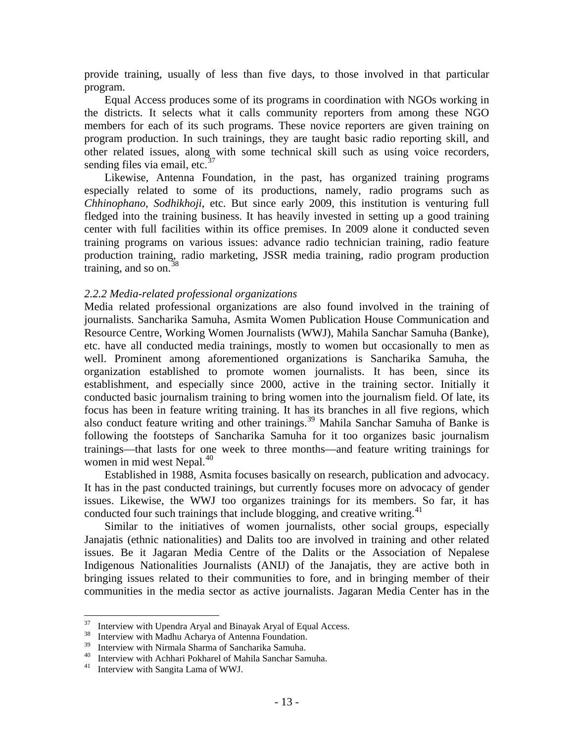provide training, usually of less than five days, to those involved in that particular program.

Equal Access produces some of its programs in coordination with NGOs working in the districts. It selects what it calls community reporters from among these NGO members for each of its such programs. These novice reporters are given training on program production. In such trainings, they are taught basic radio reporting skill, and other related issues, along with some technical skill such as using voice recorders, sending files via email, etc. $37$ 

Likewise, Antenna Foundation, in the past, has organized training programs especially related to some of its productions, namely, radio programs such as *Chhinophano*, *Sodhikhoji*, etc. But since early 2009, this institution is venturing full fledged into the training business. It has heavily invested in setting up a good training center with full facilities within its office premises. In 2009 alone it conducted seven training programs on various issues: advance radio technician training, radio feature production training, radio marketing, JSSR media training, radio program production training, and so on.  $38$ 

#### *2.2.2 Media-related professional organizations*

Media related professional organizations are also found involved in the training of journalists. Sancharika Samuha, Asmita Women Publication House Communication and Resource Centre, Working Women Journalists (WWJ), Mahila Sanchar Samuha (Banke), etc. have all conducted media trainings, mostly to women but occasionally to men as well. Prominent among aforementioned organizations is Sancharika Samuha, the organization established to promote women journalists. It has been, since its establishment, and especially since 2000, active in the training sector. Initially it conducted basic journalism training to bring women into the journalism field. Of late, its focus has been in feature writing training. It has its branches in all five regions, which also conduct feature writing and other trainings.[39](#page-19-2) Mahila Sanchar Samuha of Banke is following the footsteps of Sancharika Samuha for it too organizes basic journalism trainings—that lasts for one week to three months—and feature writing trainings for women in mid west Nepal.<sup>[40](#page-19-3)</sup>

Established in 1988, Asmita focuses basically on research, publication and advocacy. It has in the past conducted trainings, but currently focuses more on advocacy of gender issues. Likewise, the WWJ too organizes trainings for its members. So far, it has conducted four such trainings that include blogging, and creative writing. $41$ 

Similar to the initiatives of women journalists, other social groups, especially Janajatis (ethnic nationalities) and Dalits too are involved in training and other related issues. Be it Jagaran Media Centre of the Dalits or the Association of Nepalese Indigenous Nationalities Journalists (ANIJ) of the Janajatis, they are active both in bringing issues related to their communities to fore, and in bringing member of their communities in the media sector as active journalists. Jagaran Media Center has in the

 $\overline{a}$ 

<sup>&</sup>lt;sup>37</sup> Interview with Upendra Aryal and Binayak Aryal of Equal Access.<br><sup>38</sup> Interview with Madhu Acharya of Antenna Foundation.

<span id="page-19-1"></span><span id="page-19-0"></span><sup>&</sup>lt;sup>38</sup> Interview with Madhu Acharya of Antenna Foundation.<br><sup>39</sup> Interview with Nirmala Sharma of Sancharika Samuha.<br><sup>40</sup> Interview with Achari Polsharel of Mabile Sanchar Sam

<span id="page-19-4"></span><span id="page-19-3"></span><span id="page-19-2"></span><sup>&</sup>lt;sup>40</sup> Interview with Achhari Pokharel of Mahila Sanchar Samuha.<br><sup>41</sup> Interview with Sangita Lama of WWJ.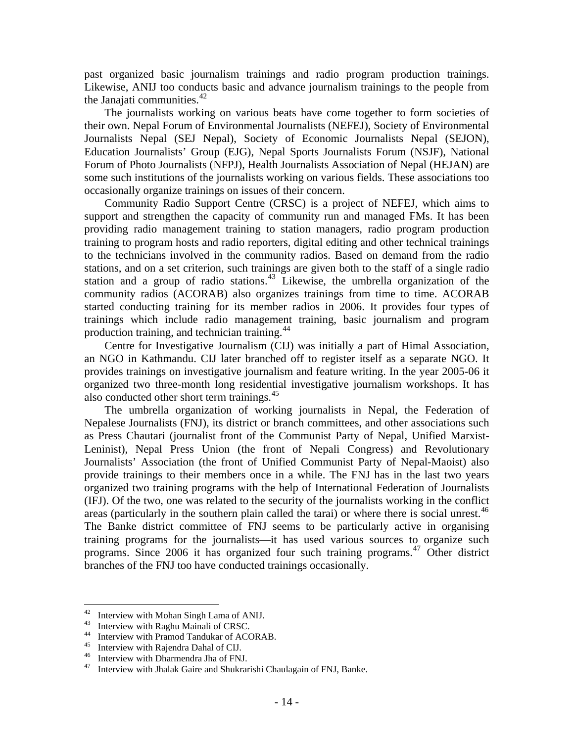past organized basic journalism trainings and radio program production trainings. Likewise, ANIJ too conducts basic and advance journalism trainings to the people from the Janajati communities.<sup>[42](#page-20-0)</sup>

The journalists working on various beats have come together to form societies of their own. Nepal Forum of Environmental Journalists (NEFEJ), Society of Environmental Journalists Nepal (SEJ Nepal), Society of Economic Journalists Nepal (SEJON), Education Journalists' Group (EJG), Nepal Sports Journalists Forum (NSJF), National Forum of Photo Journalists (NFPJ), Health Journalists Association of Nepal (HEJAN) are some such institutions of the journalists working on various fields. These associations too occasionally organize trainings on issues of their concern.

Community Radio Support Centre (CRSC) is a project of NEFEJ, which aims to support and strengthen the capacity of community run and managed FMs. It has been providing radio management training to station managers, radio program production training to program hosts and radio reporters, digital editing and other technical trainings to the technicians involved in the community radios. Based on demand from the radio stations, and on a set criterion, such trainings are given both to the staff of a single radio station and a group of radio stations.<sup>[43](#page-20-1)</sup> Likewise, the umbrella organization of the community radios (ACORAB) also organizes trainings from time to time. ACORAB started conducting training for its member radios in 2006. It provides four types of trainings which include radio management training, basic journalism and program production training, and technician training.<sup>[44](#page-20-2)</sup>

Centre for Investigative Journalism (CIJ) was initially a part of Himal Association, an NGO in Kathmandu. CIJ later branched off to register itself as a separate NGO. It provides trainings on investigative journalism and feature writing. In the year 2005-06 it organized two three-month long residential investigative journalism workshops. It has also conducted other short term trainings.<sup>[45](#page-20-3)</sup>

The umbrella organization of working journalists in Nepal, the Federation of Nepalese Journalists (FNJ), its district or branch committees, and other associations such as Press Chautari (journalist front of the Communist Party of Nepal, Unified Marxist-Leninist), Nepal Press Union (the front of Nepali Congress) and Revolutionary Journalists' Association (the front of Unified Communist Party of Nepal-Maoist) also provide trainings to their members once in a while. The FNJ has in the last two years organized two training programs with the help of International Federation of Journalists (IFJ). Of the two, one was related to the security of the journalists working in the conflict areas (particularly in the southern plain called the tarai) or where there is social unrest.<sup>[46](#page-20-4)</sup> The Banke district committee of FNJ seems to be particularly active in organising training programs for the journalists—it has used various sources to organize such programs. Since 2006 it has organized four such training programs.<sup>[47](#page-20-5)</sup> Other district branches of the FNJ too have conducted trainings occasionally.

<span id="page-20-0"></span><sup>42</sup> <sup>42</sup> Interview with Mohan Singh Lama of ANIJ.<br><sup>43</sup> Interview with Bashy Mainali of GBSG

Interview with Raghu Mainali of CRSC.

<span id="page-20-2"></span><span id="page-20-1"></span><sup>&</sup>lt;sup>44</sup> Interview with Pramod Tandukar of ACORAB.<br><sup>45</sup> Interview with Paiandra Debal of CII

<span id="page-20-3"></span> $^{45}$  Interview with Rajendra Dahal of CIJ.<br> $^{46}$  Interview with Dharmandra Iba of ENI

<span id="page-20-5"></span><span id="page-20-4"></span><sup>&</sup>lt;sup>46</sup> Interview with Dharmendra Jha of FNJ.<br><sup>47</sup> Interview with Ihalak Gaira and Shukrai

Interview with Jhalak Gaire and Shukrarishi Chaulagain of FNJ, Banke.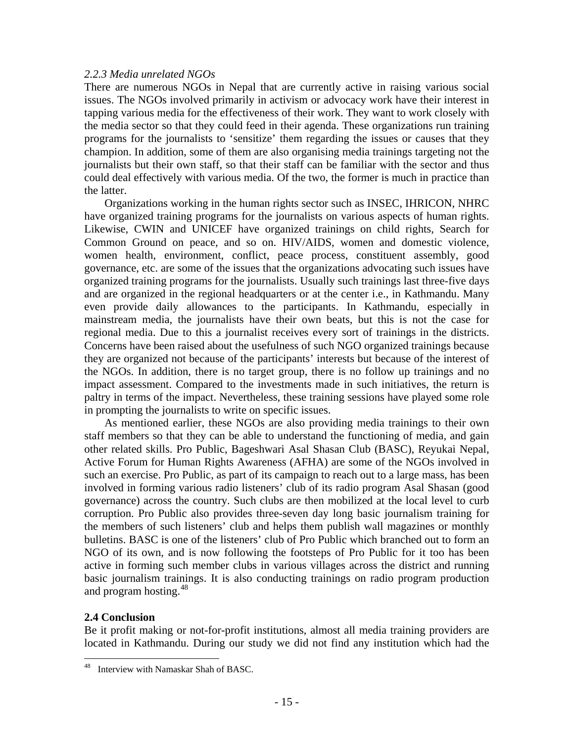#### *2.2.3 Media unrelated NGOs*

There are numerous NGOs in Nepal that are currently active in raising various social issues. The NGOs involved primarily in activism or advocacy work have their interest in tapping various media for the effectiveness of their work. They want to work closely with the media sector so that they could feed in their agenda. These organizations run training programs for the journalists to 'sensitize' them regarding the issues or causes that they champion. In addition, some of them are also organising media trainings targeting not the journalists but their own staff, so that their staff can be familiar with the sector and thus could deal effectively with various media. Of the two, the former is much in practice than the latter.

Organizations working in the human rights sector such as INSEC, IHRICON, NHRC have organized training programs for the journalists on various aspects of human rights. Likewise, CWIN and UNICEF have organized trainings on child rights, Search for Common Ground on peace, and so on. HIV/AIDS, women and domestic violence, women health, environment, conflict, peace process, constituent assembly, good governance, etc. are some of the issues that the organizations advocating such issues have organized training programs for the journalists. Usually such trainings last three-five days and are organized in the regional headquarters or at the center i.e., in Kathmandu. Many even provide daily allowances to the participants. In Kathmandu, especially in mainstream media, the journalists have their own beats, but this is not the case for regional media. Due to this a journalist receives every sort of trainings in the districts. Concerns have been raised about the usefulness of such NGO organized trainings because they are organized not because of the participants' interests but because of the interest of the NGOs. In addition, there is no target group, there is no follow up trainings and no impact assessment. Compared to the investments made in such initiatives, the return is paltry in terms of the impact. Nevertheless, these training sessions have played some role in prompting the journalists to write on specific issues.

As mentioned earlier, these NGOs are also providing media trainings to their own staff members so that they can be able to understand the functioning of media, and gain other related skills. Pro Public, Bageshwari Asal Shasan Club (BASC), Reyukai Nepal, Active Forum for Human Rights Awareness (AFHA) are some of the NGOs involved in such an exercise. Pro Public, as part of its campaign to reach out to a large mass, has been involved in forming various radio listeners' club of its radio program Asal Shasan (good governance) across the country. Such clubs are then mobilized at the local level to curb corruption. Pro Public also provides three-seven day long basic journalism training for the members of such listeners' club and helps them publish wall magazines or monthly bulletins. BASC is one of the listeners' club of Pro Public which branched out to form an NGO of its own, and is now following the footsteps of Pro Public for it too has been active in forming such member clubs in various villages across the district and running basic journalism trainings. It is also conducting trainings on radio program production and program hosting.<sup>[48](#page-21-0)</sup>

#### **2.4 Conclusion**

 $\overline{a}$ 

Be it profit making or not-for-profit institutions, almost all media training providers are located in Kathmandu. During our study we did not find any institution which had the

<span id="page-21-0"></span>Interview with Namaskar Shah of BASC.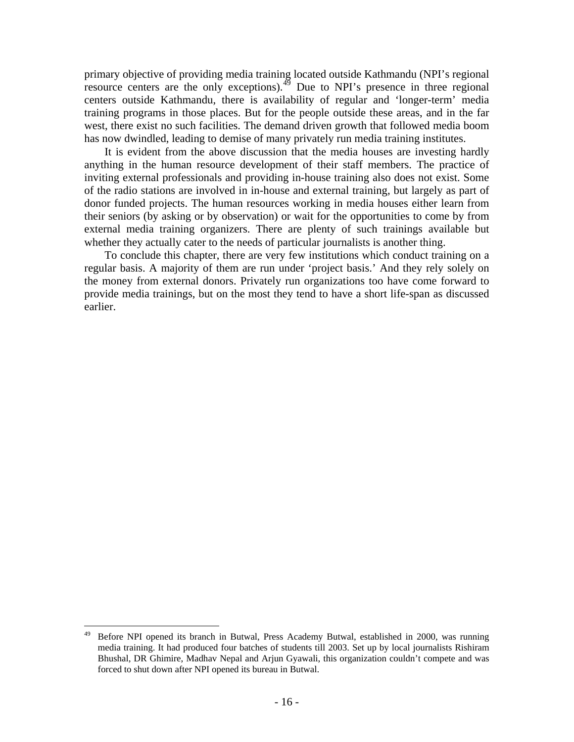primary objective of providing media training located outside Kathmandu (NPI's regional resource centers are the only exceptions). $4\overline{9}$  Due to NPI's presence in three regional centers outside Kathmandu, there is availability of regular and 'longer-term' media training programs in those places. But for the people outside these areas, and in the far west, there exist no such facilities. The demand driven growth that followed media boom has now dwindled, leading to demise of many privately run media training institutes.

It is evident from the above discussion that the media houses are investing hardly anything in the human resource development of their staff members. The practice of inviting external professionals and providing in-house training also does not exist. Some of the radio stations are involved in in-house and external training, but largely as part of donor funded projects. The human resources working in media houses either learn from their seniors (by asking or by observation) or wait for the opportunities to come by from external media training organizers. There are plenty of such trainings available but whether they actually cater to the needs of particular journalists is another thing.

To conclude this chapter, there are very few institutions which conduct training on a regular basis. A majority of them are run under 'project basis.' And they rely solely on the money from external donors. Privately run organizations too have come forward to provide media trainings, but on the most they tend to have a short life-span as discussed earlier.

<u>.</u>

<span id="page-22-0"></span><sup>49</sup> Before NPI opened its branch in Butwal, Press Academy Butwal, established in 2000, was running media training. It had produced four batches of students till 2003. Set up by local journalists Rishiram Bhushal, DR Ghimire, Madhav Nepal and Arjun Gyawali, this organization couldn't compete and was forced to shut down after NPI opened its bureau in Butwal.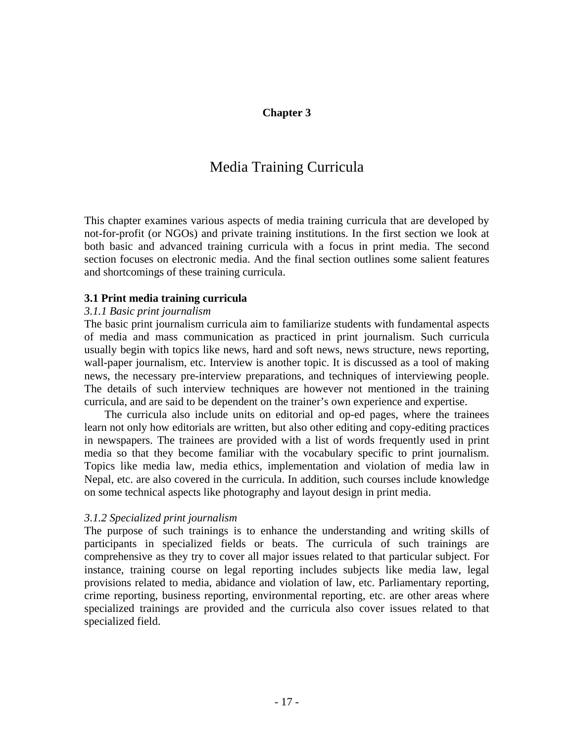### **Chapter 3**

# Media Training Curricula

This chapter examines various aspects of media training curricula that are developed by not-for-profit (or NGOs) and private training institutions. In the first section we look at both basic and advanced training curricula with a focus in print media. The second section focuses on electronic media. And the final section outlines some salient features and shortcomings of these training curricula.

#### **3.1 Print media training curricula**

#### *3.1.1 Basic print journalism*

The basic print journalism curricula aim to familiarize students with fundamental aspects of media and mass communication as practiced in print journalism. Such curricula usually begin with topics like news, hard and soft news, news structure, news reporting, wall-paper journalism, etc. Interview is another topic. It is discussed as a tool of making news, the necessary pre-interview preparations, and techniques of interviewing people. The details of such interview techniques are however not mentioned in the training curricula, and are said to be dependent on the trainer's own experience and expertise.

The curricula also include units on editorial and op-ed pages, where the trainees learn not only how editorials are written, but also other editing and copy-editing practices in newspapers. The trainees are provided with a list of words frequently used in print media so that they become familiar with the vocabulary specific to print journalism. Topics like media law, media ethics, implementation and violation of media law in Nepal, etc. are also covered in the curricula. In addition, such courses include knowledge on some technical aspects like photography and layout design in print media.

#### *3.1.2 Specialized print journalism*

The purpose of such trainings is to enhance the understanding and writing skills of participants in specialized fields or beats. The curricula of such trainings are comprehensive as they try to cover all major issues related to that particular subject. For instance, training course on legal reporting includes subjects like media law, legal provisions related to media, abidance and violation of law, etc. Parliamentary reporting, crime reporting, business reporting, environmental reporting, etc. are other areas where specialized trainings are provided and the curricula also cover issues related to that specialized field.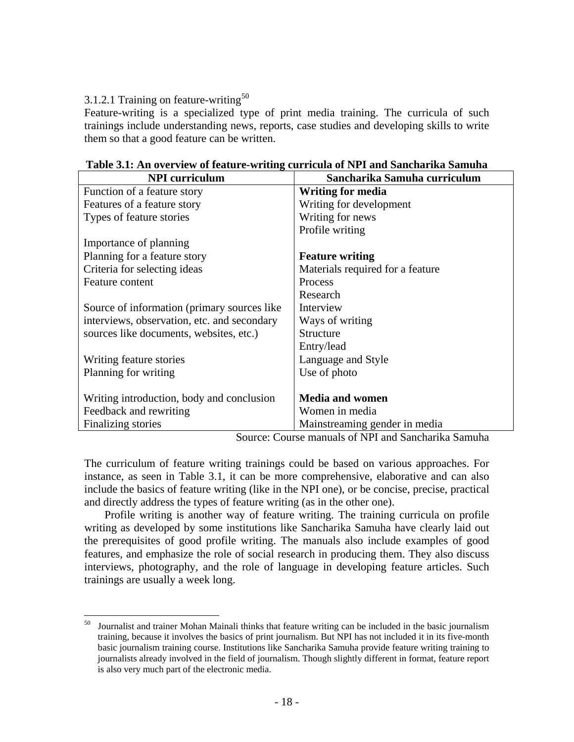# 3.1.2.1 Training on feature-writing<sup>[50](#page-24-0)</sup>

 $\overline{a}$ 

Feature-writing is a specialized type of print media training. The curricula of such trainings include understanding news, reports, case studies and developing skills to write them so that a good feature can be written.

| <b>NPI</b> curriculum                       | Sancharika Samuha curriculum     |
|---------------------------------------------|----------------------------------|
| Function of a feature story                 | <b>Writing for media</b>         |
| Features of a feature story                 | Writing for development          |
| Types of feature stories                    | Writing for news                 |
|                                             | Profile writing                  |
| Importance of planning                      |                                  |
| Planning for a feature story                | <b>Feature writing</b>           |
| Criteria for selecting ideas                | Materials required for a feature |
| Feature content                             | Process                          |
|                                             | Research                         |
| Source of information (primary sources like | Interview                        |
| interviews, observation, etc. and secondary | Ways of writing                  |
| sources like documents, websites, etc.)     | Structure                        |
|                                             | Entry/lead                       |
| Writing feature stories                     | Language and Style               |
| Planning for writing                        | Use of photo                     |
|                                             |                                  |
| Writing introduction, body and conclusion   | <b>Media and women</b>           |
| Feedback and rewriting                      | Women in media                   |
| Finalizing stories                          | Mainstreaming gender in media    |

#### **Table 3.1: An overview of feature-writing curricula of NPI and Sancharika Samuha**

Source: Course manuals of NPI and Sancharika Samuha

The curriculum of feature writing trainings could be based on various approaches. For instance, as seen in Table 3.1, it can be more comprehensive, elaborative and can also include the basics of feature writing (like in the NPI one), or be concise, precise, practical and directly address the types of feature writing (as in the other one).

Profile writing is another way of feature writing. The training curricula on profile writing as developed by some institutions like Sancharika Samuha have clearly laid out the prerequisites of good profile writing. The manuals also include examples of good features, and emphasize the role of social research in producing them. They also discuss interviews, photography, and the role of language in developing feature articles. Such trainings are usually a week long.

<span id="page-24-0"></span><sup>50</sup> Journalist and trainer Mohan Mainali thinks that feature writing can be included in the basic journalism training, because it involves the basics of print journalism. But NPI has not included it in its five-month basic journalism training course. Institutions like Sancharika Samuha provide feature writing training to journalists already involved in the field of journalism. Though slightly different in format, feature report is also very much part of the electronic media.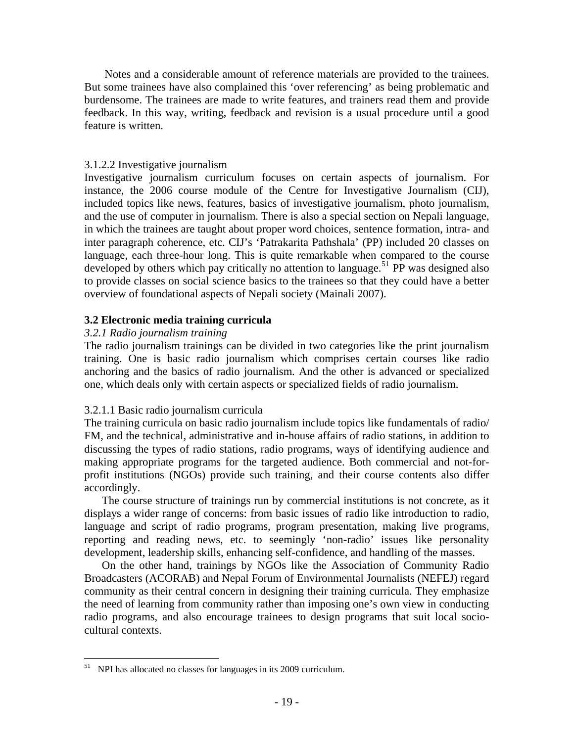Notes and a considerable amount of reference materials are provided to the trainees. But some trainees have also complained this 'over referencing' as being problematic and burdensome. The trainees are made to write features, and trainers read them and provide feedback. In this way, writing, feedback and revision is a usual procedure until a good feature is written.

#### 3.1.2.2 Investigative journalism

Investigative journalism curriculum focuses on certain aspects of journalism. For instance, the 2006 course module of the Centre for Investigative Journalism (CIJ), included topics like news, features, basics of investigative journalism, photo journalism, and the use of computer in journalism. There is also a special section on Nepali language, in which the trainees are taught about proper word choices, sentence formation, intra- and inter paragraph coherence, etc. CIJ's 'Patrakarita Pathshala' (PP) included 20 classes on language, each three-hour long. This is quite remarkable when compared to the course developed by others which pay critically no attention to language.<sup>[51](#page-25-0)</sup> PP was designed also to provide classes on social science basics to the trainees so that they could have a better overview of foundational aspects of Nepali society (Mainali 2007).

#### **3.2 Electronic media training curricula**

#### *3.2.1 Radio journalism training*

The radio journalism trainings can be divided in two categories like the print journalism training. One is basic radio journalism which comprises certain courses like radio anchoring and the basics of radio journalism. And the other is advanced or specialized one, which deals only with certain aspects or specialized fields of radio journalism.

#### 3.2.1.1 Basic radio journalism curricula

The training curricula on basic radio journalism include topics like fundamentals of radio/ FM, and the technical, administrative and in-house affairs of radio stations, in addition to discussing the types of radio stations, radio programs, ways of identifying audience and making appropriate programs for the targeted audience. Both commercial and not-forprofit institutions (NGOs) provide such training, and their course contents also differ accordingly.

The course structure of trainings run by commercial institutions is not concrete, as it displays a wider range of concerns: from basic issues of radio like introduction to radio, language and script of radio programs, program presentation, making live programs, reporting and reading news, etc. to seemingly 'non-radio' issues like personality development, leadership skills, enhancing self-confidence, and handling of the masses.

On the other hand, trainings by NGOs like the Association of Community Radio Broadcasters (ACORAB) and Nepal Forum of Environmental Journalists (NEFEJ) regard community as their central concern in designing their training curricula. They emphasize the need of learning from community rather than imposing one's own view in conducting radio programs, and also encourage trainees to design programs that suit local sociocultural contexts.

 $\overline{a}$ 

<span id="page-25-0"></span> $51$  NPI has allocated no classes for languages in its 2009 curriculum.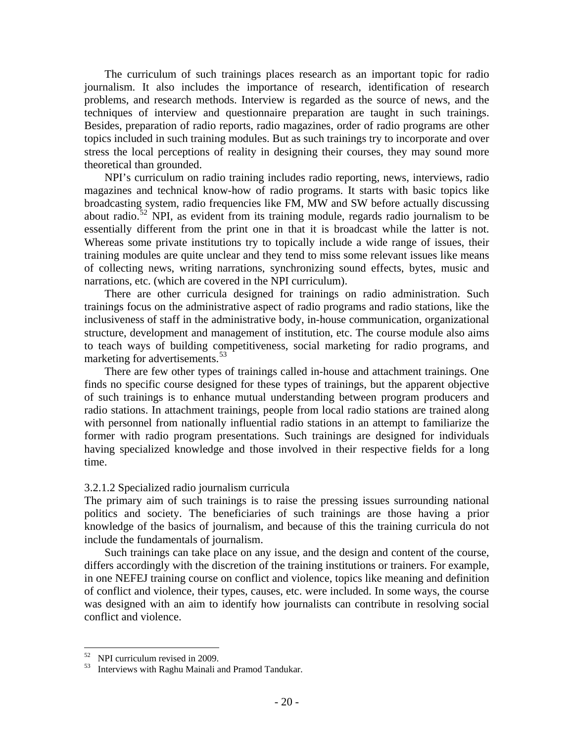The curriculum of such trainings places research as an important topic for radio journalism. It also includes the importance of research, identification of research problems, and research methods. Interview is regarded as the source of news, and the techniques of interview and questionnaire preparation are taught in such trainings. Besides, preparation of radio reports, radio magazines, order of radio programs are other topics included in such training modules. But as such trainings try to incorporate and over stress the local perceptions of reality in designing their courses, they may sound more theoretical than grounded.

NPI's curriculum on radio training includes radio reporting, news, interviews, radio magazines and technical know-how of radio programs. It starts with basic topics like broadcasting system, radio frequencies like FM, MW and SW before actually discussing about radio.<sup>[52](#page-26-0)</sup> NPI, as evident from its training module, regards radio journalism to be essentially different from the print one in that it is broadcast while the latter is not. Whereas some private institutions try to topically include a wide range of issues, their training modules are quite unclear and they tend to miss some relevant issues like means of collecting news, writing narrations, synchronizing sound effects, bytes, music and narrations, etc. (which are covered in the NPI curriculum).

There are other curricula designed for trainings on radio administration. Such trainings focus on the administrative aspect of radio programs and radio stations, like the inclusiveness of staff in the administrative body, in-house communication, organizational structure, development and management of institution, etc. The course module also aims to teach ways of building competitiveness, social marketing for radio programs, and marketing for advertisements.<sup>[53](#page-26-1)</sup>

There are few other types of trainings called in-house and attachment trainings. One finds no specific course designed for these types of trainings, but the apparent objective of such trainings is to enhance mutual understanding between program producers and radio stations. In attachment trainings, people from local radio stations are trained along with personnel from nationally influential radio stations in an attempt to familiarize the former with radio program presentations. Such trainings are designed for individuals having specialized knowledge and those involved in their respective fields for a long time.

#### 3.2.1.2 Specialized radio journalism curricula

The primary aim of such trainings is to raise the pressing issues surrounding national politics and society. The beneficiaries of such trainings are those having a prior knowledge of the basics of journalism, and because of this the training curricula do not include the fundamentals of journalism.

Such trainings can take place on any issue, and the design and content of the course, differs accordingly with the discretion of the training institutions or trainers. For example, in one NEFEJ training course on conflict and violence, topics like meaning and definition of conflict and violence, their types, causes, etc. were included. In some ways, the course was designed with an aim to identify how journalists can contribute in resolving social conflict and violence.

 $\overline{a}$ 

<span id="page-26-1"></span><span id="page-26-0"></span> $^{52}$  NPI curriculum revised in 2009.

Interviews with Raghu Mainali and Pramod Tandukar.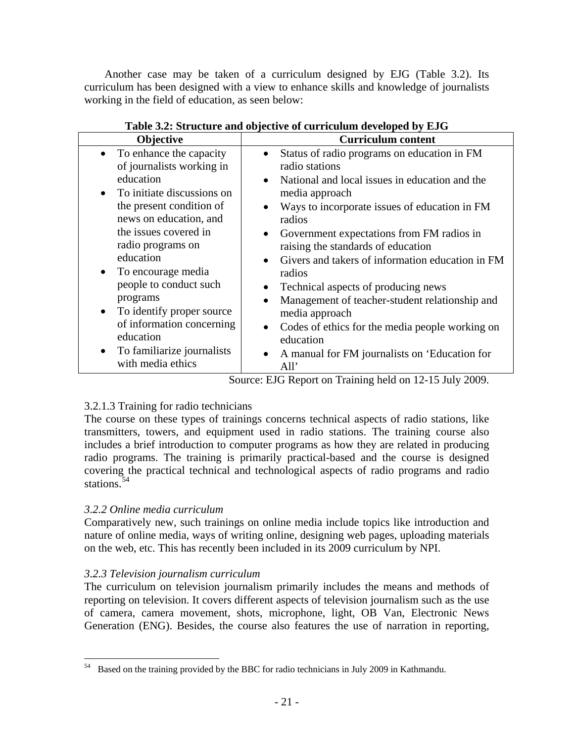Another case may be taken of a curriculum designed by EJG (Table 3.2). Its curriculum has been designed with a view to enhance skills and knowledge of journalists working in the field of education, as seen below:

| Objective                                                                                                                                                                                                                                                                                                                                                                           | <b>Curriculum content</b>                                                                                                                                                                                                                                                                                                                                                                                                                                                                                                                                                                                                                                                                      |  |  |
|-------------------------------------------------------------------------------------------------------------------------------------------------------------------------------------------------------------------------------------------------------------------------------------------------------------------------------------------------------------------------------------|------------------------------------------------------------------------------------------------------------------------------------------------------------------------------------------------------------------------------------------------------------------------------------------------------------------------------------------------------------------------------------------------------------------------------------------------------------------------------------------------------------------------------------------------------------------------------------------------------------------------------------------------------------------------------------------------|--|--|
| • To enhance the capacity<br>of journalists working in<br>education<br>To initiate discussions on<br>the present condition of<br>news on education, and<br>the issues covered in<br>radio programs on<br>education<br>To encourage media<br>people to conduct such<br>programs<br>To identify proper source<br>of information concerning<br>education<br>To familiarize journalists | Status of radio programs on education in FM<br>$\bullet$<br>radio stations<br>National and local issues in education and the<br>$\bullet$<br>media approach<br>Ways to incorporate issues of education in FM<br>$\bullet$<br>radios<br>Government expectations from FM radios in<br>$\bullet$<br>raising the standards of education<br>Givers and takers of information education in FM<br>$\bullet$<br>radios<br>Technical aspects of producing news<br>$\bullet$<br>Management of teacher-student relationship and<br>$\bullet$<br>media approach<br>Codes of ethics for the media people working on<br>$\bullet$<br>education<br>A manual for FM journalists on 'Education for<br>$\bullet$ |  |  |
| with media ethics                                                                                                                                                                                                                                                                                                                                                                   | All'                                                                                                                                                                                                                                                                                                                                                                                                                                                                                                                                                                                                                                                                                           |  |  |

**Table 3.2: Structure and objective of curriculum developed by EJG** 

Source: EJG Report on Training held on 12-15 July 2009.

# 3.2.1.3 Training for radio technicians

The course on these types of trainings concerns technical aspects of radio stations, like transmitters, towers, and equipment used in radio stations. The training course also includes a brief introduction to computer programs as how they are related in producing radio programs. The training is primarily practical-based and the course is designed covering the practical technical and technological aspects of radio programs and radio stations.<sup>[54](#page-27-0)</sup>

# *3.2.2 Online media curriculum*

Comparatively new, such trainings on online media include topics like introduction and nature of online media, ways of writing online, designing web pages, uploading materials on the web, etc. This has recently been included in its 2009 curriculum by NPI.

# *3.2.3 Television journalism curriculum*

The curriculum on television journalism primarily includes the means and methods of reporting on television. It covers different aspects of television journalism such as the use of camera, camera movement, shots, microphone, light, OB Van, Electronic News Generation (ENG). Besides, the course also features the use of narration in reporting,

<span id="page-27-0"></span><sup>54</sup> Based on the training provided by the BBC for radio technicians in July 2009 in Kathmandu.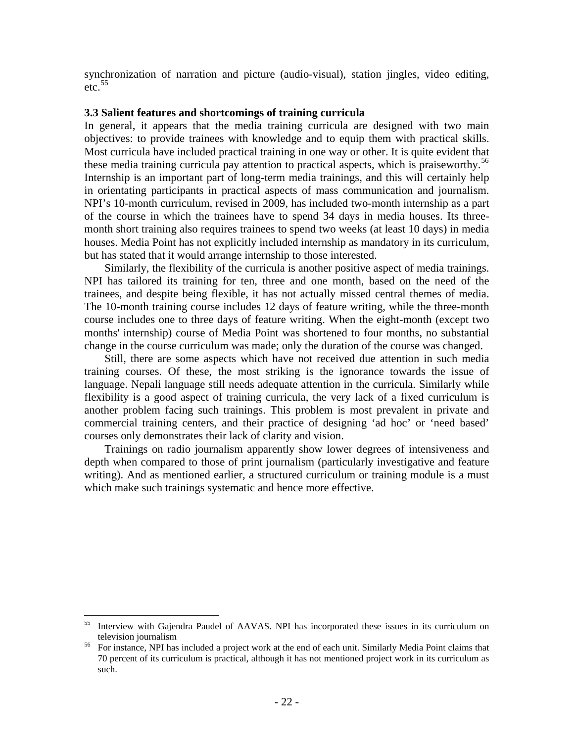synchronization of narration and picture (audio-visual), station jingles, video editing,  $etc.$ <sup>[55](#page-28-0)</sup>

#### **3.3 Salient features and shortcomings of training curricula**

In general, it appears that the media training curricula are designed with two main objectives: to provide trainees with knowledge and to equip them with practical skills. Most curricula have included practical training in one way or other. It is quite evident that these media training curricula pay attention to practical aspects, which is praiseworthy.<sup>[56](#page-28-1)</sup> Internship is an important part of long-term media trainings, and this will certainly help in orientating participants in practical aspects of mass communication and journalism. NPI's 10-month curriculum, revised in 2009, has included two-month internship as a part of the course in which the trainees have to spend 34 days in media houses. Its threemonth short training also requires trainees to spend two weeks (at least 10 days) in media houses. Media Point has not explicitly included internship as mandatory in its curriculum, but has stated that it would arrange internship to those interested.

Similarly, the flexibility of the curricula is another positive aspect of media trainings. NPI has tailored its training for ten, three and one month, based on the need of the trainees, and despite being flexible, it has not actually missed central themes of media. The 10-month training course includes 12 days of feature writing, while the three-month course includes one to three days of feature writing. When the eight-month (except two months' internship) course of Media Point was shortened to four months, no substantial change in the course curriculum was made; only the duration of the course was changed.

Still, there are some aspects which have not received due attention in such media training courses. Of these, the most striking is the ignorance towards the issue of language. Nepali language still needs adequate attention in the curricula. Similarly while flexibility is a good aspect of training curricula, the very lack of a fixed curriculum is another problem facing such trainings. This problem is most prevalent in private and commercial training centers, and their practice of designing 'ad hoc' or 'need based' courses only demonstrates their lack of clarity and vision.

Trainings on radio journalism apparently show lower degrees of intensiveness and depth when compared to those of print journalism (particularly investigative and feature writing). And as mentioned earlier, a structured curriculum or training module is a must which make such trainings systematic and hence more effective.

<span id="page-28-0"></span><sup>55</sup> 55 Interview with Gajendra Paudel of AAVAS. NPI has incorporated these issues in its curriculum on television journalism<br><sup>56</sup> For instance, NPI has included a project work at the end of each unit. Similarly Media Point claims that

<span id="page-28-1"></span><sup>70</sup> percent of its curriculum is practical, although it has not mentioned project work in its curriculum as such.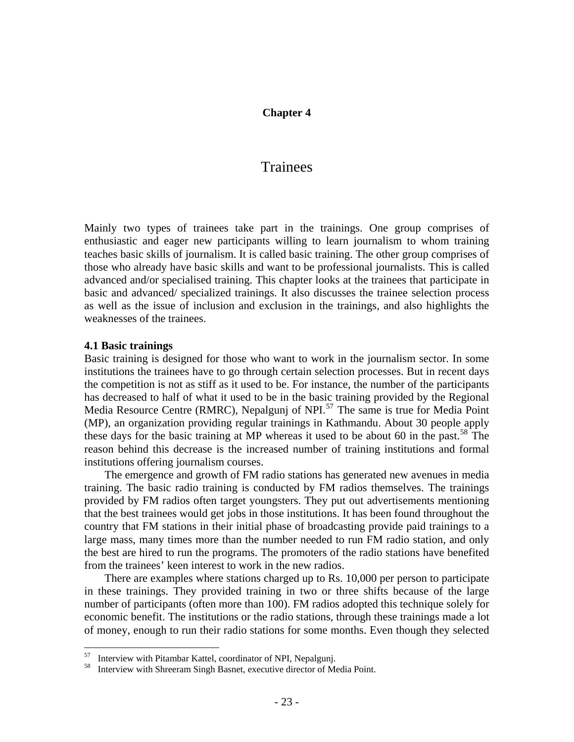#### **Chapter 4**

# Trainees

Mainly two types of trainees take part in the trainings. One group comprises of enthusiastic and eager new participants willing to learn journalism to whom training teaches basic skills of journalism. It is called basic training. The other group comprises of those who already have basic skills and want to be professional journalists. This is called advanced and/or specialised training. This chapter looks at the trainees that participate in basic and advanced/ specialized trainings. It also discusses the trainee selection process as well as the issue of inclusion and exclusion in the trainings, and also highlights the weaknesses of the trainees.

#### **4.1 Basic trainings**

1

Basic training is designed for those who want to work in the journalism sector. In some institutions the trainees have to go through certain selection processes. But in recent days the competition is not as stiff as it used to be. For instance, the number of the participants has decreased to half of what it used to be in the basic training provided by the Regional Media Resource Centre (RMRC), Nepalgunj of NPI $^{57}$  $^{57}$  $^{57}$  The same is true for Media Point (MP), an organization providing regular trainings in Kathmandu. About 30 people apply these days for the basic training at MP whereas it used to be about 60 in the past.<sup>[58](#page-29-1)</sup> The reason behind this decrease is the increased number of training institutions and formal institutions offering journalism courses.

The emergence and growth of FM radio stations has generated new avenues in media training. The basic radio training is conducted by FM radios themselves. The trainings provided by FM radios often target youngsters. They put out advertisements mentioning that the best trainees would get jobs in those institutions. It has been found throughout the country that FM stations in their initial phase of broadcasting provide paid trainings to a large mass, many times more than the number needed to run FM radio station, and only the best are hired to run the programs. The promoters of the radio stations have benefited from the trainees' keen interest to work in the new radios.

There are examples where stations charged up to Rs. 10,000 per person to participate in these trainings. They provided training in two or three shifts because of the large number of participants (often more than 100). FM radios adopted this technique solely for economic benefit. The institutions or the radio stations, through these trainings made a lot of money, enough to run their radio stations for some months. Even though they selected

<span id="page-29-1"></span><span id="page-29-0"></span> $57$  Interview with Pitambar Kattel, coordinator of NPI, Nepalgunj.<br> $58$  Interview with Shreeram Singh Basnet, executive director of Media Point.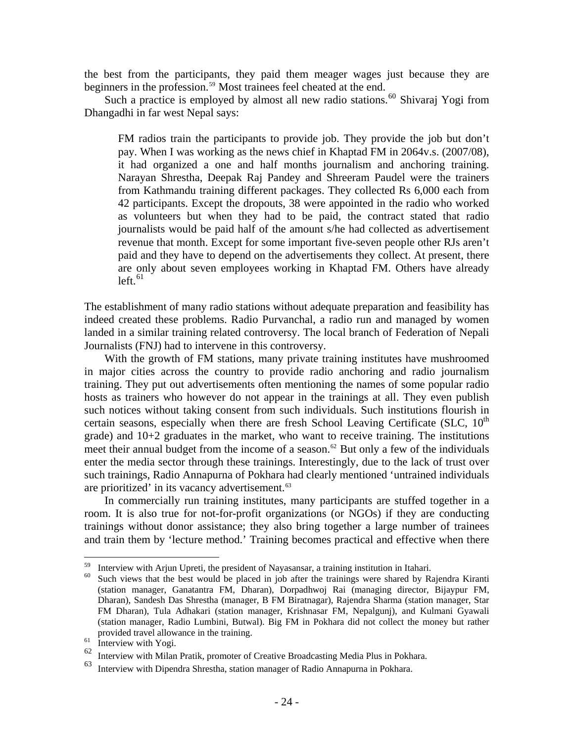the best from the participants, they paid them meager wages just because they are beginners in the profession.<sup>[59](#page-30-0)</sup> Most trainees feel cheated at the end.

Such a practice is employed by almost all new radio stations.<sup>[60](#page-30-1)</sup> Shivaraj Yogi from Dhangadhi in far west Nepal says:

FM radios train the participants to provide job. They provide the job but don't pay. When I was working as the news chief in Khaptad FM in 2064v.s. (2007/08), it had organized a one and half months journalism and anchoring training. Narayan Shrestha, Deepak Raj Pandey and Shreeram Paudel were the trainers from Kathmandu training different packages. They collected Rs 6,000 each from 42 participants. Except the dropouts, 38 were appointed in the radio who worked as volunteers but when they had to be paid, the contract stated that radio journalists would be paid half of the amount s/he had collected as advertisement revenue that month. Except for some important five-seven people other RJs aren't paid and they have to depend on the advertisements they collect. At present, there are only about seven employees working in Khaptad FM. Others have already  $left<sub>61</sub>$  $left<sub>61</sub>$  $left<sub>61</sub>$ 

The establishment of many radio stations without adequate preparation and feasibility has indeed created these problems. Radio Purvanchal, a radio run and managed by women landed in a similar training related controversy. The local branch of Federation of Nepali Journalists (FNJ) had to intervene in this controversy.

With the growth of FM stations, many private training institutes have mushroomed in major cities across the country to provide radio anchoring and radio journalism training. They put out advertisements often mentioning the names of some popular radio hosts as trainers who however do not appear in the trainings at all. They even publish such notices without taking consent from such individuals. Such institutions flourish in certain seasons, especially when there are fresh School Leaving Certificate (SLC,  $10^{th}$ ) grade) and 10+2 graduates in the market, who want to receive training. The institutions meet their annual budget from the income of a season.<sup>[62](#page-30-3)</sup> But only a few of the individuals enter the media sector through these trainings. Interestingly, due to the lack of trust over such trainings, Radio Annapurna of Pokhara had clearly mentioned 'untrained individuals are prioritized' in its vacancy advertisement.<sup>[63](#page-30-4)</sup>

In commercially run training institutes, many participants are stuffed together in a room. It is also true for not-for-profit organizations (or NGOs) if they are conducting trainings without donor assistance; they also bring together a large number of trainees and train them by 'lecture method.' Training becomes practical and effective when there

<u>.</u>

<span id="page-30-1"></span><span id="page-30-0"></span><sup>&</sup>lt;sup>59</sup> Interview with Arjun Upreti, the president of Nayasansar, a training institution in Itahari.

Such views that the best would be placed in job after the trainings were shared by Rajendra Kiranti (station manager, Ganatantra FM, Dharan), Dorpadhwoj Rai (managing director, Bijaypur FM, Dharan), Sandesh Das Shrestha (manager, B FM Biratnagar), Rajendra Sharma (station manager, Star FM Dharan), Tula Adhakari (station manager, Krishnasar FM, Nepalgunj), and Kulmani Gyawali (station manager, Radio Lumbini, Butwal). Big FM in Pokhara did not collect the money but rather provided travel allowance in the training.<br>
<sup>61</sup> Interview with Yogi.<br>
<sup>62</sup> Interview with Milan Pratik promoter of

<span id="page-30-3"></span><span id="page-30-2"></span>

Interview with Milan Pratik, promoter of Creative Broadcasting Media Plus in Pokhara.

<span id="page-30-4"></span>Interview with Dipendra Shrestha, station manager of Radio Annapurna in Pokhara.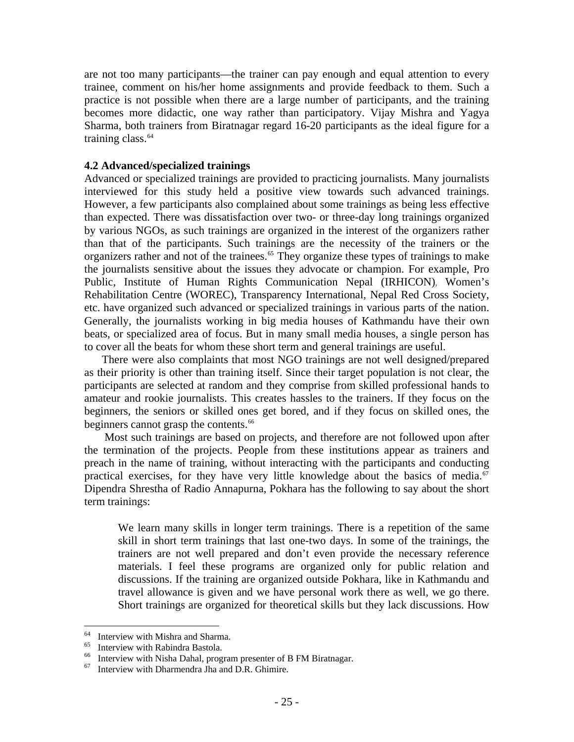are not too many participants—the trainer can pay enough and equal attention to every trainee, comment on his/her home assignments and provide feedback to them. Such a practice is not possible when there are a large number of participants, and the training becomes more didactic, one way rather than participatory. Vijay Mishra and Yagya Sharma, both trainers from Biratnagar regard 16-20 participants as the ideal figure for a training class. $64$ 

#### **4.2 Advanced/specialized trainings**

Advanced or specialized trainings are provided to practicing journalists. Many journalists interviewed for this study held a positive view towards such advanced trainings. However, a few participants also complained about some trainings as being less effective than expected. There was dissatisfaction over two- or three-day long trainings organized by various NGOs, as such trainings are organized in the interest of the organizers rather than that of the participants. Such trainings are the necessity of the trainers or the organizers rather and not of the trainees.<sup>[65](#page-31-1)</sup> They organize these types of trainings to make the journalists sensitive about the issues they advocate or champion. For example, Pro Public, Institute of Human Rights Communication Nepal (IRHICON), Women's Rehabilitation Centre (WOREC), Transparency International, Nepal Red Cross Society, etc. have organized such advanced or specialized trainings in various parts of the nation. Generally, the journalists working in big media houses of Kathmandu have their own beats, or specialized area of focus. But in many small media houses, a single person has to cover all the beats for whom these short term and general trainings are useful.

There were also complaints that most NGO trainings are not well designed/prepared as their priority is other than training itself. Since their target population is not clear, the participants are selected at random and they comprise from skilled professional hands to amateur and rookie journalists. This creates hassles to the trainers. If they focus on the beginners, the seniors or skilled ones get bored, and if they focus on skilled ones, the beginners cannot grasp the contents.<sup>[66](#page-31-2)</sup>

Most such trainings are based on projects, and therefore are not followed upon after the termination of the projects. People from these institutions appear as trainers and preach in the name of training, without interacting with the participants and conducting practical exercises, for they have very little knowledge about the basics of media. $67$ Dipendra Shrestha of Radio Annapurna, Pokhara has the following to say about the short term trainings:

We learn many skills in longer term trainings. There is a repetition of the same skill in short term trainings that last one-two days. In some of the trainings, the trainers are not well prepared and don't even provide the necessary reference materials. I feel these programs are organized only for public relation and discussions. If the training are organized outside Pokhara, like in Kathmandu and travel allowance is given and we have personal work there as well, we go there. Short trainings are organized for theoretical skills but they lack discussions. How

<span id="page-31-0"></span><sup>64</sup>  $^{64}$  Interview with Mishra and Sharma.

<span id="page-31-1"></span> $^{65}$  Interview with Rabindra Bastola.

<span id="page-31-2"></span><sup>&</sup>lt;sup>66</sup> Interview with Nisha Dahal, program presenter of B FM Biratnagar.<br><sup>67</sup> Interview with Dharmandra Iba and D P. Ghimira

<span id="page-31-3"></span>Interview with Dharmendra Jha and D.R. Ghimire.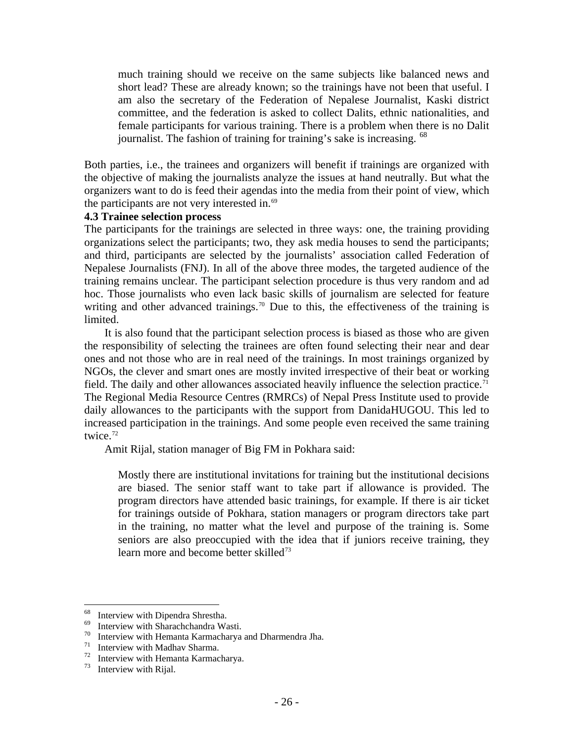much training should we receive on the same subjects like balanced news and short lead? These are already known; so the trainings have not been that useful. I am also the secretary of the Federation of Nepalese Journalist, Kaski district committee, and the federation is asked to collect Dalits, ethnic nationalities, and female participants for various training. There is a problem when there is no Dalit journalist. The fashion of training for training's sake is increasing. <sup>[68](#page-32-0)</sup>

Both parties, i.e., the trainees and organizers will benefit if trainings are organized with the objective of making the journalists analyze the issues at hand neutrally. But what the organizers want to do is feed their agendas into the media from their point of view, which the participants are not very interested in. $69$ 

#### **4.3 Trainee selection process**

The participants for the trainings are selected in three ways: one, the training providing organizations select the participants; two, they ask media houses to send the participants; and third, participants are selected by the journalists' association called Federation of Nepalese Journalists (FNJ). In all of the above three modes, the targeted audience of the training remains unclear. The participant selection procedure is thus very random and ad hoc. Those journalists who even lack basic skills of journalism are selected for feature writing and other advanced trainings.<sup>[70](#page-32-2)</sup> Due to this, the effectiveness of the training is limited.

It is also found that the participant selection process is biased as those who are given the responsibility of selecting the trainees are often found selecting their near and dear ones and not those who are in real need of the trainings. In most trainings organized by NGOs, the clever and smart ones are mostly invited irrespective of their beat or working field. The daily and other allowances associated heavily influence the selection practice.<sup>[71](#page-32-3)</sup> The Regional Media Resource Centres (RMRCs) of Nepal Press Institute used to provide daily allowances to the participants with the support from DanidaHUGOU. This led to increased participation in the trainings. And some people even received the same training twice. $72$ 

Amit Rijal, station manager of Big FM in Pokhara said:

Mostly there are institutional invitations for training but the institutional decisions are biased. The senior staff want to take part if allowance is provided. The program directors have attended basic trainings, for example. If there is air ticket for trainings outside of Pokhara, station managers or program directors take part in the training, no matter what the level and purpose of the training is. Some seniors are also preoccupied with the idea that if juniors receive training, they learn more and become better skilled<sup>[73](#page-32-5)</sup>

 $\overline{a}$ 

<span id="page-32-0"></span><sup>&</sup>lt;sup>68</sup> Interview with Dipendra Shrestha.<br> $\frac{69}{100}$  Interview with Shangahabar due We

<span id="page-32-2"></span><span id="page-32-1"></span><sup>&</sup>lt;sup>69</sup> Interview with Sharachchandra Wasti.<br><sup>70</sup> Interview with Hemanta Karmacharya

<span id="page-32-3"></span><sup>&</sup>lt;sup>70</sup> Interview with Hemanta Karmacharya and Dharmendra Jha.<br><sup>71</sup> Interview with Madhav Sharma.<br><sup>72</sup> Interview with Hemanta Karmacharya.

<span id="page-32-5"></span><span id="page-32-4"></span><sup>&</sup>lt;sup>72</sup> Interview with Hemanta Karmacharya.<br> $^{73}$  Interview with Pijal

Interview with Rijal.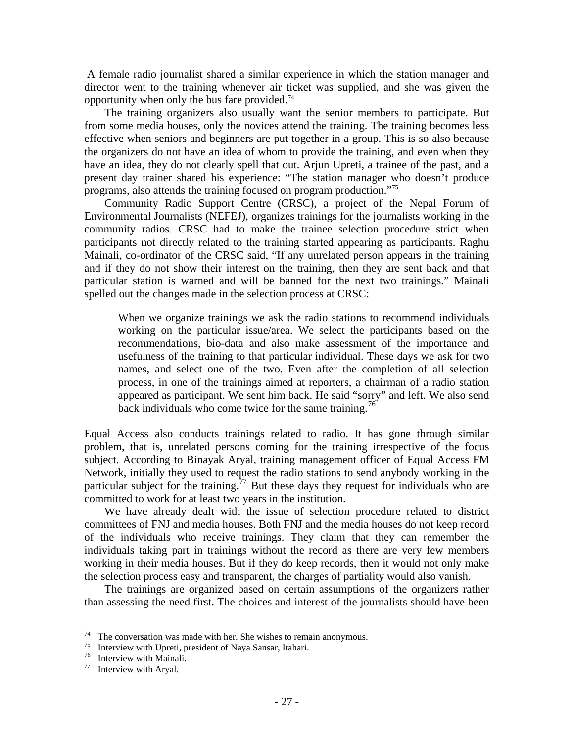A female radio journalist shared a similar experience in which the station manager and director went to the training whenever air ticket was supplied, and she was given the opportunity when only the bus fare provided.<sup>[74](#page-33-0)</sup>

The training organizers also usually want the senior members to participate. But from some media houses, only the novices attend the training. The training becomes less effective when seniors and beginners are put together in a group. This is so also because the organizers do not have an idea of whom to provide the training, and even when they have an idea, they do not clearly spell that out. Arjun Upreti, a trainee of the past, and a present day trainer shared his experience: "The station manager who doesn't produce programs, also attends the training focused on program production."[75](#page-33-1)

Community Radio Support Centre (CRSC), a project of the Nepal Forum of Environmental Journalists (NEFEJ), organizes trainings for the journalists working in the community radios. CRSC had to make the trainee selection procedure strict when participants not directly related to the training started appearing as participants. Raghu Mainali, co-ordinator of the CRSC said, "If any unrelated person appears in the training and if they do not show their interest on the training, then they are sent back and that particular station is warned and will be banned for the next two trainings." Mainali spelled out the changes made in the selection process at CRSC:

When we organize trainings we ask the radio stations to recommend individuals working on the particular issue/area. We select the participants based on the recommendations, bio-data and also make assessment of the importance and usefulness of the training to that particular individual. These days we ask for two names, and select one of the two. Even after the completion of all selection process, in one of the trainings aimed at reporters, a chairman of a radio station appeared as participant. We sent him back. He said "sorry" and left. We also send back individuals who come twice for the same training.<sup>[76](#page-33-2)</sup>

Equal Access also conducts trainings related to radio. It has gone through similar problem, that is, unrelated persons coming for the training irrespective of the focus subject. According to Binayak Aryal, training management officer of Equal Access FM Network, initially they used to request the radio stations to send anybody working in the particular subject for the training.<sup>[77](#page-33-3)</sup> But these days they request for individuals who are committed to work for at least two years in the institution.

We have already dealt with the issue of selection procedure related to district committees of FNJ and media houses. Both FNJ and the media houses do not keep record of the individuals who receive trainings. They claim that they can remember the individuals taking part in trainings without the record as there are very few members working in their media houses. But if they do keep records, then it would not only make the selection process easy and transparent, the charges of partiality would also vanish.

The trainings are organized based on certain assumptions of the organizers rather than assessing the need first. The choices and interest of the journalists should have been

<span id="page-33-0"></span> $74$ <sup>74</sup> The conversation was made with her. She wishes to remain anonymous.<br><sup>75</sup> Interview with Upreti, precident of Nave Sancer, Italian:

<span id="page-33-1"></span><sup>&</sup>lt;sup>75</sup> Interview with Upreti, president of Naya Sansar, Itahari.<br><sup>76</sup> Interview with Mainali.<br><sup>77</sup> Interview with Arval.

<span id="page-33-2"></span>

<span id="page-33-3"></span>Interview with Aryal.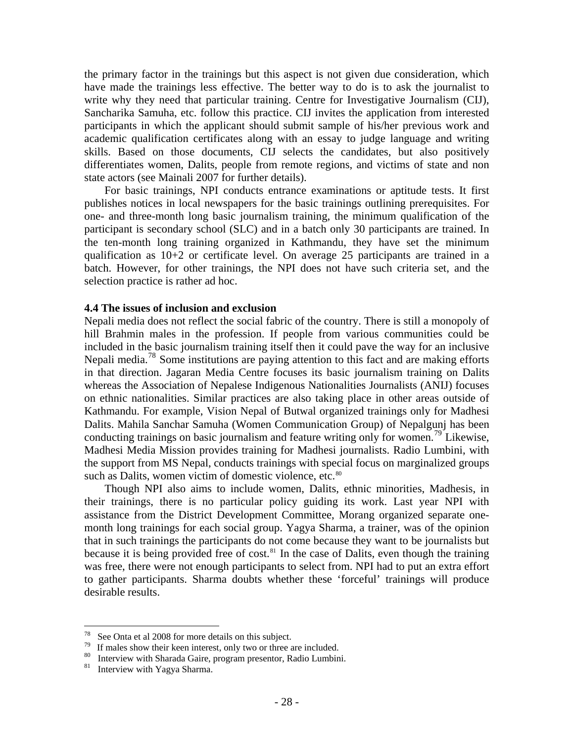the primary factor in the trainings but this aspect is not given due consideration, which have made the trainings less effective. The better way to do is to ask the journalist to write why they need that particular training. Centre for Investigative Journalism (CIJ), Sancharika Samuha, etc. follow this practice. CIJ invites the application from interested participants in which the applicant should submit sample of his/her previous work and academic qualification certificates along with an essay to judge language and writing skills. Based on those documents, CIJ selects the candidates, but also positively differentiates women, Dalits, people from remote regions, and victims of state and non state actors (see Mainali 2007 for further details).

For basic trainings, NPI conducts entrance examinations or aptitude tests. It first publishes notices in local newspapers for the basic trainings outlining prerequisites. For one- and three-month long basic journalism training, the minimum qualification of the participant is secondary school (SLC) and in a batch only 30 participants are trained. In the ten-month long training organized in Kathmandu, they have set the minimum qualification as  $10+2$  or certificate level. On average 25 participants are trained in a batch. However, for other trainings, the NPI does not have such criteria set, and the selection practice is rather ad hoc.

#### **4.4 The issues of inclusion and exclusion**

Nepali media does not reflect the social fabric of the country. There is still a monopoly of hill Brahmin males in the profession. If people from various communities could be included in the basic journalism training itself then it could pave the way for an inclusive Nepali media.<sup>[78](#page-34-0)</sup> Some institutions are paying attention to this fact and are making efforts in that direction. Jagaran Media Centre focuses its basic journalism training on Dalits whereas the Association of Nepalese Indigenous Nationalities Journalists (ANIJ) focuses on ethnic nationalities. Similar practices are also taking place in other areas outside of Kathmandu. For example, Vision Nepal of Butwal organized trainings only for Madhesi Dalits. Mahila Sanchar Samuha (Women Communication Group) of Nepalgunj has been conducting trainings on basic journalism and feature writing only for women.<sup>[79](#page-34-1)</sup> Likewise, Madhesi Media Mission provides training for Madhesi journalists. Radio Lumbini, with the support from MS Nepal, conducts trainings with special focus on marginalized groups such as Dalits, women victim of domestic violence, etc.<sup>[80](#page-34-2)</sup>

Though NPI also aims to include women, Dalits, ethnic minorities, Madhesis, in their trainings, there is no particular policy guiding its work. Last year NPI with assistance from the District Development Committee, Morang organized separate onemonth long trainings for each social group. Yagya Sharma, a trainer, was of the opinion that in such trainings the participants do not come because they want to be journalists but because it is being provided free of cost.<sup>[81](#page-34-3)</sup> In the case of Dalits, even though the training was free, there were not enough participants to select from. NPI had to put an extra effort to gather participants. Sharma doubts whether these 'forceful' trainings will produce desirable results.

<span id="page-34-0"></span><sup>78</sup> <sup>78</sup> See Onta et al 2008 for more details on this subject.<br><sup>79</sup> If malos show their keep interest, only two or three s

<span id="page-34-1"></span>If males show their keen interest, only two or three are included.

<span id="page-34-2"></span><sup>&</sup>lt;sup>80</sup> Interview with Sharada Gaire, program presentor, Radio Lumbini. Interview with Yagya Sharma.

<span id="page-34-3"></span>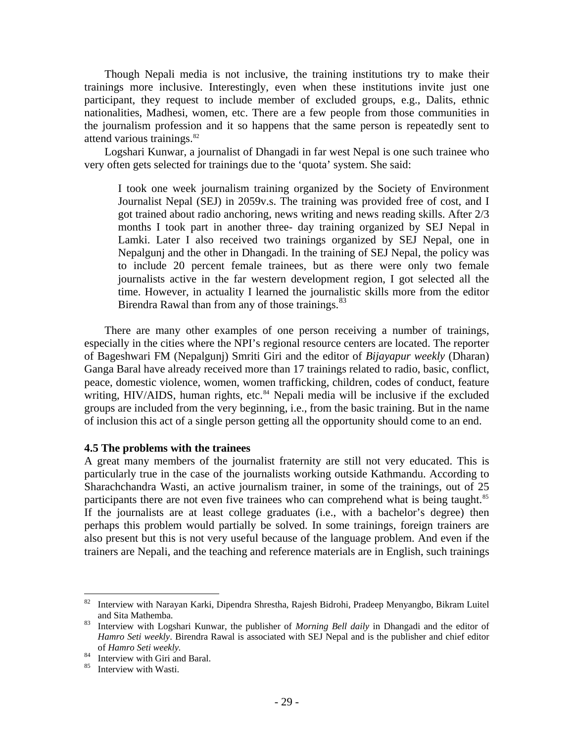Though Nepali media is not inclusive, the training institutions try to make their trainings more inclusive. Interestingly, even when these institutions invite just one participant, they request to include member of excluded groups, e.g., Dalits, ethnic nationalities, Madhesi, women, etc. There are a few people from those communities in the journalism profession and it so happens that the same person is repeatedly sent to attend various trainings.<sup>[82](#page-35-0)</sup>

Logshari Kunwar, a journalist of Dhangadi in far west Nepal is one such trainee who very often gets selected for trainings due to the 'quota' system. She said:

I took one week journalism training organized by the Society of Environment Journalist Nepal (SEJ) in 2059v.s. The training was provided free of cost, and I got trained about radio anchoring, news writing and news reading skills. After 2/3 months I took part in another three- day training organized by SEJ Nepal in Lamki. Later I also received two trainings organized by SEJ Nepal, one in Nepalgunj and the other in Dhangadi. In the training of SEJ Nepal, the policy was to include 20 percent female trainees, but as there were only two female journalists active in the far western development region, I got selected all the time. However, in actuality I learned the journalistic skills more from the editor Birendra Rawal than from any of those trainings.<sup>[83](#page-35-1)</sup>

There are many other examples of one person receiving a number of trainings, especially in the cities where the NPI's regional resource centers are located. The reporter of Bageshwari FM (Nepalgunj) Smriti Giri and the editor of *Bijayapur weekly* (Dharan) Ganga Baral have already received more than 17 trainings related to radio, basic, conflict, peace, domestic violence, women, women trafficking, children, codes of conduct, feature writing, HIV/AIDS, human rights, etc.<sup>[84](#page-35-2)</sup> Nepali media will be inclusive if the excluded groups are included from the very beginning, i.e., from the basic training. But in the name of inclusion this act of a single person getting all the opportunity should come to an end.

#### **4.5 The problems with the trainees**

A great many members of the journalist fraternity are still not very educated. This is particularly true in the case of the journalists working outside Kathmandu. According to Sharachchandra Wasti, an active journalism trainer, in some of the trainings, out of 25 participants there are not even five trainees who can comprehend what is being taught.<sup>[85](#page-35-3)</sup> If the journalists are at least college graduates (i.e., with a bachelor's degree) then perhaps this problem would partially be solved. In some trainings, foreign trainers are also present but this is not very useful because of the language problem. And even if the trainers are Nepali, and the teaching and reference materials are in English, such trainings

<span id="page-35-0"></span><sup>82</sup> 82 Interview with Narayan Karki, Dipendra Shrestha, Rajesh Bidrohi, Pradeep Menyangbo, Bikram Luitel and Sita Mathemba.<br><sup>83</sup> Interview with Logshari Kunwar, the publisher of *Morning Bell daily* in Dhangadi and the editor of

<span id="page-35-1"></span>*Hamro Seti weekly*. Birendra Rawal is associated with SEJ Nepal and is the publisher and chief editor

<span id="page-35-2"></span>of *Hamro Seti weekly.*<br><sup>84</sup> Interview with Giri and Baral.<br><sup>85</sup> Interview with Westi

<span id="page-35-3"></span>Interview with Wasti.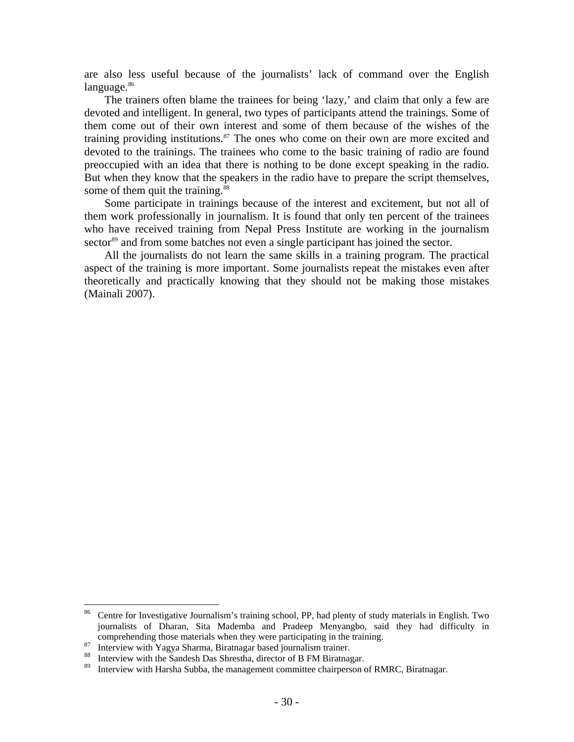are also less useful because of the journalists' lack of command over the English  $language.$ <sup>[86](#page-36-0)</sup>

The trainers often blame the trainees for being 'lazy,' and claim that only a few are devoted and intelligent. In general, two types of participants attend the trainings. Some of them come out of their own interest and some of them because of the wishes of the training providing institutions. $87$  The ones who come on their own are more excited and devoted to the trainings. The trainees who come to the basic training of radio are found preoccupied with an idea that there is nothing to be done except speaking in the radio. But when they know that the speakers in the radio have to prepare the script themselves, some of them quit the training.<sup>88</sup>

Some participate in trainings because of the interest and excitement, but not all of them work professionally in journalism. It is found that only ten percent of the trainees who have received training from Nepal Press Institute are working in the journalism sector<sup>[89](#page-36-3)</sup> and from some batches not even a single participant has joined the sector.

All the journalists do not learn the same skills in a training program. The practical aspect of the training is more important. Some journalists repeat the mistakes even after theoretically and practically knowing that they should not be making those mistakes (Mainali 2007).

<span id="page-36-0"></span><sup>86</sup> Centre for Investigative Journalism's training school, PP, had plenty of study materials in English. Two journalists of Dharan, Sita Mademba and Pradeep Menyangbo, said they had difficulty in comprehending those materials when they were participating in the training.<br><sup>87</sup> Interview with Yagya Sharma, Biratnagar based journalism trainer.<br><sup>89</sup> Interview with Harsha Subba, the managament committee chairpareon of B

<span id="page-36-1"></span>

<span id="page-36-2"></span>

<span id="page-36-3"></span>Interview with Harsha Subba, the management committee chairperson of RMRC, Biratnagar.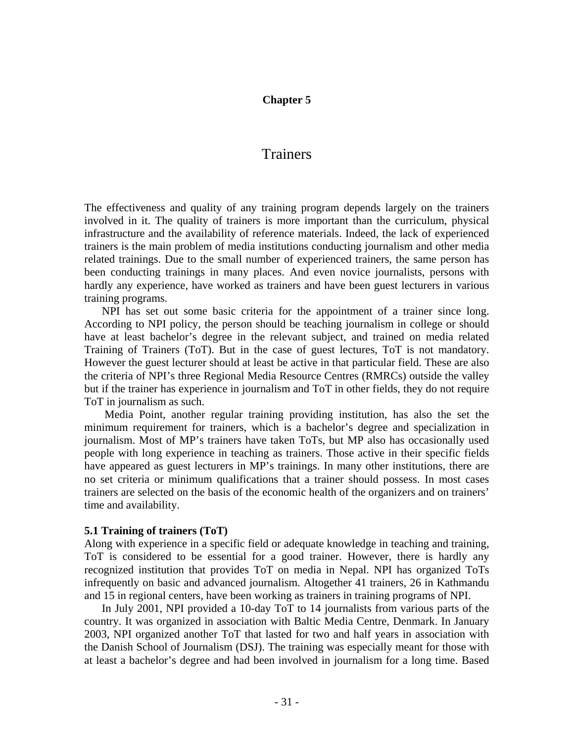#### **Chapter 5**

# Trainers

The effectiveness and quality of any training program depends largely on the trainers involved in it. The quality of trainers is more important than the curriculum, physical infrastructure and the availability of reference materials. Indeed, the lack of experienced trainers is the main problem of media institutions conducting journalism and other media related trainings. Due to the small number of experienced trainers, the same person has been conducting trainings in many places. And even novice journalists, persons with hardly any experience, have worked as trainers and have been guest lecturers in various training programs.

NPI has set out some basic criteria for the appointment of a trainer since long. According to NPI policy, the person should be teaching journalism in college or should have at least bachelor's degree in the relevant subject, and trained on media related Training of Trainers (ToT). But in the case of guest lectures, ToT is not mandatory. However the guest lecturer should at least be active in that particular field. These are also the criteria of NPI's three Regional Media Resource Centres (RMRCs) outside the valley but if the trainer has experience in journalism and ToT in other fields, they do not require ToT in journalism as such.

Media Point, another regular training providing institution, has also the set the minimum requirement for trainers, which is a bachelor's degree and specialization in journalism. Most of MP's trainers have taken ToTs, but MP also has occasionally used people with long experience in teaching as trainers. Those active in their specific fields have appeared as guest lecturers in MP's trainings. In many other institutions, there are no set criteria or minimum qualifications that a trainer should possess. In most cases trainers are selected on the basis of the economic health of the organizers and on trainers' time and availability.

#### **5.1 Training of trainers (ToT)**

Along with experience in a specific field or adequate knowledge in teaching and training, ToT is considered to be essential for a good trainer. However, there is hardly any recognized institution that provides ToT on media in Nepal. NPI has organized ToTs infrequently on basic and advanced journalism. Altogether 41 trainers, 26 in Kathmandu and 15 in regional centers, have been working as trainers in training programs of NPI.

In July 2001, NPI provided a 10-day ToT to 14 journalists from various parts of the country. It was organized in association with Baltic Media Centre, Denmark. In January 2003, NPI organized another ToT that lasted for two and half years in association with the Danish School of Journalism (DSJ). The training was especially meant for those with at least a bachelor's degree and had been involved in journalism for a long time. Based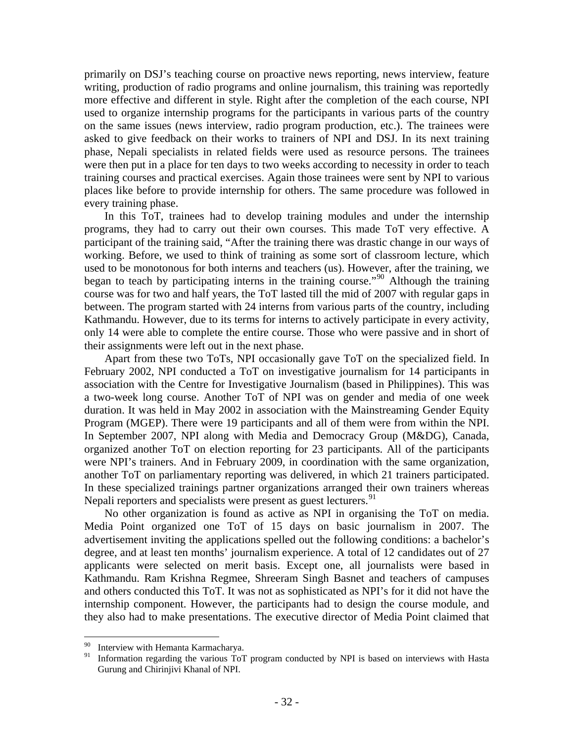primarily on DSJ's teaching course on proactive news reporting, news interview, feature writing, production of radio programs and online journalism, this training was reportedly more effective and different in style. Right after the completion of the each course, NPI used to organize internship programs for the participants in various parts of the country on the same issues (news interview, radio program production, etc.). The trainees were asked to give feedback on their works to trainers of NPI and DSJ. In its next training phase, Nepali specialists in related fields were used as resource persons. The trainees were then put in a place for ten days to two weeks according to necessity in order to teach training courses and practical exercises. Again those trainees were sent by NPI to various places like before to provide internship for others. The same procedure was followed in every training phase.

In this ToT, trainees had to develop training modules and under the internship programs, they had to carry out their own courses. This made ToT very effective. A participant of the training said, "After the training there was drastic change in our ways of working. Before, we used to think of training as some sort of classroom lecture, which used to be monotonous for both interns and teachers (us). However, after the training, we began to teach by participating interns in the training course."<sup>[90](#page-38-0)</sup> Although the training course was for two and half years, the ToT lasted till the mid of 2007 with regular gaps in between. The program started with 24 interns from various parts of the country, including Kathmandu. However, due to its terms for interns to actively participate in every activity, only 14 were able to complete the entire course. Those who were passive and in short of their assignments were left out in the next phase.

Apart from these two ToTs, NPI occasionally gave ToT on the specialized field. In February 2002, NPI conducted a ToT on investigative journalism for 14 participants in association with the Centre for Investigative Journalism (based in Philippines). This was a two-week long course. Another ToT of NPI was on gender and media of one week duration. It was held in May 2002 in association with the Mainstreaming Gender Equity Program (MGEP). There were 19 participants and all of them were from within the NPI. In September 2007, NPI along with Media and Democracy Group (M&DG), Canada, organized another ToT on election reporting for 23 participants. All of the participants were NPI's trainers. And in February 2009, in coordination with the same organization, another ToT on parliamentary reporting was delivered, in which 21 trainers participated. In these specialized trainings partner organizations arranged their own trainers whereas Nepali reporters and specialists were present as guest lecturers.<sup>[91](#page-38-1)</sup>

No other organization is found as active as NPI in organising the ToT on media. Media Point organized one ToT of 15 days on basic journalism in 2007. The advertisement inviting the applications spelled out the following conditions: a bachelor's degree, and at least ten months' journalism experience. A total of 12 candidates out of 27 applicants were selected on merit basis. Except one, all journalists were based in Kathmandu. Ram Krishna Regmee, Shreeram Singh Basnet and teachers of campuses and others conducted this ToT. It was not as sophisticated as NPI's for it did not have the internship component. However, the participants had to design the course module, and they also had to make presentations. The executive director of Media Point claimed that

 $\overline{a}$ 

<span id="page-38-1"></span><span id="page-38-0"></span><sup>&</sup>lt;sup>90</sup> Interview with Hemanta Karmacharya.

<sup>91</sup> Information regarding the various ToT program conducted by NPI is based on interviews with Hasta Gurung and Chirinjivi Khanal of NPI.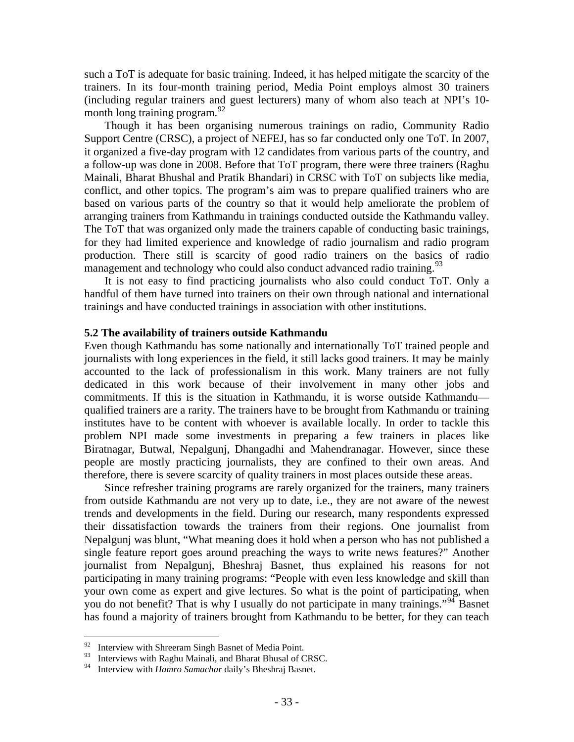such a ToT is adequate for basic training. Indeed, it has helped mitigate the scarcity of the trainers. In its four-month training period, Media Point employs almost 30 trainers (including regular trainers and guest lecturers) many of whom also teach at NPI's 10 month long training program.  $92$ 

Though it has been organising numerous trainings on radio, Community Radio Support Centre (CRSC), a project of NEFEJ, has so far conducted only one ToT. In 2007, it organized a five-day program with 12 candidates from various parts of the country, and a follow-up was done in 2008. Before that ToT program, there were three trainers (Raghu Mainali, Bharat Bhushal and Pratik Bhandari) in CRSC with ToT on subjects like media, conflict, and other topics. The program's aim was to prepare qualified trainers who are based on various parts of the country so that it would help ameliorate the problem of arranging trainers from Kathmandu in trainings conducted outside the Kathmandu valley. The ToT that was organized only made the trainers capable of conducting basic trainings, for they had limited experience and knowledge of radio journalism and radio program production. There still is scarcity of good radio trainers on the basics of radio management and technology who could also conduct advanced radio training.<sup>[93](#page-39-1)</sup>

It is not easy to find practicing journalists who also could conduct ToT. Only a handful of them have turned into trainers on their own through national and international trainings and have conducted trainings in association with other institutions.

#### **5.2 The availability of trainers outside Kathmandu**

Even though Kathmandu has some nationally and internationally ToT trained people and journalists with long experiences in the field, it still lacks good trainers. It may be mainly accounted to the lack of professionalism in this work. Many trainers are not fully dedicated in this work because of their involvement in many other jobs and commitments. If this is the situation in Kathmandu, it is worse outside Kathmandu qualified trainers are a rarity. The trainers have to be brought from Kathmandu or training institutes have to be content with whoever is available locally. In order to tackle this problem NPI made some investments in preparing a few trainers in places like Biratnagar, Butwal, Nepalgunj, Dhangadhi and Mahendranagar. However, since these people are mostly practicing journalists, they are confined to their own areas. And therefore, there is severe scarcity of quality trainers in most places outside these areas.

Since refresher training programs are rarely organized for the trainers, many trainers from outside Kathmandu are not very up to date, i.e., they are not aware of the newest trends and developments in the field. During our research, many respondents expressed their dissatisfaction towards the trainers from their regions. One journalist from Nepalgunj was blunt, "What meaning does it hold when a person who has not published a single feature report goes around preaching the ways to write news features?" Another journalist from Nepalgunj, Bheshraj Basnet, thus explained his reasons for not participating in many training programs: "People with even less knowledge and skill than your own come as expert and give lectures. So what is the point of participating, when you do not benefit? That is why I usually do not participate in many trainings."<sup>[94](#page-39-2)</sup> Basnet has found a majority of trainers brought from Kathmandu to be better, for they can teach

<span id="page-39-0"></span><sup>92</sup> Interview with Shreeram Singh Basnet of Media Point.

<span id="page-39-1"></span><sup>&</sup>lt;sup>93</sup> Interviews with Raghu Mainali, and Bharat Bhusal of CRSC.<br><sup>94</sup> Interview with *Hanne Samashar* deily's Bhashrai Baspet.

<span id="page-39-2"></span><sup>94</sup> Interview with *Hamro Samachar* daily's Bheshraj Basnet.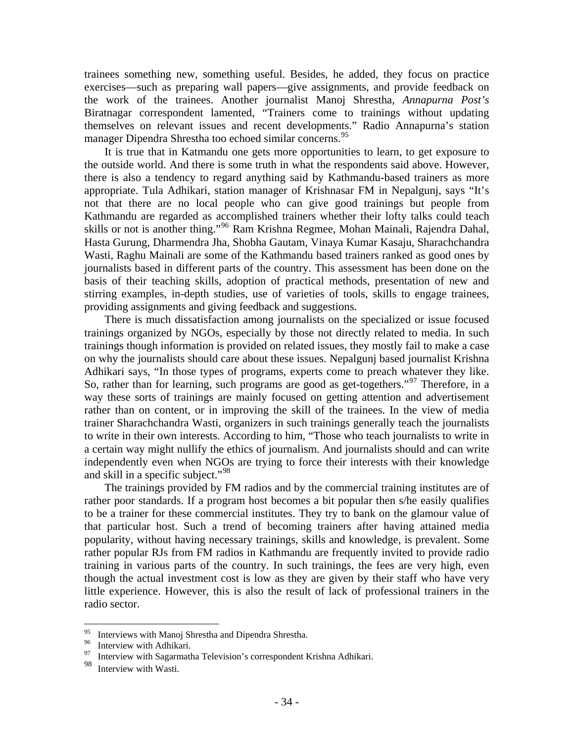trainees something new, something useful. Besides, he added, they focus on practice exercises—such as preparing wall papers—give assignments, and provide feedback on the work of the trainees. Another journalist Manoj Shrestha, *Annapurna Post's*  Biratnagar correspondent lamented, "Trainers come to trainings without updating themselves on relevant issues and recent developments." Radio Annapurna's station manager Dipendra Shrestha too echoed similar concerns.<sup>[95](#page-40-0)</sup>

It is true that in Katmandu one gets more opportunities to learn, to get exposure to the outside world. And there is some truth in what the respondents said above. However, there is also a tendency to regard anything said by Kathmandu-based trainers as more appropriate. Tula Adhikari, station manager of Krishnasar FM in Nepalgunj, says "It's not that there are no local people who can give good trainings but people from Kathmandu are regarded as accomplished trainers whether their lofty talks could teach skills or not is another thing."[96](#page-40-1) Ram Krishna Regmee, Mohan Mainali, Rajendra Dahal, Hasta Gurung, Dharmendra Jha, Shobha Gautam, Vinaya Kumar Kasaju, Sharachchandra Wasti, Raghu Mainali are some of the Kathmandu based trainers ranked as good ones by journalists based in different parts of the country. This assessment has been done on the basis of their teaching skills, adoption of practical methods, presentation of new and stirring examples, in-depth studies, use of varieties of tools, skills to engage trainees, providing assignments and giving feedback and suggestions.

There is much dissatisfaction among journalists on the specialized or issue focused trainings organized by NGOs, especially by those not directly related to media. In such trainings though information is provided on related issues, they mostly fail to make a case on why the journalists should care about these issues. Nepalgunj based journalist Krishna Adhikari says, "In those types of programs, experts come to preach whatever they like. So, rather than for learning, such programs are good as get-togethers."<sup>[97](#page-40-2)</sup> Therefore, in a way these sorts of trainings are mainly focused on getting attention and advertisement rather than on content, or in improving the skill of the trainees. In the view of media trainer Sharachchandra Wasti, organizers in such trainings generally teach the journalists to write in their own interests. According to him, "Those who teach journalists to write in a certain way might nullify the ethics of journalism. And journalists should and can write independently even when NGOs are trying to force their interests with their knowledge and skill in a specific subject."<sup>[98](#page-40-3)</sup>

The trainings provided by FM radios and by the commercial training institutes are of rather poor standards. If a program host becomes a bit popular then s/he easily qualifies to be a trainer for these commercial institutes. They try to bank on the glamour value of that particular host. Such a trend of becoming trainers after having attained media popularity, without having necessary trainings, skills and knowledge, is prevalent. Some rather popular RJs from FM radios in Kathmandu are frequently invited to provide radio training in various parts of the country. In such trainings, the fees are very high, even though the actual investment cost is low as they are given by their staff who have very little experience. However, this is also the result of lack of professional trainers in the radio sector.

<span id="page-40-0"></span><sup>95</sup> <sup>95</sup> Interviews with Manoj Shrestha and Dipendra Shrestha.<br><sup>96</sup> Interview with Adhiltoni

Interview with Adhikari.

<span id="page-40-2"></span><span id="page-40-1"></span><sup>&</sup>lt;sup>97</sup> Interview with Sagarmatha Television's correspondent Krishna Adhikari.<br><sup>98</sup> Interview with Westi

<span id="page-40-3"></span>Interview with Wasti.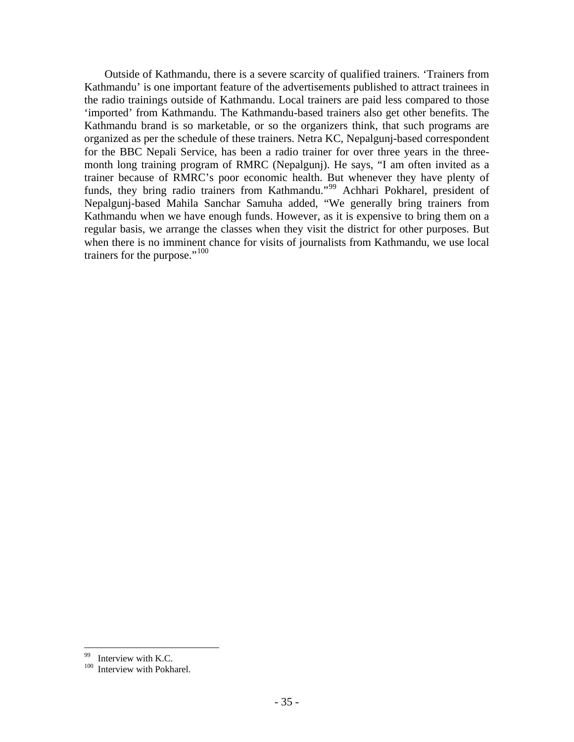Outside of Kathmandu, there is a severe scarcity of qualified trainers. 'Trainers from Kathmandu' is one important feature of the advertisements published to attract trainees in the radio trainings outside of Kathmandu. Local trainers are paid less compared to those 'imported' from Kathmandu. The Kathmandu-based trainers also get other benefits. The Kathmandu brand is so marketable, or so the organizers think, that such programs are organized as per the schedule of these trainers. Netra KC, Nepalgunj-based correspondent for the BBC Nepali Service, has been a radio trainer for over three years in the threemonth long training program of RMRC (Nepalgunj). He says, "I am often invited as a trainer because of RMRC's poor economic health. But whenever they have plenty of funds, they bring radio trainers from Kathmandu."<sup>[99](#page-41-0)</sup> Achhari Pokharel, president of Nepalgunj-based Mahila Sanchar Samuha added, "We generally bring trainers from Kathmandu when we have enough funds. However, as it is expensive to bring them on a regular basis, we arrange the classes when they visit the district for other purposes. But when there is no imminent chance for visits of journalists from Kathmandu, we use local trainers for the purpose."<sup>[100](#page-41-1)</sup>

 $\overline{a}$ 

<span id="page-41-1"></span><span id="page-41-0"></span> $^{99}$  Interview with K.C.

Interview with Pokharel.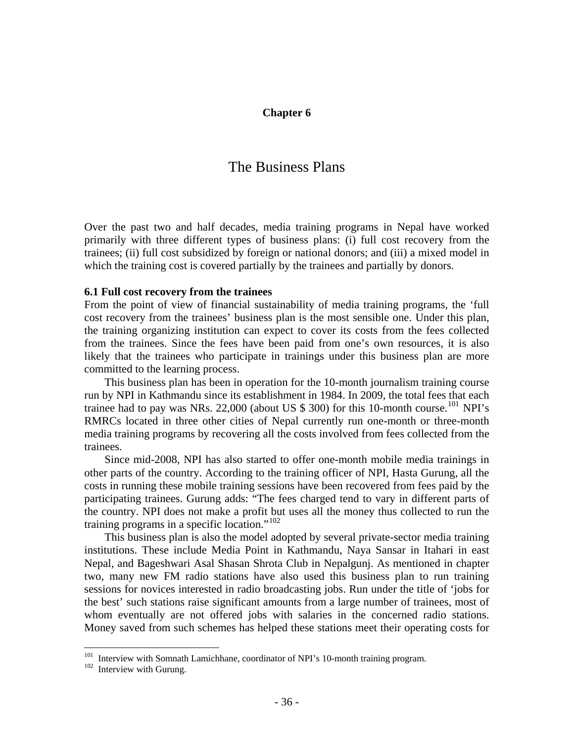#### **Chapter 6**

# The Business Plans

Over the past two and half decades, media training programs in Nepal have worked primarily with three different types of business plans: (i) full cost recovery from the trainees; (ii) full cost subsidized by foreign or national donors; and (iii) a mixed model in which the training cost is covered partially by the trainees and partially by donors.

#### **6.1 Full cost recovery from the trainees**

From the point of view of financial sustainability of media training programs, the 'full cost recovery from the trainees' business plan is the most sensible one. Under this plan, the training organizing institution can expect to cover its costs from the fees collected from the trainees. Since the fees have been paid from one's own resources, it is also likely that the trainees who participate in trainings under this business plan are more committed to the learning process.

This business plan has been in operation for the 10-month journalism training course run by NPI in Kathmandu since its establishment in 1984. In 2009, the total fees that each trainee had to pay was NRs. 22,000 (about US  $$300$ ) for this 10-month course.<sup>[101](#page-42-0)</sup> NPI's RMRCs located in three other cities of Nepal currently run one-month or three-month media training programs by recovering all the costs involved from fees collected from the trainees.

Since mid-2008, NPI has also started to offer one-month mobile media trainings in other parts of the country. According to the training officer of NPI, Hasta Gurung, all the costs in running these mobile training sessions have been recovered from fees paid by the participating trainees. Gurung adds: "The fees charged tend to vary in different parts of the country. NPI does not make a profit but uses all the money thus collected to run the training programs in a specific location."<sup>[102](#page-42-1)</sup>

This business plan is also the model adopted by several private-sector media training institutions. These include Media Point in Kathmandu, Naya Sansar in Itahari in east Nepal, and Bageshwari Asal Shasan Shrota Club in Nepalgunj. As mentioned in chapter two, many new FM radio stations have also used this business plan to run training sessions for novices interested in radio broadcasting jobs. Run under the title of 'jobs for the best' such stations raise significant amounts from a large number of trainees, most of whom eventually are not offered jobs with salaries in the concerned radio stations. Money saved from such schemes has helped these stations meet their operating costs for

 $\overline{a}$ 

<span id="page-42-0"></span><sup>&</sup>lt;sup>101</sup> Interview with Somnath Lamichhane, coordinator of NPI's 10-month training program.<br><sup>102</sup> Interview with Gurung.

<span id="page-42-1"></span>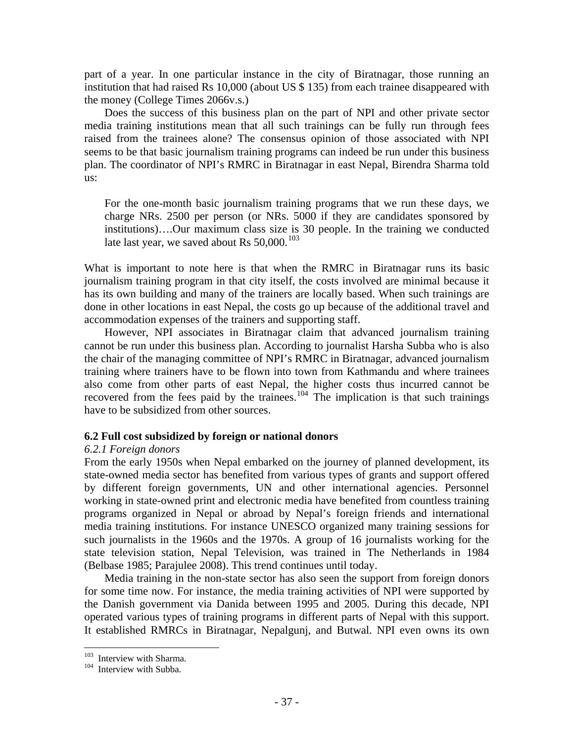part of a year. In one particular instance in the city of Biratnagar, those running an institution that had raised Rs 10,000 (about US \$ 135) from each trainee disappeared with the money (College Times 2066v.s.)

Does the success of this business plan on the part of NPI and other private sector media training institutions mean that all such trainings can be fully run through fees raised from the trainees alone? The consensus opinion of those associated with NPI seems to be that basic journalism training programs can indeed be run under this business plan. The coordinator of NPI's RMRC in Biratnagar in east Nepal, Birendra Sharma told us:

For the one-month basic journalism training programs that we run these days, we charge NRs. 2500 per person (or NRs. 5000 if they are candidates sponsored by institutions)….Our maximum class size is 30 people. In the training we conducted late last year, we saved about Rs  $50,000$ .<sup>[103](#page-43-0)</sup>

What is important to note here is that when the RMRC in Biratnagar runs its basic journalism training program in that city itself, the costs involved are minimal because it has its own building and many of the trainers are locally based. When such trainings are done in other locations in east Nepal, the costs go up because of the additional travel and accommodation expenses of the trainers and supporting staff.

However, NPI associates in Biratnagar claim that advanced journalism training cannot be run under this business plan. According to journalist Harsha Subba who is also the chair of the managing committee of NPI's RMRC in Biratnagar, advanced journalism training where trainers have to be flown into town from Kathmandu and where trainees also come from other parts of east Nepal, the higher costs thus incurred cannot be recovered from the fees paid by the trainees.<sup>[104](#page-43-1)</sup> The implication is that such trainings have to be subsidized from other sources.

#### **6.2 Full cost subsidized by foreign or national donors**

#### *6.2.1 Foreign donors*

From the early 1950s when Nepal embarked on the journey of planned development, its state-owned media sector has benefited from various types of grants and support offered by different foreign governments, UN and other international agencies. Personnel working in state-owned print and electronic media have benefited from countless training programs organized in Nepal or abroad by Nepal's foreign friends and international media training institutions. For instance UNESCO organized many training sessions for such journalists in the 1960s and the 1970s. A group of 16 journalists working for the state television station, Nepal Television, was trained in The Netherlands in 1984 (Belbase 1985; Parajulee 2008). This trend continues until today.

Media training in the non-state sector has also seen the support from foreign donors for some time now. For instance, the media training activities of NPI were supported by the Danish government via Danida between 1995 and 2005. During this decade, NPI operated various types of training programs in different parts of Nepal with this support. It established RMRCs in Biratnagar, Nepalgunj, and Butwal. NPI even owns its own

<span id="page-43-0"></span><sup>&</sup>lt;sup>103</sup> Interview with Sharma.

<span id="page-43-1"></span> $104$  Interview with Subba.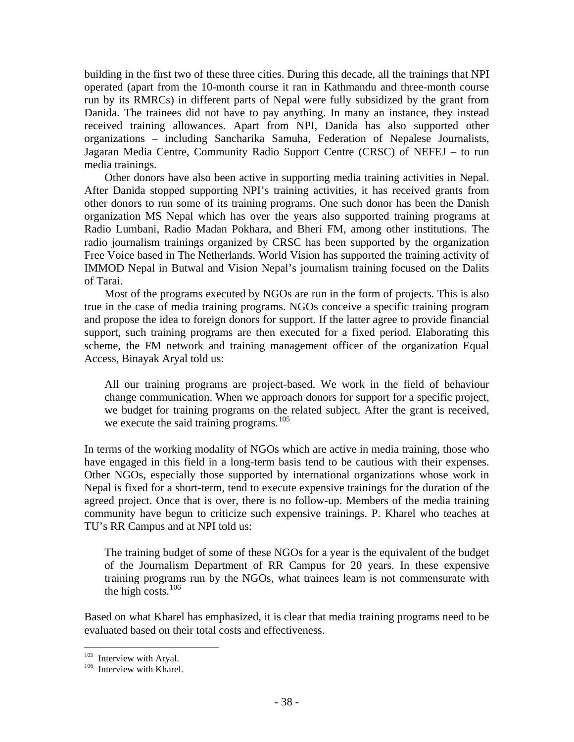building in the first two of these three cities. During this decade, all the trainings that NPI operated (apart from the 10-month course it ran in Kathmandu and three-month course run by its RMRCs) in different parts of Nepal were fully subsidized by the grant from Danida. The trainees did not have to pay anything. In many an instance, they instead received training allowances. Apart from NPI, Danida has also supported other organizations – including Sancharika Samuha, Federation of Nepalese Journalists, Jagaran Media Centre, Community Radio Support Centre (CRSC) of NEFEJ – to run media trainings.

Other donors have also been active in supporting media training activities in Nepal. After Danida stopped supporting NPI's training activities, it has received grants from other donors to run some of its training programs. One such donor has been the Danish organization MS Nepal which has over the years also supported training programs at Radio Lumbani, Radio Madan Pokhara, and Bheri FM, among other institutions. The radio journalism trainings organized by CRSC has been supported by the organization Free Voice based in The Netherlands. World Vision has supported the training activity of IMMOD Nepal in Butwal and Vision Nepal's journalism training focused on the Dalits of Tarai.

Most of the programs executed by NGOs are run in the form of projects. This is also true in the case of media training programs. NGOs conceive a specific training program and propose the idea to foreign donors for support. If the latter agree to provide financial support, such training programs are then executed for a fixed period. Elaborating this scheme, the FM network and training management officer of the organization Equal Access, Binayak Aryal told us:

All our training programs are project-based. We work in the field of behaviour change communication. When we approach donors for support for a specific project, we budget for training programs on the related subject. After the grant is received, we execute the said training programs.<sup>[105](#page-44-0)</sup>

In terms of the working modality of NGOs which are active in media training, those who have engaged in this field in a long-term basis tend to be cautious with their expenses. Other NGOs, especially those supported by international organizations whose work in Nepal is fixed for a short-term, tend to execute expensive trainings for the duration of the agreed project. Once that is over, there is no follow-up. Members of the media training community have begun to criticize such expensive trainings. P. Kharel who teaches at TU's RR Campus and at NPI told us:

The training budget of some of these NGOs for a year is the equivalent of the budget of the Journalism Department of RR Campus for 20 years. In these expensive training programs run by the NGOs, what trainees learn is not commensurate with the high costs.[106](#page-44-1)

Based on what Kharel has emphasized, it is clear that media training programs need to be evaluated based on their total costs and effectiveness.

<span id="page-44-0"></span><sup>&</sup>lt;sup>105</sup> Interview with Aryal.

<span id="page-44-1"></span> $106$  Interview with Kharel.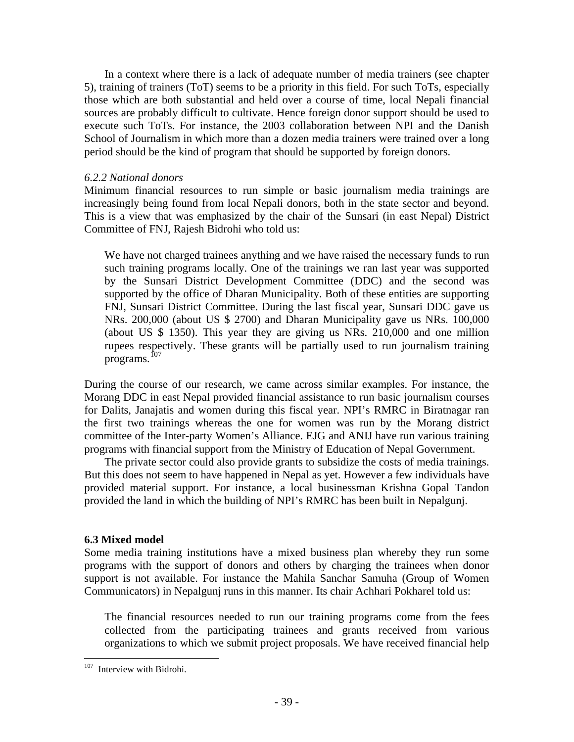In a context where there is a lack of adequate number of media trainers (see chapter 5), training of trainers (ToT) seems to be a priority in this field. For such ToTs, especially those which are both substantial and held over a course of time, local Nepali financial sources are probably difficult to cultivate. Hence foreign donor support should be used to execute such ToTs. For instance, the 2003 collaboration between NPI and the Danish School of Journalism in which more than a dozen media trainers were trained over a long period should be the kind of program that should be supported by foreign donors.

#### *6.2.2 National donors*

Minimum financial resources to run simple or basic journalism media trainings are increasingly being found from local Nepali donors, both in the state sector and beyond. This is a view that was emphasized by the chair of the Sunsari (in east Nepal) District Committee of FNJ, Rajesh Bidrohi who told us:

We have not charged trainees anything and we have raised the necessary funds to run such training programs locally. One of the trainings we ran last year was supported by the Sunsari District Development Committee (DDC) and the second was supported by the office of Dharan Municipality. Both of these entities are supporting FNJ, Sunsari District Committee. During the last fiscal year, Sunsari DDC gave us NRs. 200,000 (about US \$ 2700) and Dharan Municipality gave us NRs. 100,000 (about US \$ 1350). This year they are giving us NRs. 210,000 and one million rupees respectively. These grants will be partially used to run journalism training programs. $^{107}$  $^{107}$  $^{107}$ 

During the course of our research, we came across similar examples. For instance, the Morang DDC in east Nepal provided financial assistance to run basic journalism courses for Dalits, Janajatis and women during this fiscal year. NPI's RMRC in Biratnagar ran the first two trainings whereas the one for women was run by the Morang district committee of the Inter-party Women's Alliance. EJG and ANIJ have run various training programs with financial support from the Ministry of Education of Nepal Government.

The private sector could also provide grants to subsidize the costs of media trainings. But this does not seem to have happened in Nepal as yet. However a few individuals have provided material support. For instance, a local businessman Krishna Gopal Tandon provided the land in which the building of NPI's RMRC has been built in Nepalgunj.

#### **6.3 Mixed model**

Some media training institutions have a mixed business plan whereby they run some programs with the support of donors and others by charging the trainees when donor support is not available. For instance the Mahila Sanchar Samuha (Group of Women Communicators) in Nepalgunj runs in this manner. Its chair Achhari Pokharel told us:

The financial resources needed to run our training programs come from the fees collected from the participating trainees and grants received from various organizations to which we submit project proposals. We have received financial help

 $\overline{a}$ 

<span id="page-45-0"></span><sup>&</sup>lt;sup>107</sup> Interview with Bidrohi.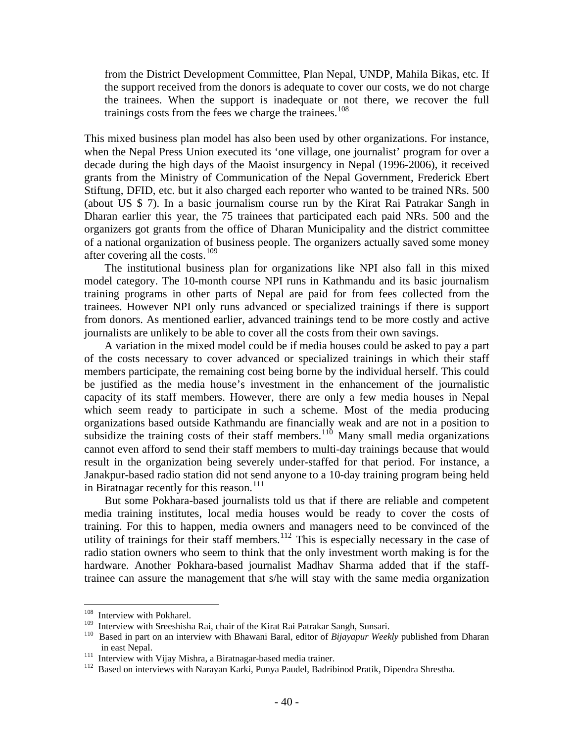from the District Development Committee, Plan Nepal, UNDP, Mahila Bikas, etc. If the support received from the donors is adequate to cover our costs, we do not charge the trainees. When the support is inadequate or not there, we recover the full trainings costs from the fees we charge the trainees.<sup>[108](#page-46-0)</sup>

This mixed business plan model has also been used by other organizations. For instance, when the Nepal Press Union executed its 'one village, one journalist' program for over a decade during the high days of the Maoist insurgency in Nepal (1996-2006), it received grants from the Ministry of Communication of the Nepal Government, Frederick Ebert Stiftung, DFID, etc. but it also charged each reporter who wanted to be trained NRs. 500 (about US \$ 7). In a basic journalism course run by the Kirat Rai Patrakar Sangh in Dharan earlier this year, the 75 trainees that participated each paid NRs. 500 and the organizers got grants from the office of Dharan Municipality and the district committee of a national organization of business people. The organizers actually saved some money after covering all the costs.[109](#page-46-1)

The institutional business plan for organizations like NPI also fall in this mixed model category. The 10-month course NPI runs in Kathmandu and its basic journalism training programs in other parts of Nepal are paid for from fees collected from the trainees. However NPI only runs advanced or specialized trainings if there is support from donors. As mentioned earlier, advanced trainings tend to be more costly and active journalists are unlikely to be able to cover all the costs from their own savings.

A variation in the mixed model could be if media houses could be asked to pay a part of the costs necessary to cover advanced or specialized trainings in which their staff members participate, the remaining cost being borne by the individual herself. This could be justified as the media house's investment in the enhancement of the journalistic capacity of its staff members. However, there are only a few media houses in Nepal which seem ready to participate in such a scheme. Most of the media producing organizations based outside Kathmandu are financially weak and are not in a position to subsidize the training costs of their staff members.<sup>[110](#page-46-2)</sup> Many small media organizations cannot even afford to send their staff members to multi-day trainings because that would result in the organization being severely under-staffed for that period. For instance, a Janakpur-based radio station did not send anyone to a 10-day training program being held in Biratnagar recently for this reason.<sup>[111](#page-46-3)</sup>

But some Pokhara-based journalists told us that if there are reliable and competent media training institutes, local media houses would be ready to cover the costs of training. For this to happen, media owners and managers need to be convinced of the utility of trainings for their staff members.<sup>[112](#page-46-4)</sup> This is especially necessary in the case of radio station owners who seem to think that the only investment worth making is for the hardware. Another Pokhara-based journalist Madhav Sharma added that if the stafftrainee can assure the management that s/he will stay with the same media organization

<span id="page-46-0"></span> $108\,$  $108$  Interview with Pokharel.<br> $109$  Interview with Speakish:

<span id="page-46-2"></span><span id="page-46-1"></span><sup>&</sup>lt;sup>109</sup> Interview with Sreeshisha Rai, chair of the Kirat Rai Patrakar Sangh, Sunsari.<br><sup>110</sup> Based in part on an interview with Bhawani Baral, editor of *Bijayapur Weekly* published from Dharan in east Nepal.<br><sup>111</sup> Interview with Vijay Mishra, a Biratnagar-based media trainer.<br><sup>112</sup> Based on interviews with Narayan Karki, Punya Paudel, Badribinod Pratik, Dipendra Shrestha.

<span id="page-46-3"></span>

<span id="page-46-4"></span>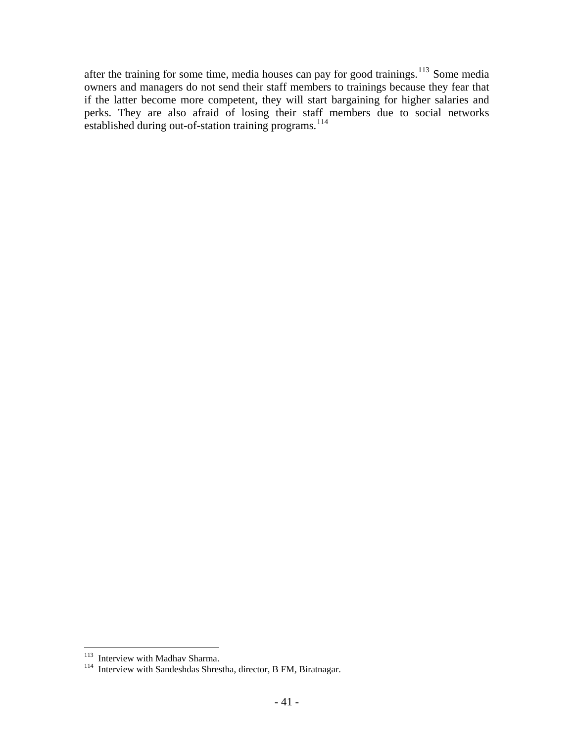after the training for some time, media houses can pay for good trainings.<sup>[113](#page-47-0)</sup> Some media owners and managers do not send their staff members to trainings because they fear that if the latter become more competent, they will start bargaining for higher salaries and perks. They are also afraid of losing their staff members due to social networks established during out-of-station training programs.<sup>[114](#page-47-1)</sup>

 $\overline{a}$ 

<span id="page-47-1"></span><span id="page-47-0"></span>

<sup>&</sup>lt;sup>113</sup> Interview with Madhav Sharma.<br><sup>114</sup> Interview with Sandeshdas Shrestha, director, B FM, Biratnagar.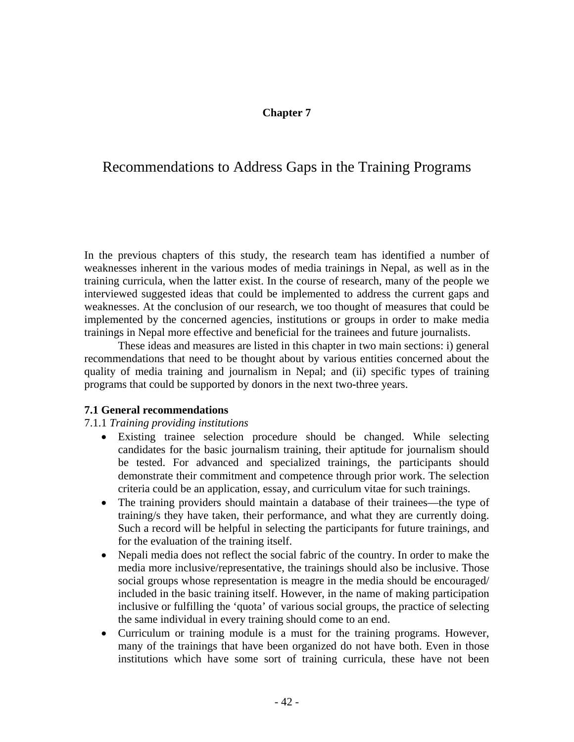## **Chapter 7**

# Recommendations to Address Gaps in the Training Programs

In the previous chapters of this study, the research team has identified a number of weaknesses inherent in the various modes of media trainings in Nepal, as well as in the training curricula, when the latter exist. In the course of research, many of the people we interviewed suggested ideas that could be implemented to address the current gaps and weaknesses. At the conclusion of our research, we too thought of measures that could be implemented by the concerned agencies, institutions or groups in order to make media trainings in Nepal more effective and beneficial for the trainees and future journalists.

These ideas and measures are listed in this chapter in two main sections: i) general recommendations that need to be thought about by various entities concerned about the quality of media training and journalism in Nepal; and (ii) specific types of training programs that could be supported by donors in the next two-three years.

#### **7.1 General recommendations**

#### 7.1.1 *Training providing institutions*

- Existing trainee selection procedure should be changed. While selecting candidates for the basic journalism training, their aptitude for journalism should be tested. For advanced and specialized trainings, the participants should demonstrate their commitment and competence through prior work. The selection criteria could be an application, essay, and curriculum vitae for such trainings.
- The training providers should maintain a database of their trainees—the type of training/s they have taken, their performance, and what they are currently doing. Such a record will be helpful in selecting the participants for future trainings, and for the evaluation of the training itself.
- Nepali media does not reflect the social fabric of the country. In order to make the media more inclusive/representative, the trainings should also be inclusive. Those social groups whose representation is meagre in the media should be encouraged/ included in the basic training itself. However, in the name of making participation inclusive or fulfilling the 'quota' of various social groups, the practice of selecting the same individual in every training should come to an end.
- Curriculum or training module is a must for the training programs. However, many of the trainings that have been organized do not have both. Even in those institutions which have some sort of training curricula, these have not been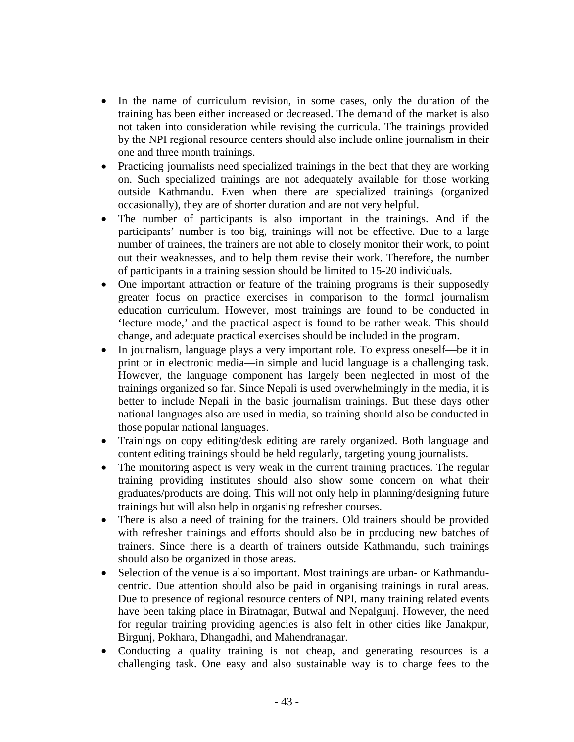- In the name of curriculum revision, in some cases, only the duration of the training has been either increased or decreased. The demand of the market is also not taken into consideration while revising the curricula. The trainings provided by the NPI regional resource centers should also include online journalism in their one and three month trainings.
- Practicing journalists need specialized trainings in the beat that they are working on. Such specialized trainings are not adequately available for those working outside Kathmandu. Even when there are specialized trainings (organized occasionally), they are of shorter duration and are not very helpful.
- The number of participants is also important in the trainings. And if the participants' number is too big, trainings will not be effective. Due to a large number of trainees, the trainers are not able to closely monitor their work, to point out their weaknesses, and to help them revise their work. Therefore, the number of participants in a training session should be limited to 15-20 individuals.
- One important attraction or feature of the training programs is their supposedly greater focus on practice exercises in comparison to the formal journalism education curriculum. However, most trainings are found to be conducted in 'lecture mode,' and the practical aspect is found to be rather weak. This should change, and adequate practical exercises should be included in the program.
- In journalism, language plays a very important role. To express oneself—be it in print or in electronic media—in simple and lucid language is a challenging task. However, the language component has largely been neglected in most of the trainings organized so far. Since Nepali is used overwhelmingly in the media, it is better to include Nepali in the basic journalism trainings. But these days other national languages also are used in media, so training should also be conducted in those popular national languages.
- Trainings on copy editing/desk editing are rarely organized. Both language and content editing trainings should be held regularly, targeting young journalists.
- The monitoring aspect is very weak in the current training practices. The regular training providing institutes should also show some concern on what their graduates/products are doing. This will not only help in planning/designing future trainings but will also help in organising refresher courses.
- There is also a need of training for the trainers. Old trainers should be provided with refresher trainings and efforts should also be in producing new batches of trainers. Since there is a dearth of trainers outside Kathmandu, such trainings should also be organized in those areas.
- Selection of the venue is also important. Most trainings are urban- or Kathmanducentric. Due attention should also be paid in organising trainings in rural areas. Due to presence of regional resource centers of NPI, many training related events have been taking place in Biratnagar, Butwal and Nepalgunj. However, the need for regular training providing agencies is also felt in other cities like Janakpur, Birgunj, Pokhara, Dhangadhi, and Mahendranagar.
- Conducting a quality training is not cheap, and generating resources is a challenging task. One easy and also sustainable way is to charge fees to the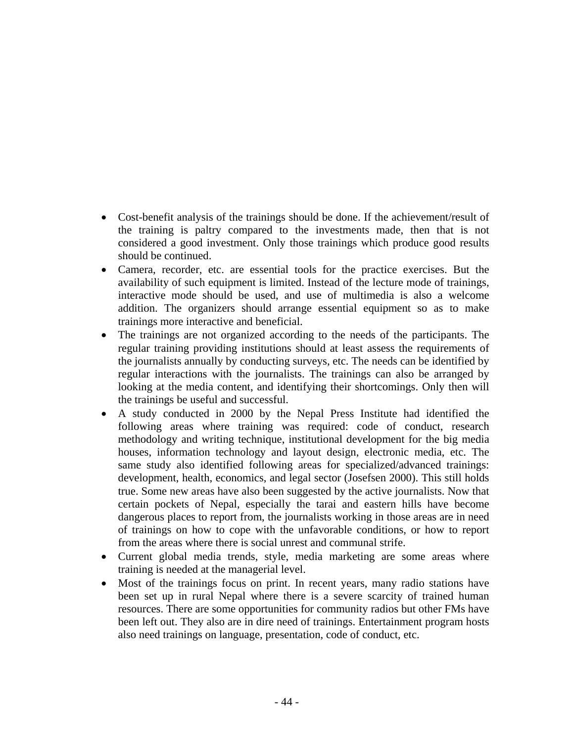- Cost-benefit analysis of the trainings should be done. If the achievement/result of the training is paltry compared to the investments made, then that is not considered a good investment. Only those trainings which produce good results should be continued.
- Camera, recorder, etc. are essential tools for the practice exercises. But the availability of such equipment is limited. Instead of the lecture mode of trainings, interactive mode should be used, and use of multimedia is also a welcome addition. The organizers should arrange essential equipment so as to make trainings more interactive and beneficial.
- The trainings are not organized according to the needs of the participants. The regular training providing institutions should at least assess the requirements of the journalists annually by conducting surveys, etc. The needs can be identified by regular interactions with the journalists. The trainings can also be arranged by looking at the media content, and identifying their shortcomings. Only then will the trainings be useful and successful.
- A study conducted in 2000 by the Nepal Press Institute had identified the following areas where training was required: code of conduct, research methodology and writing technique, institutional development for the big media houses, information technology and layout design, electronic media, etc. The same study also identified following areas for specialized/advanced trainings: development, health, economics, and legal sector (Josefsen 2000). This still holds true. Some new areas have also been suggested by the active journalists. Now that certain pockets of Nepal, especially the tarai and eastern hills have become dangerous places to report from, the journalists working in those areas are in need of trainings on how to cope with the unfavorable conditions, or how to report from the areas where there is social unrest and communal strife.
- Current global media trends, style, media marketing are some areas where training is needed at the managerial level.
- Most of the trainings focus on print. In recent years, many radio stations have been set up in rural Nepal where there is a severe scarcity of trained human resources. There are some opportunities for community radios but other FMs have been left out. They also are in dire need of trainings. Entertainment program hosts also need trainings on language, presentation, code of conduct, etc.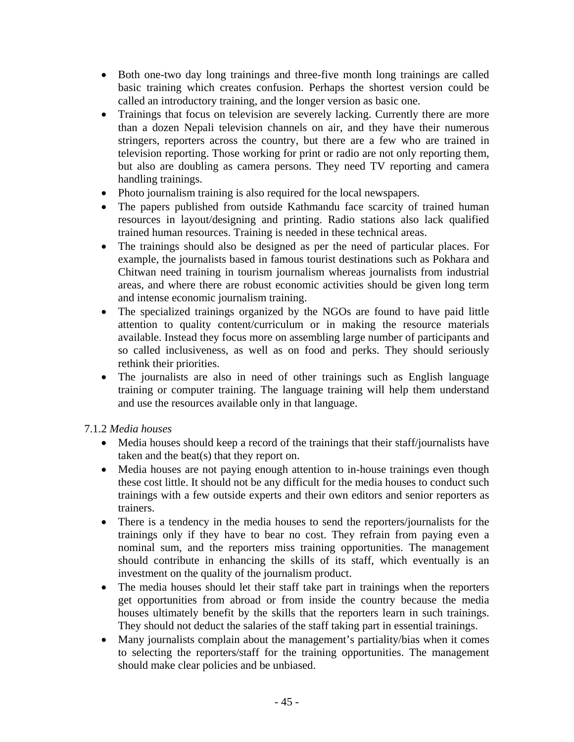- Both one-two day long trainings and three-five month long trainings are called basic training which creates confusion. Perhaps the shortest version could be called an introductory training, and the longer version as basic one.
- Trainings that focus on television are severely lacking. Currently there are more than a dozen Nepali television channels on air, and they have their numerous stringers, reporters across the country, but there are a few who are trained in television reporting. Those working for print or radio are not only reporting them, but also are doubling as camera persons. They need TV reporting and camera handling trainings.
- Photo journalism training is also required for the local newspapers.
- The papers published from outside Kathmandu face scarcity of trained human resources in layout/designing and printing. Radio stations also lack qualified trained human resources. Training is needed in these technical areas.
- The trainings should also be designed as per the need of particular places. For example, the journalists based in famous tourist destinations such as Pokhara and Chitwan need training in tourism journalism whereas journalists from industrial areas, and where there are robust economic activities should be given long term and intense economic journalism training.
- The specialized trainings organized by the NGOs are found to have paid little attention to quality content/curriculum or in making the resource materials available. Instead they focus more on assembling large number of participants and so called inclusiveness, as well as on food and perks. They should seriously rethink their priorities.
- The journalists are also in need of other trainings such as English language training or computer training. The language training will help them understand and use the resources available only in that language.

# 7.1.2 *Media houses*

- Media houses should keep a record of the trainings that their staff/journalists have taken and the beat(s) that they report on.
- Media houses are not paying enough attention to in-house trainings even though these cost little. It should not be any difficult for the media houses to conduct such trainings with a few outside experts and their own editors and senior reporters as trainers.
- There is a tendency in the media houses to send the reporters/journalists for the trainings only if they have to bear no cost. They refrain from paying even a nominal sum, and the reporters miss training opportunities. The management should contribute in enhancing the skills of its staff, which eventually is an investment on the quality of the journalism product.
- The media houses should let their staff take part in trainings when the reporters get opportunities from abroad or from inside the country because the media houses ultimately benefit by the skills that the reporters learn in such trainings. They should not deduct the salaries of the staff taking part in essential trainings.
- Many journalists complain about the management's partiality/bias when it comes to selecting the reporters/staff for the training opportunities. The management should make clear policies and be unbiased.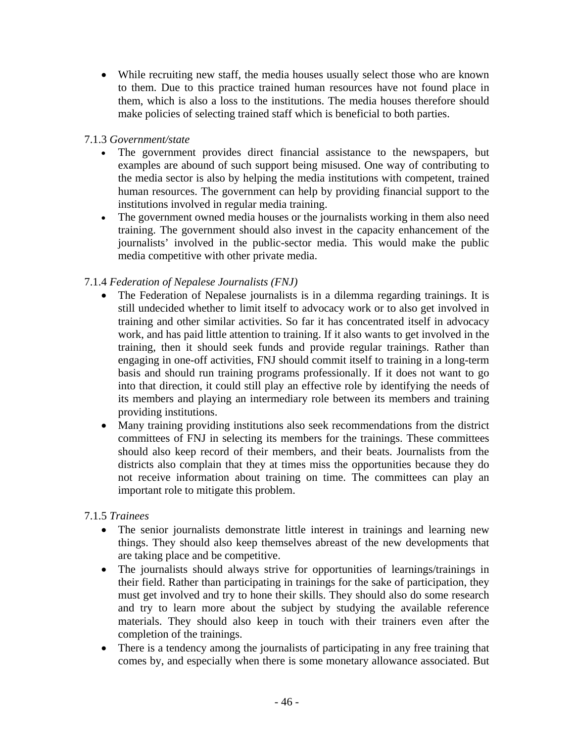While recruiting new staff, the media houses usually select those who are known to them. Due to this practice trained human resources have not found place in them, which is also a loss to the institutions. The media houses therefore should make policies of selecting trained staff which is beneficial to both parties.

## 7.1.3 *Government/state*

- The government provides direct financial assistance to the newspapers, but examples are abound of such support being misused. One way of contributing to the media sector is also by helping the media institutions with competent, trained human resources. The government can help by providing financial support to the institutions involved in regular media training.
- The government owned media houses or the journalists working in them also need training. The government should also invest in the capacity enhancement of the journalists' involved in the public-sector media. This would make the public media competitive with other private media.

# 7.1.4 *Federation of Nepalese Journalists (FNJ)*

- The Federation of Nepalese journalists is in a dilemma regarding trainings. It is still undecided whether to limit itself to advocacy work or to also get involved in training and other similar activities. So far it has concentrated itself in advocacy work, and has paid little attention to training. If it also wants to get involved in the training, then it should seek funds and provide regular trainings. Rather than engaging in one-off activities, FNJ should commit itself to training in a long-term basis and should run training programs professionally. If it does not want to go into that direction, it could still play an effective role by identifying the needs of its members and playing an intermediary role between its members and training providing institutions.
- Many training providing institutions also seek recommendations from the district committees of FNJ in selecting its members for the trainings. These committees should also keep record of their members, and their beats. Journalists from the districts also complain that they at times miss the opportunities because they do not receive information about training on time. The committees can play an important role to mitigate this problem.

# 7.1.5 *Trainees*

- The senior journalists demonstrate little interest in trainings and learning new things. They should also keep themselves abreast of the new developments that are taking place and be competitive.
- The journalists should always strive for opportunities of learnings/trainings in their field. Rather than participating in trainings for the sake of participation, they must get involved and try to hone their skills. They should also do some research and try to learn more about the subject by studying the available reference materials. They should also keep in touch with their trainers even after the completion of the trainings.
- There is a tendency among the journalists of participating in any free training that comes by, and especially when there is some monetary allowance associated. But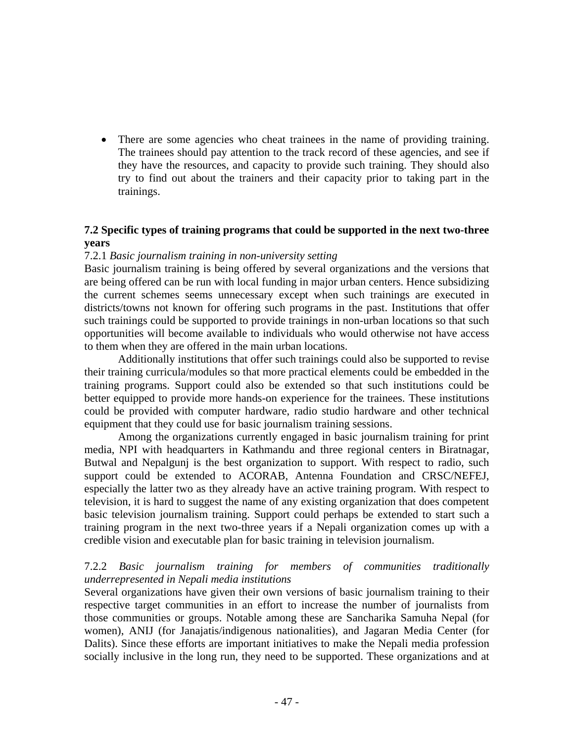There are some agencies who cheat trainees in the name of providing training. The trainees should pay attention to the track record of these agencies, and see if they have the resources, and capacity to provide such training. They should also try to find out about the trainers and their capacity prior to taking part in the trainings.

### **7.2 Specific types of training programs that could be supported in the next two-three years**

### 7.2.1 *Basic journalism training in non-university setting*

Basic journalism training is being offered by several organizations and the versions that are being offered can be run with local funding in major urban centers. Hence subsidizing the current schemes seems unnecessary except when such trainings are executed in districts/towns not known for offering such programs in the past. Institutions that offer such trainings could be supported to provide trainings in non-urban locations so that such opportunities will become available to individuals who would otherwise not have access to them when they are offered in the main urban locations.

Additionally institutions that offer such trainings could also be supported to revise their training curricula/modules so that more practical elements could be embedded in the training programs. Support could also be extended so that such institutions could be better equipped to provide more hands-on experience for the trainees. These institutions could be provided with computer hardware, radio studio hardware and other technical equipment that they could use for basic journalism training sessions.

Among the organizations currently engaged in basic journalism training for print media, NPI with headquarters in Kathmandu and three regional centers in Biratnagar, Butwal and Nepalgunj is the best organization to support. With respect to radio, such support could be extended to ACORAB, Antenna Foundation and CRSC/NEFEJ, especially the latter two as they already have an active training program. With respect to television, it is hard to suggest the name of any existing organization that does competent basic television journalism training. Support could perhaps be extended to start such a training program in the next two-three years if a Nepali organization comes up with a credible vision and executable plan for basic training in television journalism.

### 7.2.2 *Basic journalism training for members of communities traditionally underrepresented in Nepali media institutions*

Several organizations have given their own versions of basic journalism training to their respective target communities in an effort to increase the number of journalists from those communities or groups. Notable among these are Sancharika Samuha Nepal (for women), ANIJ (for Janajatis/indigenous nationalities), and Jagaran Media Center (for Dalits). Since these efforts are important initiatives to make the Nepali media profession socially inclusive in the long run, they need to be supported. These organizations and at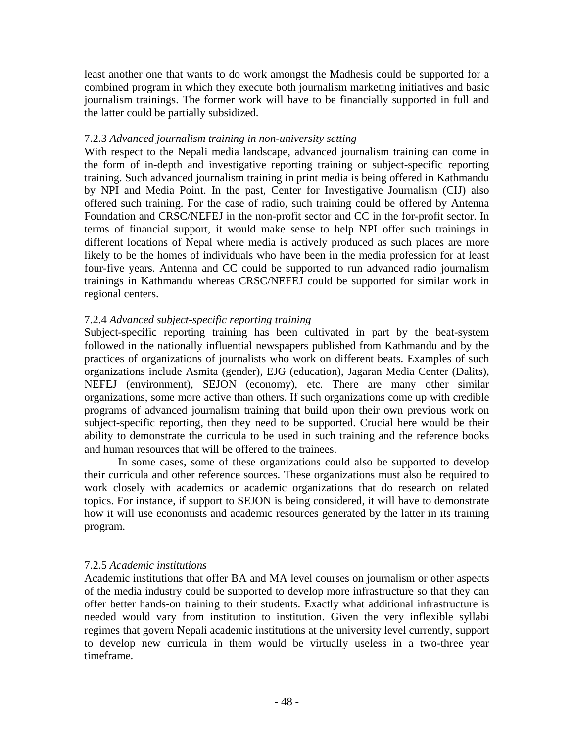least another one that wants to do work amongst the Madhesis could be supported for a combined program in which they execute both journalism marketing initiatives and basic journalism trainings. The former work will have to be financially supported in full and the latter could be partially subsidized.

## 7.2.3 *Advanced journalism training in non-university setting*

With respect to the Nepali media landscape, advanced journalism training can come in the form of in-depth and investigative reporting training or subject-specific reporting training. Such advanced journalism training in print media is being offered in Kathmandu by NPI and Media Point. In the past, Center for Investigative Journalism (CIJ) also offered such training. For the case of radio, such training could be offered by Antenna Foundation and CRSC/NEFEJ in the non-profit sector and CC in the for-profit sector. In terms of financial support, it would make sense to help NPI offer such trainings in different locations of Nepal where media is actively produced as such places are more likely to be the homes of individuals who have been in the media profession for at least four-five years. Antenna and CC could be supported to run advanced radio journalism trainings in Kathmandu whereas CRSC/NEFEJ could be supported for similar work in regional centers.

# 7.2.4 *Advanced subject-specific reporting training*

Subject-specific reporting training has been cultivated in part by the beat-system followed in the nationally influential newspapers published from Kathmandu and by the practices of organizations of journalists who work on different beats. Examples of such organizations include Asmita (gender), EJG (education), Jagaran Media Center (Dalits), NEFEJ (environment), SEJON (economy), etc. There are many other similar organizations, some more active than others. If such organizations come up with credible programs of advanced journalism training that build upon their own previous work on subject-specific reporting, then they need to be supported. Crucial here would be their ability to demonstrate the curricula to be used in such training and the reference books and human resources that will be offered to the trainees.

In some cases, some of these organizations could also be supported to develop their curricula and other reference sources. These organizations must also be required to work closely with academics or academic organizations that do research on related topics. For instance, if support to SEJON is being considered, it will have to demonstrate how it will use economists and academic resources generated by the latter in its training program.

# 7.2.5 *Academic institutions*

Academic institutions that offer BA and MA level courses on journalism or other aspects of the media industry could be supported to develop more infrastructure so that they can offer better hands-on training to their students. Exactly what additional infrastructure is needed would vary from institution to institution. Given the very inflexible syllabi regimes that govern Nepali academic institutions at the university level currently, support to develop new curricula in them would be virtually useless in a two-three year timeframe.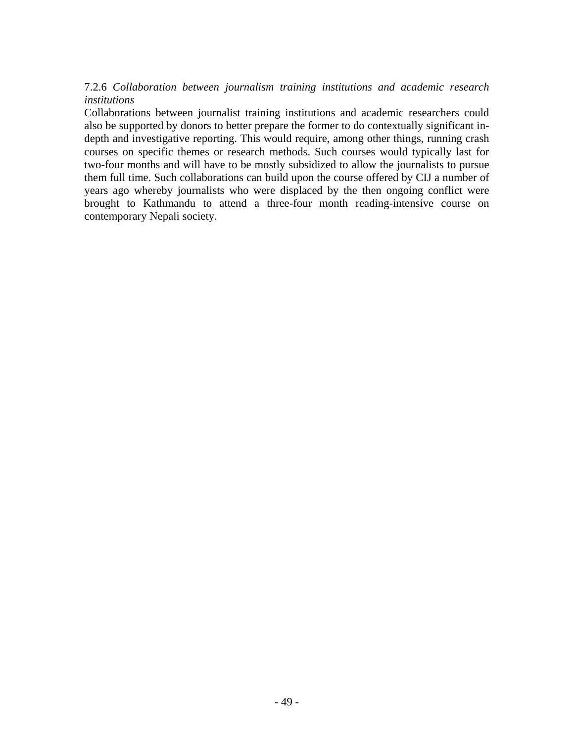# 7.2.6 *Collaboration between journalism training institutions and academic research institutions*

Collaborations between journalist training institutions and academic researchers could also be supported by donors to better prepare the former to do contextually significant indepth and investigative reporting. This would require, among other things, running crash courses on specific themes or research methods. Such courses would typically last for two-four months and will have to be mostly subsidized to allow the journalists to pursue them full time. Such collaborations can build upon the course offered by CIJ a number of years ago whereby journalists who were displaced by the then ongoing conflict were brought to Kathmandu to attend a three-four month reading-intensive course on contemporary Nepali society.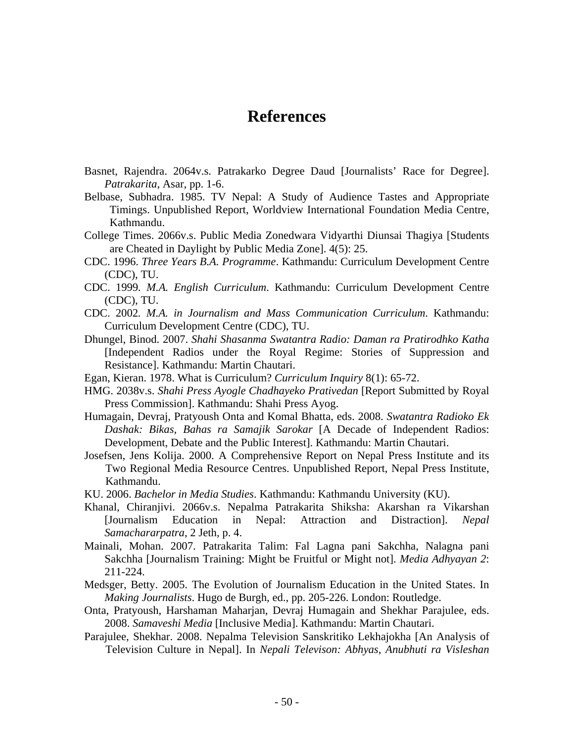# **References**

- Basnet, Rajendra. 2064v.s. Patrakarko Degree Daud [Journalists' Race for Degree]. *Patrakarita*, Asar, pp. 1-6.
- Belbase, Subhadra. 1985. TV Nepal: A Study of Audience Tastes and Appropriate Timings. Unpublished Report, Worldview International Foundation Media Centre, Kathmandu.
- College Times. 2066v.s. Public Media Zonedwara Vidyarthi Diunsai Thagiya [Students are Cheated in Daylight by Public Media Zone]. 4(5): 25.
- CDC. 1996. *Three Years B.A. Programme*. Kathmandu: Curriculum Development Centre (CDC), TU.
- CDC. 1999*. M.A. English Curriculum*. Kathmandu: Curriculum Development Centre (CDC), TU.
- CDC. 2002*. M.A. in Journalism and Mass Communication Curriculum*. Kathmandu: Curriculum Development Centre (CDC), TU.
- Dhungel, Binod. 2007. *Shahi Shasanma Swatantra Radio: Daman ra Pratirodhko Katha*  [Independent Radios under the Royal Regime: Stories of Suppression and Resistance]. Kathmandu: Martin Chautari.
- Egan, Kieran. 1978. What is Curriculum? *Curriculum Inquiry* 8(1): 65-72.
- HMG. 2038v.s. *Shahi Press Ayogle Chadhayeko Prativedan* [Report Submitted by Royal Press Commission]. Kathmandu: Shahi Press Ayog.
- Humagain, Devraj, Pratyoush Onta and Komal Bhatta, eds. 2008. *Swatantra Radioko Ek Dashak: Bikas, Bahas ra Samajik Sarokar* [A Decade of Independent Radios: Development, Debate and the Public Interest]. Kathmandu: Martin Chautari.
- Josefsen, Jens Kolija. 2000. A Comprehensive Report on Nepal Press Institute and its Two Regional Media Resource Centres. Unpublished Report, Nepal Press Institute, Kathmandu.
- KU. 2006. *Bachelor in Media Studies*. Kathmandu: Kathmandu University (KU).
- Khanal, Chiranjivi. 2066v.s. Nepalma Patrakarita Shiksha: Akarshan ra Vikarshan [Journalism Education in Nepal: Attraction and Distraction]. *Nepal Samachararpatra*, 2 Jeth, p. 4.
- Mainali, Mohan. 2007. Patrakarita Talim: Fal Lagna pani Sakchha, Nalagna pani Sakchha [Journalism Training: Might be Fruitful or Might not]. *Media Adhyayan 2*: 211-224.
- Medsger, Betty. 2005. The Evolution of Journalism Education in the United States. In *Making Journalists*. Hugo de Burgh, ed., pp. 205-226. London: Routledge.
- Onta, Pratyoush, Harshaman Maharjan, Devraj Humagain and Shekhar Parajulee, eds. 2008. *Samaveshi Media* [Inclusive Media]. Kathmandu: Martin Chautari.
- Parajulee, Shekhar. 2008. Nepalma Television Sanskritiko Lekhajokha [An Analysis of Television Culture in Nepal]. In *Nepali Televison: Abhyas, Anubhuti ra Visleshan*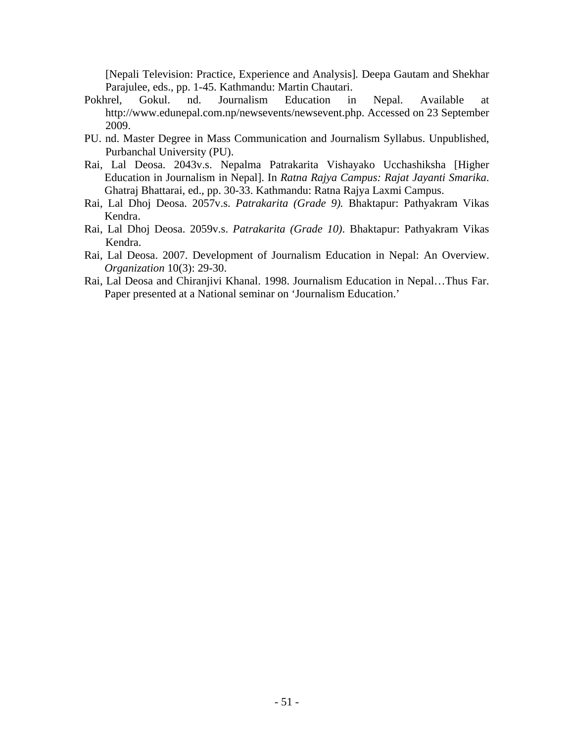[Nepali Television: Practice, Experience and Analysis]*.* Deepa Gautam and Shekhar Parajulee, eds., pp. 1-45. Kathmandu: Martin Chautari.

- Pokhrel, Gokul. nd. Journalism Education in Nepal. Available at http://www.edunepal.com.np/newsevents/newsevent.php. Accessed on 23 September 2009.
- PU. nd. Master Degree in Mass Communication and Journalism Syllabus. Unpublished, Purbanchal University (PU).
- Rai, Lal Deosa. 2043v.s. Nepalma Patrakarita Vishayako Ucchashiksha [Higher Education in Journalism in Nepal]. In *Ratna Rajya Campus: Rajat Jayanti Smarika*. Ghatraj Bhattarai, ed., pp. 30-33. Kathmandu: Ratna Rajya Laxmi Campus.
- Rai, Lal Dhoj Deosa. 2057v.s. *Patrakarita (Grade 9).* Bhaktapur: Pathyakram Vikas Kendra.
- Rai, Lal Dhoj Deosa. 2059v.s. *Patrakarita (Grade 10)*. Bhaktapur: Pathyakram Vikas Kendra.
- Rai, Lal Deosa. 2007. Development of Journalism Education in Nepal: An Overview. *Organization* 10(3): 29-30.
- Rai, Lal Deosa and Chiranjivi Khanal. 1998. Journalism Education in Nepal…Thus Far. Paper presented at a National seminar on 'Journalism Education.'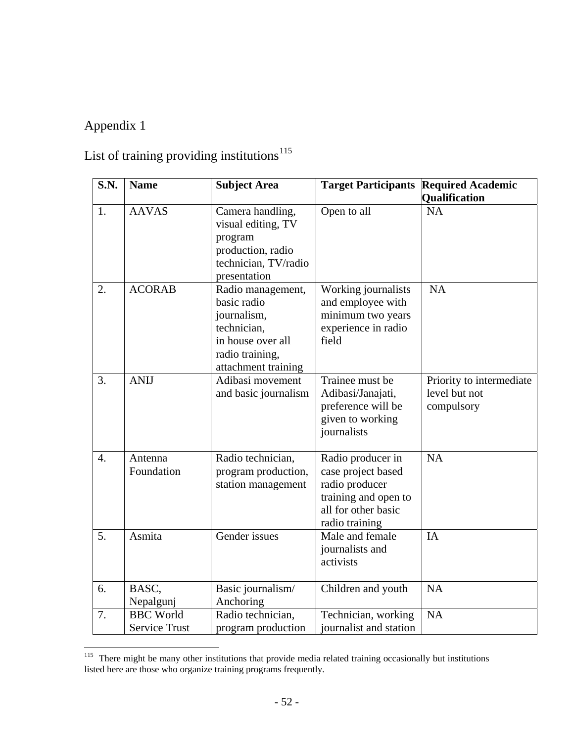# Appendix 1

 $\overline{a}$ 

# List of training providing institutions $^{115}$  $^{115}$  $^{115}$

| S.N.             | <b>Name</b>                              | <b>Subject Area</b>                                                                                                           | <b>Target Participants</b>                                                                                                 | <b>Required Academic</b><br>Qualification               |
|------------------|------------------------------------------|-------------------------------------------------------------------------------------------------------------------------------|----------------------------------------------------------------------------------------------------------------------------|---------------------------------------------------------|
| 1.               | <b>AAVAS</b>                             | Camera handling,<br>visual editing, TV<br>program<br>production, radio<br>technician, TV/radio<br>presentation                | Open to all                                                                                                                | <b>NA</b>                                               |
| 2.               | <b>ACORAB</b>                            | Radio management,<br>basic radio<br>journalism,<br>technician,<br>in house over all<br>radio training,<br>attachment training | Working journalists<br>and employee with<br>minimum two years<br>experience in radio<br>field                              | <b>NA</b>                                               |
| 3.               | <b>ANIJ</b>                              | Adibasi movement<br>and basic journalism                                                                                      | Trainee must be<br>Adibasi/Janajati,<br>preference will be<br>given to working<br>journalists                              | Priority to intermediate<br>level but not<br>compulsory |
| $\overline{4}$ . | Antenna<br>Foundation                    | Radio technician,<br>program production,<br>station management                                                                | Radio producer in<br>case project based<br>radio producer<br>training and open to<br>all for other basic<br>radio training | <b>NA</b>                                               |
| 5.               | Asmita                                   | Gender issues                                                                                                                 | Male and female<br>journalists and<br>activists                                                                            | <b>IA</b>                                               |
| 6.               | BASC,<br>Nepalgunj                       | Basic journalism/<br>Anchoring                                                                                                | Children and youth                                                                                                         | <b>NA</b>                                               |
| 7.               | <b>BBC</b> World<br><b>Service Trust</b> | Radio technician,<br>program production                                                                                       | Technician, working<br>journalist and station                                                                              | NA                                                      |

<span id="page-58-0"></span><sup>&</sup>lt;sup>115</sup> There might be many other institutions that provide media related training occasionally but institutions listed here are those who organize training programs frequently.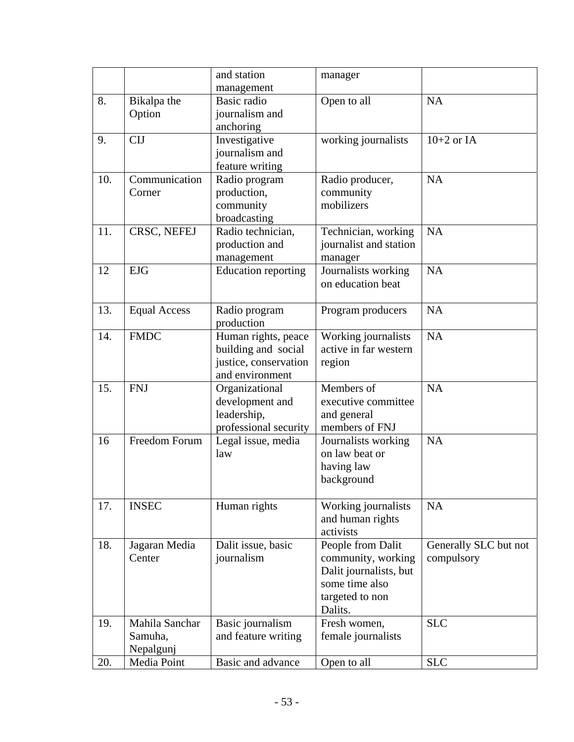|     |                         | and station                         | manager                                       |                       |
|-----|-------------------------|-------------------------------------|-----------------------------------------------|-----------------------|
| 8.  | Bikalpa the             | management<br>Basic radio           | Open to all                                   | <b>NA</b>             |
|     | Option                  | journalism and                      |                                               |                       |
|     |                         | anchoring                           |                                               |                       |
| 9.  | <b>CIJ</b>              | Investigative                       | working journalists                           | $10+2$ or IA          |
|     |                         | journalism and                      |                                               |                       |
|     |                         | feature writing                     |                                               |                       |
| 10. | Communication           | Radio program                       | Radio producer,                               | <b>NA</b>             |
|     | Corner                  | production,                         | community                                     |                       |
|     |                         | community                           | mobilizers                                    |                       |
|     |                         | broadcasting                        |                                               |                       |
| 11. | CRSC, NEFEJ             | Radio technician,<br>production and | Technician, working<br>journalist and station | <b>NA</b>             |
|     |                         | management                          | manager                                       |                       |
| 12  | <b>EJG</b>              | <b>Education reporting</b>          | Journalists working                           | <b>NA</b>             |
|     |                         |                                     | on education beat                             |                       |
|     |                         |                                     |                                               |                       |
| 13. | <b>Equal Access</b>     | Radio program                       | Program producers                             | <b>NA</b>             |
|     |                         | production                          |                                               |                       |
| 14. | <b>FMDC</b>             | Human rights, peace                 | Working journalists                           | <b>NA</b>             |
|     |                         | building and social                 | active in far western                         |                       |
|     |                         | justice, conservation               | region                                        |                       |
|     |                         | and environment                     |                                               |                       |
| 15. | <b>FNJ</b>              | Organizational                      | Members of<br>executive committee             | <b>NA</b>             |
|     |                         | development and<br>leadership,      | and general                                   |                       |
|     |                         | professional security               | members of FNJ                                |                       |
| 16  | Freedom Forum           | Legal issue, media                  | Journalists working                           | <b>NA</b>             |
|     |                         | law                                 | on law beat or                                |                       |
|     |                         |                                     | having law                                    |                       |
|     |                         |                                     | background                                    |                       |
|     |                         |                                     |                                               |                       |
| 17. | <b>INSEC</b>            | Human rights                        | Working journalists                           | <b>NA</b>             |
|     |                         |                                     | and human rights                              |                       |
|     |                         |                                     | activists                                     |                       |
| 18. | Jagaran Media<br>Center | Dalit issue, basic                  | People from Dalit<br>community, working       | Generally SLC but not |
|     |                         | journalism                          | Dalit journalists, but                        | compulsory            |
|     |                         |                                     | some time also                                |                       |
|     |                         |                                     | targeted to non                               |                       |
|     |                         |                                     | Dalits.                                       |                       |
| 19. | Mahila Sanchar          | Basic journalism                    | Fresh women,                                  | <b>SLC</b>            |
|     | Samuha,                 | and feature writing                 | female journalists                            |                       |
|     | Nepalgunj               |                                     |                                               |                       |
| 20. | Media Point             | Basic and advance                   | Open to all                                   | <b>SLC</b>            |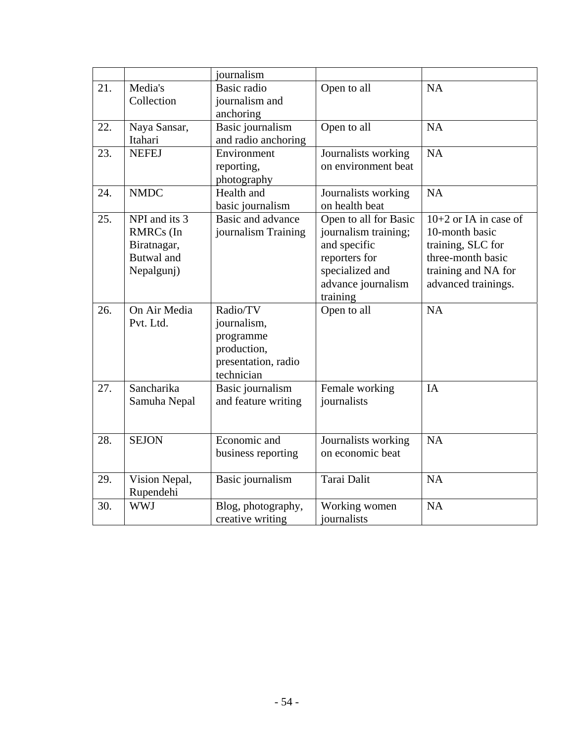|     |                                                                                                  | journalism                                                                               |                                                                                                                                     |                                                                                                                                   |
|-----|--------------------------------------------------------------------------------------------------|------------------------------------------------------------------------------------------|-------------------------------------------------------------------------------------------------------------------------------------|-----------------------------------------------------------------------------------------------------------------------------------|
| 21. | Media's<br>Collection                                                                            | Basic radio<br>journalism and<br>anchoring                                               | Open to all                                                                                                                         | <b>NA</b>                                                                                                                         |
| 22. | Naya Sansar,<br>Itahari                                                                          | Basic journalism<br>and radio anchoring                                                  | Open to all                                                                                                                         | <b>NA</b>                                                                                                                         |
| 23. | <b>NEFEJ</b>                                                                                     | Environment<br>reporting,<br>photography                                                 | Journalists working<br>on environment beat                                                                                          | <b>NA</b>                                                                                                                         |
| 24. | <b>NMDC</b>                                                                                      | Health and<br>basic journalism                                                           | Journalists working<br>on health beat                                                                                               | NA                                                                                                                                |
| 25. | NPI and its $\overline{3}$<br><b>RMRCs</b> (In<br>Biratnagar,<br><b>Butwal</b> and<br>Nepalgunj) | Basic and advance<br>journalism Training                                                 | Open to all for Basic<br>journalism training;<br>and specific<br>reporters for<br>specialized and<br>advance journalism<br>training | $10+2$ or IA in case of<br>10-month basic<br>training, SLC for<br>three-month basic<br>training and NA for<br>advanced trainings. |
| 26. | On Air Media<br>Pvt. Ltd.                                                                        | Radio/TV<br>journalism,<br>programme<br>production,<br>presentation, radio<br>technician | Open to all                                                                                                                         | <b>NA</b>                                                                                                                         |
| 27. | Sancharika<br>Samuha Nepal                                                                       | Basic journalism<br>and feature writing                                                  | Female working<br>journalists                                                                                                       | IA                                                                                                                                |
| 28. | <b>SEJON</b>                                                                                     | Economic and<br>business reporting                                                       | Journalists working<br>on economic beat                                                                                             | <b>NA</b>                                                                                                                         |
| 29. | Vision Nepal,<br>Rupendehi                                                                       | Basic journalism                                                                         | Tarai Dalit                                                                                                                         | <b>NA</b>                                                                                                                         |
| 30. | <b>WWJ</b>                                                                                       | Blog, photography,<br>creative writing                                                   | Working women<br>journalists                                                                                                        | NA                                                                                                                                |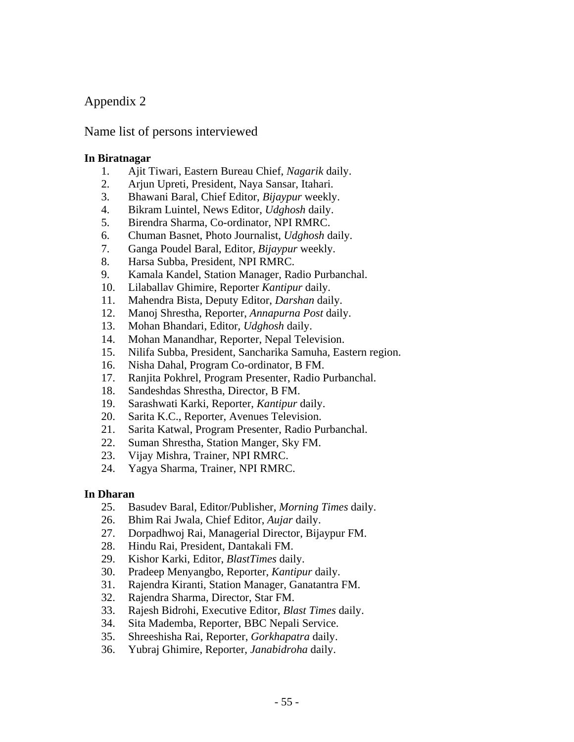# Appendix 2

# Name list of persons interviewed

### **In Biratnagar**

- 1. Ajit Tiwari, Eastern Bureau Chief, *Nagarik* daily.
- 2. Arjun Upreti, President, Naya Sansar, Itahari.
- 3. Bhawani Baral, Chief Editor, *Bijaypur* weekly.
- 4. Bikram Luintel, News Editor, *Udghosh* daily.
- 5. Birendra Sharma, Co-ordinator, NPI RMRC.
- 6. Chuman Basnet, Photo Journalist, *Udghosh* daily.
- 7. Ganga Poudel Baral, Editor, *Bijaypur* weekly.
- 8. Harsa Subba, President, NPI RMRC.
- 9. Kamala Kandel, Station Manager, Radio Purbanchal.
- 10. Lilaballav Ghimire, Reporter *Kantipur* daily.
- 11. Mahendra Bista, Deputy Editor, *Darshan* daily.
- 12. Manoj Shrestha, Reporter, *Annapurna Post* daily.
- 13. Mohan Bhandari, Editor, *Udghosh* daily.
- 14. Mohan Manandhar, Reporter, Nepal Television.
- 15. Nilifa Subba, President, Sancharika Samuha, Eastern region.
- 16. Nisha Dahal, Program Co-ordinator, B FM.
- 17. Ranjita Pokhrel, Program Presenter, Radio Purbanchal.
- 18. Sandeshdas Shrestha, Director, B FM.
- 19. Sarashwati Karki, Reporter, *Kantipur* daily.
- 20. Sarita K.C., Reporter, Avenues Television.
- 21. Sarita Katwal, Program Presenter, Radio Purbanchal.
- 22. Suman Shrestha, Station Manger, Sky FM.
- 23. Vijay Mishra, Trainer, NPI RMRC.
- 24. Yagya Sharma, Trainer, NPI RMRC.

#### **In Dharan**

- 25. Basudev Baral, Editor/Publisher, *Morning Times* daily.
- 26. Bhim Rai Jwala, Chief Editor, *Aujar* daily.
- 27. Dorpadhwoj Rai, Managerial Director, Bijaypur FM.
- 28. Hindu Rai, President, Dantakali FM.
- 29. Kishor Karki, Editor, *BlastTimes* daily.
- 30. Pradeep Menyangbo, Reporter, *Kantipur* daily.
- 31. Rajendra Kiranti, Station Manager, Ganatantra FM.
- 32. Rajendra Sharma, Director, Star FM.
- 33. Rajesh Bidrohi, Executive Editor, *Blast Times* daily.
- 34. Sita Mademba, Reporter, BBC Nepali Service.
- 35. Shreeshisha Rai, Reporter, *Gorkhapatra* daily.
- 36. Yubraj Ghimire, Reporter, *Janabidroha* daily.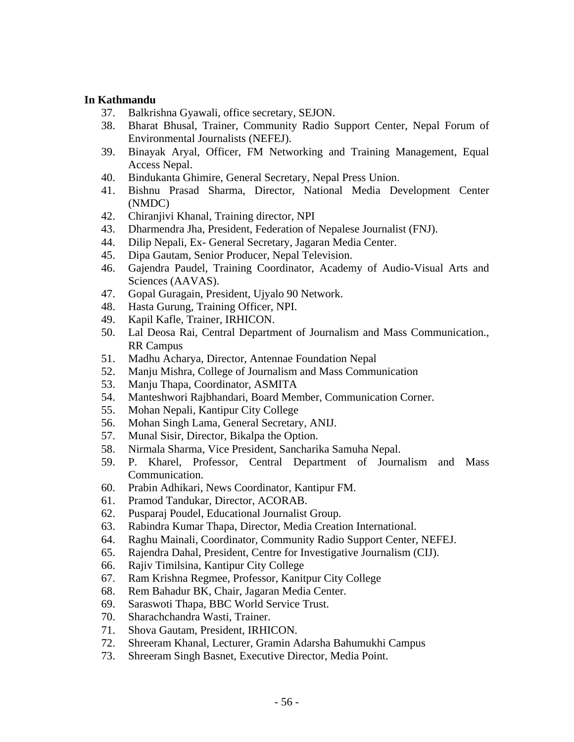#### **In Kathmandu**

- 37. Balkrishna Gyawali, office secretary, SEJON.
- 38. Bharat Bhusal, Trainer, Community Radio Support Center, Nepal Forum of Environmental Journalists (NEFEJ).
- 39. Binayak Aryal, Officer, FM Networking and Training Management, Equal Access Nepal.
- 40. Bindukanta Ghimire, General Secretary, Nepal Press Union.
- 41. Bishnu Prasad Sharma, Director, National Media Development Center (NMDC)
- 42. Chiranjivi Khanal, Training director, NPI
- 43. Dharmendra Jha, President, Federation of Nepalese Journalist (FNJ).
- 44. Dilip Nepali, Ex- General Secretary, Jagaran Media Center.
- 45. Dipa Gautam, Senior Producer, Nepal Television.
- 46. Gajendra Paudel, Training Coordinator, Academy of Audio-Visual Arts and Sciences (AAVAS).
- 47. Gopal Guragain, President, Ujyalo 90 Network.
- 48. Hasta Gurung, Training Officer, NPI.
- 49. Kapil Kafle, Trainer, IRHICON.
- 50. Lal Deosa Rai, Central Department of Journalism and Mass Communication., RR Campus
- 51. Madhu Acharya, Director, Antennae Foundation Nepal
- 52. Manju Mishra, College of Journalism and Mass Communication
- 53. Manju Thapa, Coordinator, ASMITA
- 54. Manteshwori Rajbhandari, Board Member, Communication Corner.
- 55. Mohan Nepali, Kantipur City College
- 56. Mohan Singh Lama, General Secretary, ANIJ.
- 57. Munal Sisir, Director, Bikalpa the Option.
- 58. Nirmala Sharma, Vice President, Sancharika Samuha Nepal.
- 59. P. Kharel, Professor, Central Department of Journalism and Mass Communication.
- 60. Prabin Adhikari, News Coordinator, Kantipur FM.
- 61. Pramod Tandukar, Director, ACORAB.
- 62. Pusparaj Poudel, Educational Journalist Group.
- 63. Rabindra Kumar Thapa, Director, Media Creation International.
- 64. Raghu Mainali, Coordinator, Community Radio Support Center, NEFEJ.
- 65. Rajendra Dahal, President, Centre for Investigative Journalism (CIJ).
- 66. Rajiv Timilsina, Kantipur City College
- 67. Ram Krishna Regmee, Professor, Kanitpur City College
- 68. Rem Bahadur BK, Chair, Jagaran Media Center.
- 69. Saraswoti Thapa, BBC World Service Trust.
- 70. Sharachchandra Wasti, Trainer.
- 71. Shova Gautam, President, IRHICON.
- 72. Shreeram Khanal, Lecturer, Gramin Adarsha Bahumukhi Campus
- 73. Shreeram Singh Basnet, Executive Director, Media Point.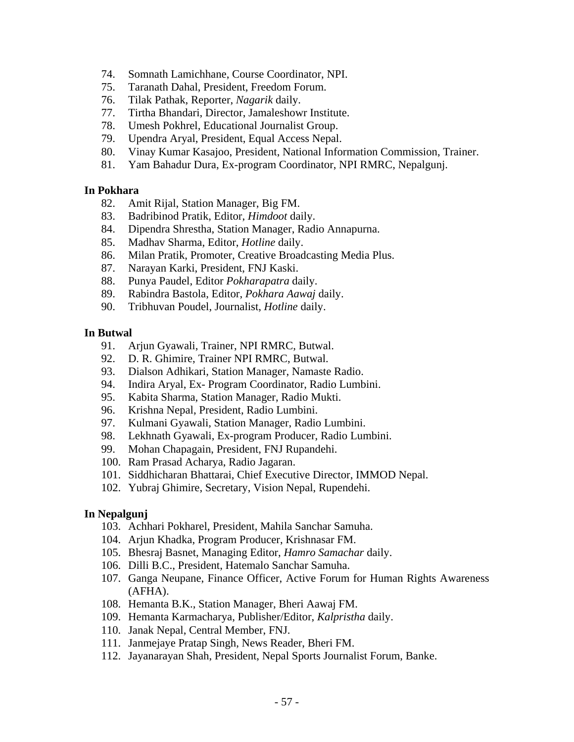- 74. Somnath Lamichhane, Course Coordinator, NPI.
- 75. Taranath Dahal, President, Freedom Forum.
- 76. Tilak Pathak, Reporter, *Nagarik* daily.
- 77. Tirtha Bhandari, Director, Jamaleshowr Institute.
- 78. Umesh Pokhrel, Educational Journalist Group.
- 79. Upendra Aryal, President, Equal Access Nepal.
- 80. Vinay Kumar Kasajoo, President, National Information Commission, Trainer.
- 81. Yam Bahadur Dura, Ex-program Coordinator, NPI RMRC, Nepalgunj.

#### **In Pokhara**

- 82. Amit Rijal, Station Manager, Big FM.
- 83. Badribinod Pratik, Editor, *Himdoot* daily.
- 84. Dipendra Shrestha, Station Manager, Radio Annapurna.
- 85. Madhav Sharma, Editor, *Hotline* daily.
- 86. Milan Pratik, Promoter, Creative Broadcasting Media Plus.
- 87. Narayan Karki, President, FNJ Kaski.
- 88. Punya Paudel, Editor *Pokharapatra* daily.
- 89. Rabindra Bastola, Editor, *Pokhara Aawaj* daily.
- 90. Tribhuvan Poudel, Journalist, *Hotline* daily.

#### **In Butwal**

- 91. Arjun Gyawali, Trainer, NPI RMRC, Butwal.
- 92. D. R. Ghimire, Trainer NPI RMRC, Butwal.
- 93. Dialson Adhikari, Station Manager, Namaste Radio.
- 94. Indira Aryal, Ex- Program Coordinator, Radio Lumbini.
- 95. Kabita Sharma, Station Manager, Radio Mukti.
- 96. Krishna Nepal, President, Radio Lumbini.
- 97. Kulmani Gyawali, Station Manager, Radio Lumbini.
- 98. Lekhnath Gyawali, Ex-program Producer, Radio Lumbini.
- 99. Mohan Chapagain, President, FNJ Rupandehi.
- 100. Ram Prasad Acharya, Radio Jagaran.
- 101. Siddhicharan Bhattarai, Chief Executive Director, IMMOD Nepal.
- 102. Yubraj Ghimire, Secretary, Vision Nepal, Rupendehi.

#### **In Nepalgunj**

- 103. Achhari Pokharel, President, Mahila Sanchar Samuha.
- 104. Arjun Khadka, Program Producer, Krishnasar FM.
- 105. Bhesraj Basnet, Managing Editor, *Hamro Samachar* daily.
- 106. Dilli B.C., President, Hatemalo Sanchar Samuha.
- 107. Ganga Neupane, Finance Officer, Active Forum for Human Rights Awareness (AFHA).
- 108. Hemanta B.K., Station Manager, Bheri Aawaj FM.
- 109. Hemanta Karmacharya, Publisher/Editor, *Kalpristha* daily.
- 110. Janak Nepal, Central Member, FNJ.
- 111. Janmejaye Pratap Singh, News Reader, Bheri FM.
- 112. Jayanarayan Shah, President, Nepal Sports Journalist Forum, Banke.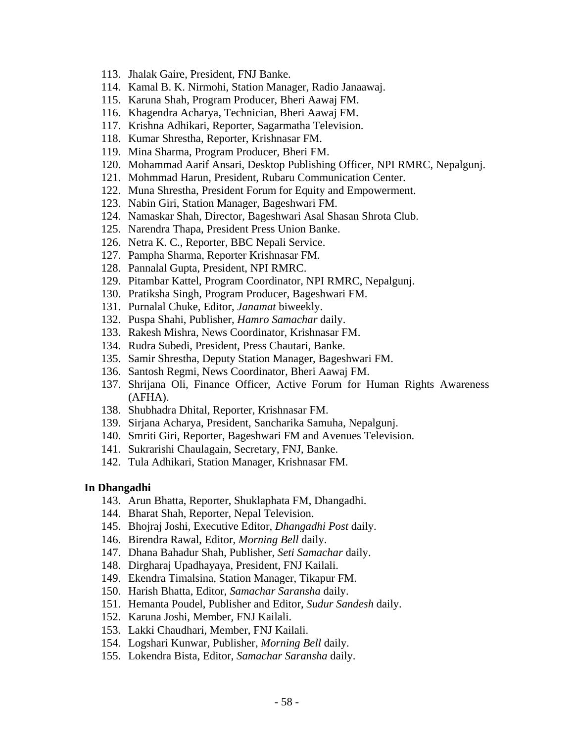- 113. Jhalak Gaire, President, FNJ Banke.
- 114. Kamal B. K. Nirmohi, Station Manager, Radio Janaawaj.
- 115. Karuna Shah, Program Producer, Bheri Aawaj FM.
- 116. Khagendra Acharya, Technician, Bheri Aawaj FM.
- 117. Krishna Adhikari, Reporter, Sagarmatha Television.
- 118. Kumar Shrestha, Reporter, Krishnasar FM.
- 119. Mina Sharma, Program Producer, Bheri FM.
- 120. Mohammad Aarif Ansari, Desktop Publishing Officer, NPI RMRC, Nepalgunj.
- 121. Mohmmad Harun, President, Rubaru Communication Center.
- 122. Muna Shrestha, President Forum for Equity and Empowerment.
- 123. Nabin Giri, Station Manager, Bageshwari FM.
- 124. Namaskar Shah, Director, Bageshwari Asal Shasan Shrota Club.
- 125. Narendra Thapa, President Press Union Banke.
- 126. Netra K. C., Reporter, BBC Nepali Service.
- 127. Pampha Sharma, Reporter Krishnasar FM.
- 128. Pannalal Gupta, President, NPI RMRC.
- 129. Pitambar Kattel, Program Coordinator, NPI RMRC, Nepalgunj.
- 130. Pratiksha Singh, Program Producer, Bageshwari FM.
- 131. Purnalal Chuke, Editor, *Janamat* biweekly.
- 132. Puspa Shahi, Publisher, *Hamro Samachar* daily.
- 133. Rakesh Mishra, News Coordinator, Krishnasar FM.
- 134. Rudra Subedi, President, Press Chautari, Banke.
- 135. Samir Shrestha, Deputy Station Manager, Bageshwari FM.
- 136. Santosh Regmi, News Coordinator, Bheri Aawaj FM.
- 137. Shrijana Oli, Finance Officer, Active Forum for Human Rights Awareness (AFHA).
- 138. Shubhadra Dhital, Reporter, Krishnasar FM.
- 139. Sirjana Acharya, President, Sancharika Samuha, Nepalgunj.
- 140. Smriti Giri, Reporter, Bageshwari FM and Avenues Television.
- 141. Sukrarishi Chaulagain, Secretary, FNJ, Banke.
- 142. Tula Adhikari, Station Manager, Krishnasar FM.

#### **In Dhangadhi**

- 143. Arun Bhatta, Reporter, Shuklaphata FM, Dhangadhi.
- 144. Bharat Shah, Reporter, Nepal Television.
- 145. Bhojraj Joshi, Executive Editor, *Dhangadhi Post* daily.
- 146. Birendra Rawal, Editor, *Morning Bell* daily.
- 147. Dhana Bahadur Shah, Publisher, *Seti Samachar* daily.
- 148. Dirgharaj Upadhayaya, President, FNJ Kailali.
- 149. Ekendra Timalsina, Station Manager, Tikapur FM.
- 150. Harish Bhatta, Editor, *Samachar Saransha* daily.
- 151. Hemanta Poudel, Publisher and Editor, *Sudur Sandesh* daily.
- 152. Karuna Joshi, Member, FNJ Kailali.
- 153. Lakki Chaudhari, Member, FNJ Kailali.
- 154. Logshari Kunwar, Publisher, *Morning Bell* daily.
- 155. Lokendra Bista, Editor, *Samachar Saransha* daily.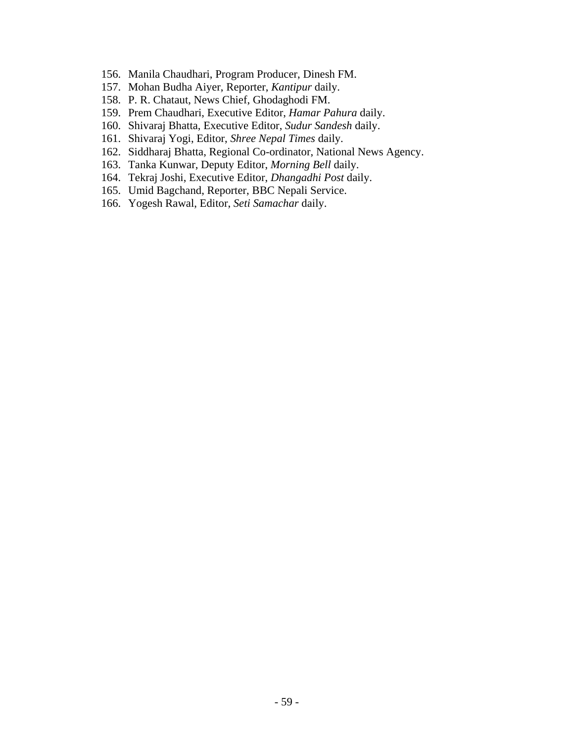- 156. Manila Chaudhari, Program Producer, Dinesh FM.
- 157. Mohan Budha Aiyer, Reporter, *Kantipur* daily.
- 158. P. R. Chataut, News Chief, Ghodaghodi FM.
- 159. Prem Chaudhari, Executive Editor, *Hamar Pahura* daily.
- 160. Shivaraj Bhatta, Executive Editor, *Sudur Sandesh* daily.
- 161. Shivaraj Yogi, Editor, *Shree Nepal Times* daily.
- 162. Siddharaj Bhatta, Regional Co-ordinator, National News Agency.
- 163. Tanka Kunwar, Deputy Editor, *Morning Bell* daily.
- 164. Tekraj Joshi, Executive Editor, *Dhangadhi Post* daily.
- 165. Umid Bagchand, Reporter, BBC Nepali Service.
- 166. Yogesh Rawal, Editor, *Seti Samachar* daily.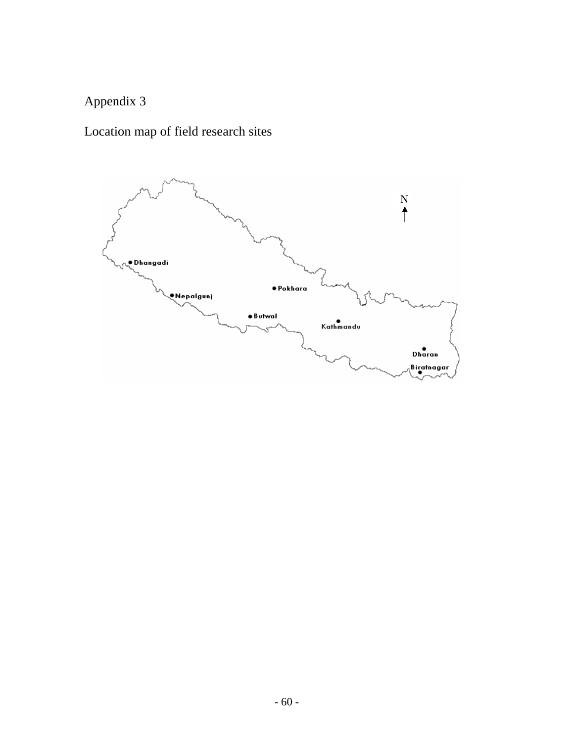# Appendix 3

# Location map of field research sites

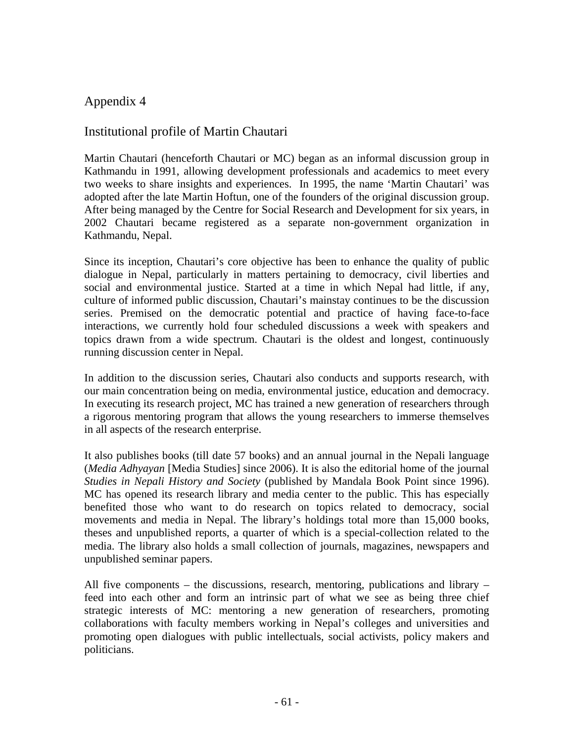# Appendix 4

# Institutional profile of Martin Chautari

Martin Chautari (henceforth Chautari or MC) began as an informal discussion group in Kathmandu in 1991, allowing development professionals and academics to meet every two weeks to share insights and experiences. In 1995, the name 'Martin Chautari' was adopted after the late Martin Hoftun, one of the founders of the original discussion group. After being managed by the Centre for Social Research and Development for six years, in 2002 Chautari became registered as a separate non-government organization in Kathmandu, Nepal.

Since its inception, Chautari's core objective has been to enhance the quality of public dialogue in Nepal, particularly in matters pertaining to democracy, civil liberties and social and environmental justice. Started at a time in which Nepal had little, if any, culture of informed public discussion, Chautari's mainstay continues to be the discussion series. Premised on the democratic potential and practice of having face-to-face interactions, we currently hold four scheduled discussions a week with speakers and topics drawn from a wide spectrum. Chautari is the oldest and longest, continuously running discussion center in Nepal.

In addition to the discussion series, Chautari also conducts and supports research, with our main concentration being on media, environmental justice, education and democracy. In executing its research project, MC has trained a new generation of researchers through a rigorous mentoring program that allows the young researchers to immerse themselves in all aspects of the research enterprise.

It also publishes books (till date 57 books) and an annual journal in the Nepali language (*Media Adhyayan* [Media Studies] since 2006). It is also the editorial home of the journal *Studies in Nepali History and Society* (published by Mandala Book Point since 1996). MC has opened its research library and media center to the public. This has especially benefited those who want to do research on topics related to democracy, social movements and media in Nepal. The library's holdings total more than 15,000 books, theses and unpublished reports, a quarter of which is a special-collection related to the media. The library also holds a small collection of journals, magazines, newspapers and unpublished seminar papers.

All five components – the discussions, research, mentoring, publications and library – feed into each other and form an intrinsic part of what we see as being three chief strategic interests of MC: mentoring a new generation of researchers, promoting collaborations with faculty members working in Nepal's colleges and universities and promoting open dialogues with public intellectuals, social activists, policy makers and politicians.